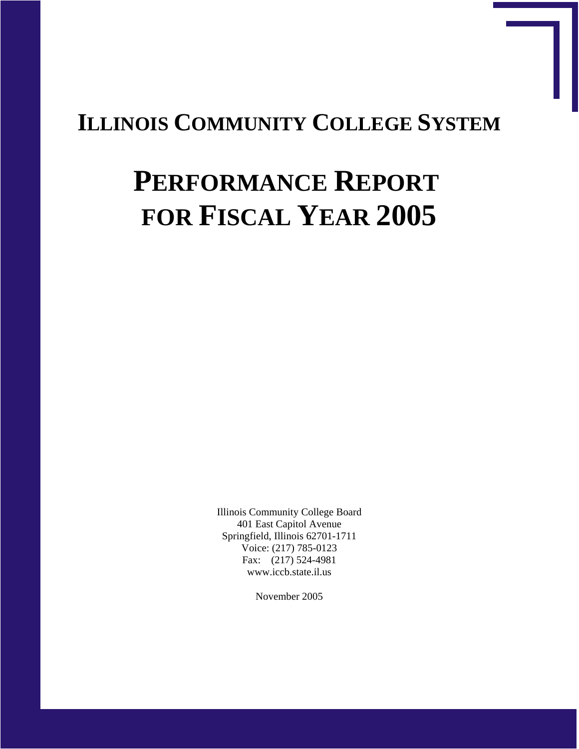## **ILLINOIS COMMUNITY COLLEGE SYSTEM**

# **PERFORMANCE REPORT FOR FISCAL YEAR 2005**

Illinois Community College Board 401 East Capitol Avenue Springfield, Illinois 62701-1711 Voice: (217) 785-0123 Fax: (217) 524-4981 www.iccb.state.il.us

November 2005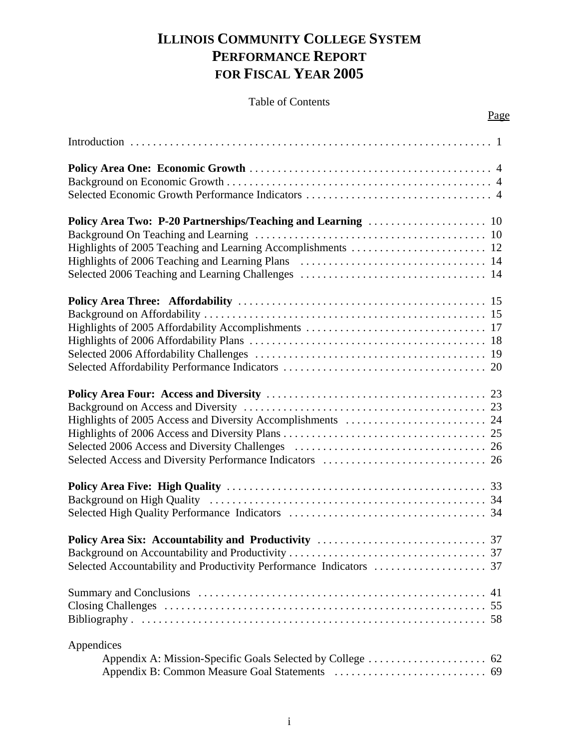## **ILLINOIS COMMUNITY COLLEGE SYSTEM PERFORMANCE REPORT FOR FISCAL YEAR 2005**

#### Table of Contents

Page

| 41         |  |
|------------|--|
|            |  |
|            |  |
|            |  |
| Appendices |  |
|            |  |
|            |  |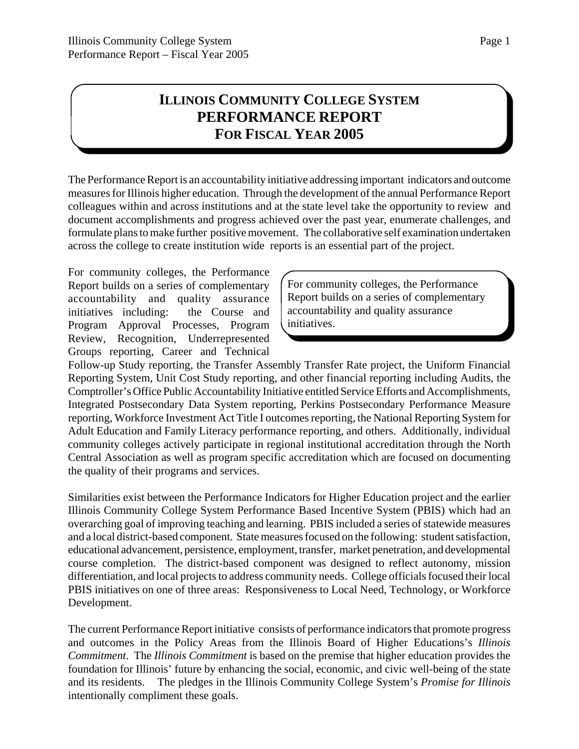## **ILLINOIS COMMUNITY COLLEGE SYSTEM PERFORMANCE REPORT FOR FISCAL YEAR 2005**

The Performance Report is an accountability initiative addressing important indicators and outcome measures for Illinois higher education. Through the development of the annual Performance Report colleagues within and across institutions and at the state level take the opportunity to review and document accomplishments and progress achieved over the past year, enumerate challenges, and formulate plans to make further positive movement. The collaborative self examination undertaken across the college to create institution wide reports is an essential part of the project.

For community colleges, the Performance Report builds on a series of complementary accountability and quality assurance initiatives including: the Course and Program Approval Processes, Program Review, Recognition, Underrepresented Groups reporting, Career and Technical

For community colleges, the Performance Report builds on a series of complementary accountability and quality assurance initiatives.

Follow-up Study reporting, the Transfer Assembly Transfer Rate project, the Uniform Financial Reporting System, Unit Cost Study reporting, and other financial reporting including Audits, the Comptroller's Office Public Accountability Initiative entitled Service Efforts and Accomplishments, Integrated Postsecondary Data System reporting, Perkins Postsecondary Performance Measure reporting, Workforce Investment Act Title I outcomes reporting, the National Reporting System for Adult Education and Family Literacy performance reporting, and others. Additionally, individual community colleges actively participate in regional institutional accreditation through the North Central Association as well as program specific accreditation which are focused on documenting the quality of their programs and services.

Similarities exist between the Performance Indicators for Higher Education project and the earlier Illinois Community College System Performance Based Incentive System (PBIS) which had an overarching goal of improving teaching and learning. PBIS included a series of statewide measures and a local district-based component. State measures focused on the following: student satisfaction, educational advancement, persistence, employment, transfer, market penetration, and developmental course completion. The district-based component was designed to reflect autonomy, mission differentiation, and local projects to address community needs. College officials focused their local PBIS initiatives on one of three areas: Responsiveness to Local Need, Technology, or Workforce Development.

The current Performance Report initiative consists of performance indicators that promote progress and outcomes in the Policy Areas from the Illinois Board of Higher Educations's *Illinois Commitment*. The *Illinois Commitment* is based on the premise that higher education provides the foundation for Illinois' future by enhancing the social, economic, and civic well-being of the state and its residents. The pledges in the Illinois Community College System's *Promise for Illinois* intentionally compliment these goals.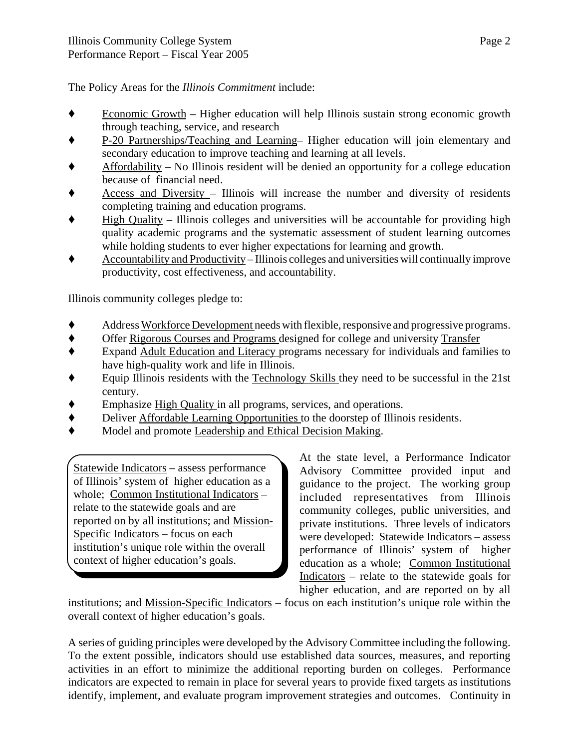The Policy Areas for the *Illinois Commitment* include:

- Economic Growth Higher education will help Illinois sustain strong economic growth through teaching, service, and research
- ' P-20 Partnerships/Teaching and Learning– Higher education will join elementary and secondary education to improve teaching and learning at all levels.
- Affordability No Illinois resident will be denied an opportunity for a college education because of financial need.
- Access and Diversity Illinois will increase the number and diversity of residents completing training and education programs.
- $\blacklozenge$  High Quality Illinois colleges and universities will be accountable for providing high quality academic programs and the systematic assessment of student learning outcomes while holding students to ever higher expectations for learning and growth.
- ' Accountability and Productivity Illinois colleges and universities will continually improve productivity, cost effectiveness, and accountability.

Illinois community colleges pledge to:

- ' Address Workforce Development needs with flexible, responsive and progressive programs.
- ' Offer Rigorous Courses and Programs designed for college and university Transfer
- ' Expand Adult Education and Literacy programs necessary for individuals and families to have high-quality work and life in Illinois.
- $\bullet$  Equip Illinois residents with the Technology Skills they need to be successful in the 21st century.
- ◆ Emphasize High Quality in all programs, services, and operations.<br>◆ Deliver Affordable Learning Opportunities to the doorsten of Illing
- ' Deliver Affordable Learning Opportunities to the doorstep of Illinois residents.
- Model and promote Leadership and Ethical Decision Making.

Statewide Indicators – assess performance of Illinois' system of higher education as a whole; Common Institutional Indicators – relate to the statewide goals and are reported on by all institutions; and Mission-Specific Indicators – focus on each institution's unique role within the overall context of higher education's goals.

At the state level, a Performance Indicator Advisory Committee provided input and guidance to the project. The working group included representatives from Illinois community colleges, public universities, and private institutions. Three levels of indicators were developed: Statewide Indicators – assess performance of Illinois' system of higher education as a whole; Common Institutional Indicators – relate to the statewide goals for higher education, and are reported on by all

institutions; and Mission-Specific Indicators – focus on each institution's unique role within the overall context of higher education's goals.

A series of guiding principles were developed by the Advisory Committee including the following. To the extent possible, indicators should use established data sources, measures, and reporting activities in an effort to minimize the additional reporting burden on colleges. Performance indicators are expected to remain in place for several years to provide fixed targets as institutions identify, implement, and evaluate program improvement strategies and outcomes. Continuity in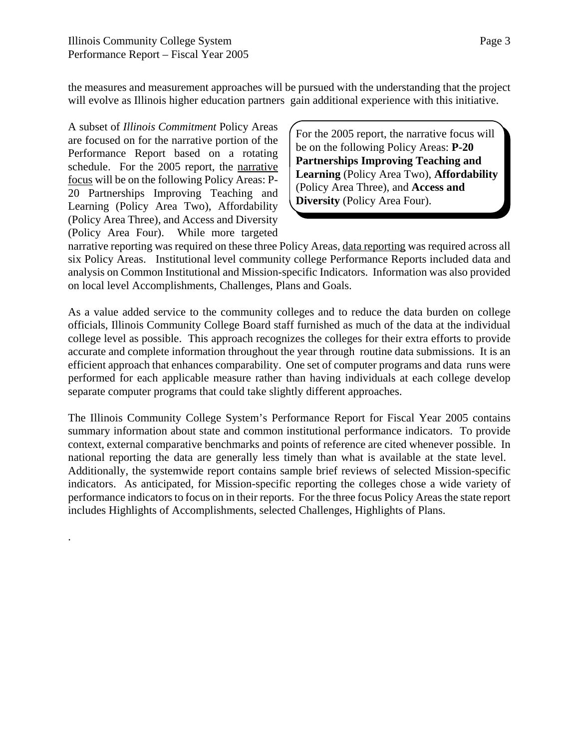the measures and measurement approaches will be pursued with the understanding that the project will evolve as Illinois higher education partners gain additional experience with this initiative.

A subset of *Illinois Commitment* Policy Areas are focused on for the narrative portion of the Performance Report based on a rotating schedule. For the 2005 report, the narrative focus will be on the following Policy Areas: P-20 Partnerships Improving Teaching and Learning (Policy Area Two), Affordability (Policy Area Three), and Access and Diversity (Policy Area Four). While more targeted

.

For the 2005 report, the narrative focus will be on the following Policy Areas: **P-20 Partnerships Improving Teaching and Learning** (Policy Area Two), **Affordability** (Policy Area Three), and **Access and Diversity** (Policy Area Four).

narrative reporting was required on these three Policy Areas, data reporting was required across all six Policy Areas. Institutional level community college Performance Reports included data and analysis on Common Institutional and Mission-specific Indicators. Information was also provided on local level Accomplishments, Challenges, Plans and Goals.

As a value added service to the community colleges and to reduce the data burden on college officials, Illinois Community College Board staff furnished as much of the data at the individual college level as possible. This approach recognizes the colleges for their extra efforts to provide accurate and complete information throughout the year through routine data submissions. It is an efficient approach that enhances comparability. One set of computer programs and data runs were performed for each applicable measure rather than having individuals at each college develop separate computer programs that could take slightly different approaches.

The Illinois Community College System's Performance Report for Fiscal Year 2005 contains summary information about state and common institutional performance indicators. To provide context, external comparative benchmarks and points of reference are cited whenever possible. In national reporting the data are generally less timely than what is available at the state level. Additionally, the systemwide report contains sample brief reviews of selected Mission-specific indicators. As anticipated, for Mission-specific reporting the colleges chose a wide variety of performance indicators to focus on in their reports. For the three focus Policy Areas the state report includes Highlights of Accomplishments, selected Challenges, Highlights of Plans.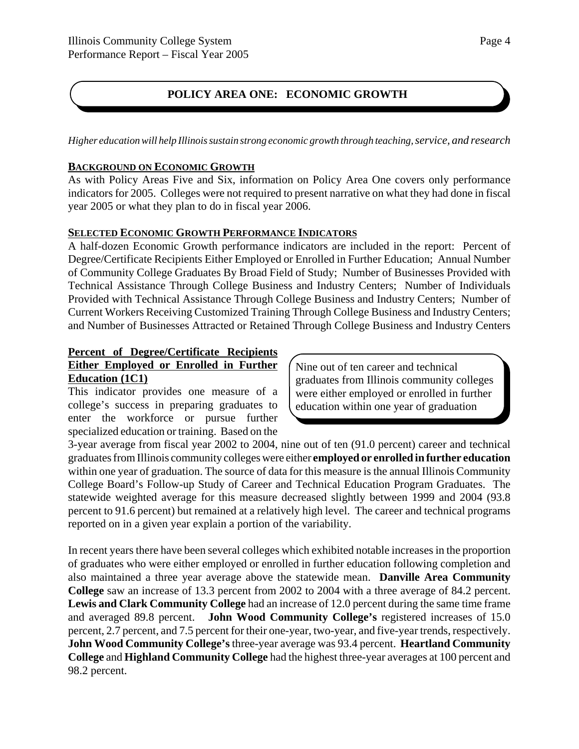#### **POLICY AREA ONE: ECONOMIC GROWTH**

*Higher education will help Illinois sustain strong economic growth through teaching, service, and research*

#### **BACKGROUND ON ECONOMIC GROWTH**

As with Policy Areas Five and Six, information on Policy Area One covers only performance indicators for 2005. Colleges were not required to present narrative on what they had done in fiscal year 2005 or what they plan to do in fiscal year 2006.

#### **SELECTED ECONOMIC GROWTH PERFORMANCE INDICATORS**

A half-dozen Economic Growth performance indicators are included in the report: Percent of Degree/Certificate Recipients Either Employed or Enrolled in Further Education; Annual Number of Community College Graduates By Broad Field of Study; Number of Businesses Provided with Technical Assistance Through College Business and Industry Centers; Number of Individuals Provided with Technical Assistance Through College Business and Industry Centers; Number of Current Workers Receiving Customized Training Through College Business and Industry Centers; and Number of Businesses Attracted or Retained Through College Business and Industry Centers

#### **Percent of Degree/Certificate Recipients Either Employed or Enrolled in Further Education (1C1)**

This indicator provides one measure of a college's success in preparing graduates to enter the workforce or pursue further specialized education or training. Based on the Nine out of ten career and technical graduates from Illinois community colleges were either employed or enrolled in further education within one year of graduation

3-year average from fiscal year 2002 to 2004, nine out of ten (91.0 percent) career and technical graduates from Illinois community colleges were either **employed or enrolled in further education** within one year of graduation. The source of data for this measure is the annual Illinois Community College Board's Follow-up Study of Career and Technical Education Program Graduates. The statewide weighted average for this measure decreased slightly between 1999 and 2004 (93.8 percent to 91.6 percent) but remained at a relatively high level. The career and technical programs reported on in a given year explain a portion of the variability.

In recent years there have been several colleges which exhibited notable increases in the proportion of graduates who were either employed or enrolled in further education following completion and also maintained a three year average above the statewide mean. **Danville Area Community College** saw an increase of 13.3 percent from 2002 to 2004 with a three average of 84.2 percent. **Lewis and Clark Community College** had an increase of 12.0 percent during the same time frame and averaged 89.8 percent. **John Wood Community College's** registered increases of 15.0 percent, 2.7 percent, and 7.5 percent for their one-year, two-year, and five-year trends, respectively. **John Wood Community College's** three-year average was 93.4 percent. **Heartland Community College** and **Highland Community College** had the highest three-year averages at 100 percent and 98.2 percent.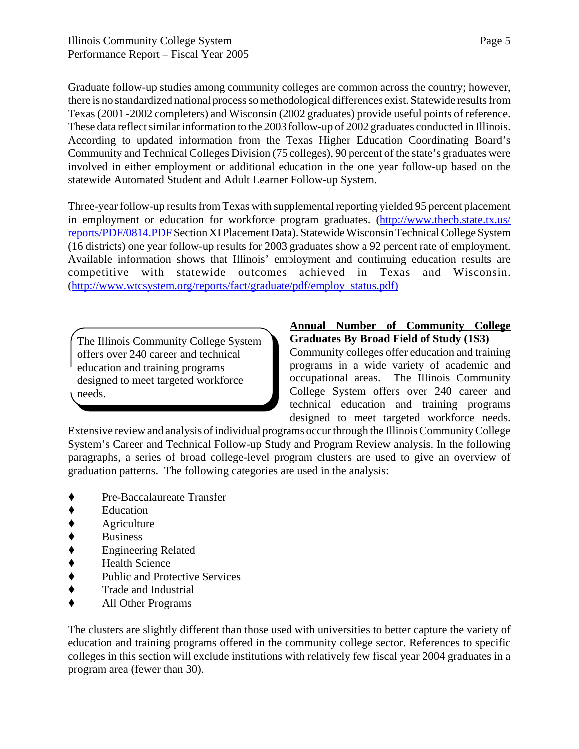Graduate follow-up studies among community colleges are common across the country; however, there is no standardized national process so methodological differences exist. Statewide results from Texas (2001 -2002 completers) and Wisconsin (2002 graduates) provide useful points of reference. These data reflect similar information to the 2003 follow-up of 2002 graduates conducted in Illinois. According to updated information from the Texas Higher Education Coordinating Board's Community and Technical Colleges Division (75 colleges), 90 percent of the state's graduates were involved in either employment or additional education in the one year follow-up based on the statewide Automated Student and Adult Learner Follow-up System.

Three-year follow-up results from Texas with supplemental reporting yielded 95 percent placement in employment or education for workforce program graduates. (http://www.thecb.state.tx.us/ reports/PDF/0814.PDF Section XI Placement Data). Statewide Wisconsin Technical College System (16 districts) one year follow-up results for 2003 graduates show a 92 percent rate of employment. Available information shows that Illinois' employment and continuing education results are competitive with statewide outcomes achieved in Texas and Wisconsin. (http://www.wtcsystem.org/reports/fact/graduate/pdf/employ\_status.pdf)

The Illinois Community College System offers over 240 career and technical education and training programs designed to meet targeted workforce needs.

#### **Annual Number of Community College Graduates By Broad Field of Study (1S3)**

Community colleges offer education and training programs in a wide variety of academic and occupational areas. The Illinois Community College System offers over 240 career and technical education and training programs designed to meet targeted workforce needs.

Extensive review and analysis of individual programs occur through the Illinois Community College System's Career and Technical Follow-up Study and Program Review analysis. In the following paragraphs, a series of broad college-level program clusters are used to give an overview of graduation patterns. The following categories are used in the analysis:

- Pre-Baccalaureate Transfer
- **Education**
- Agriculture
- 
- ◆ Business<br>◆ Engineeri ' Engineering Related
- 
- ◆ Health Science<br>◆ Public and Prote Public and Protective Services
- $\triangleleft$  Trade and Industrial
- ' All Other Programs

The clusters are slightly different than those used with universities to better capture the variety of education and training programs offered in the community college sector. References to specific colleges in this section will exclude institutions with relatively few fiscal year 2004 graduates in a program area (fewer than 30).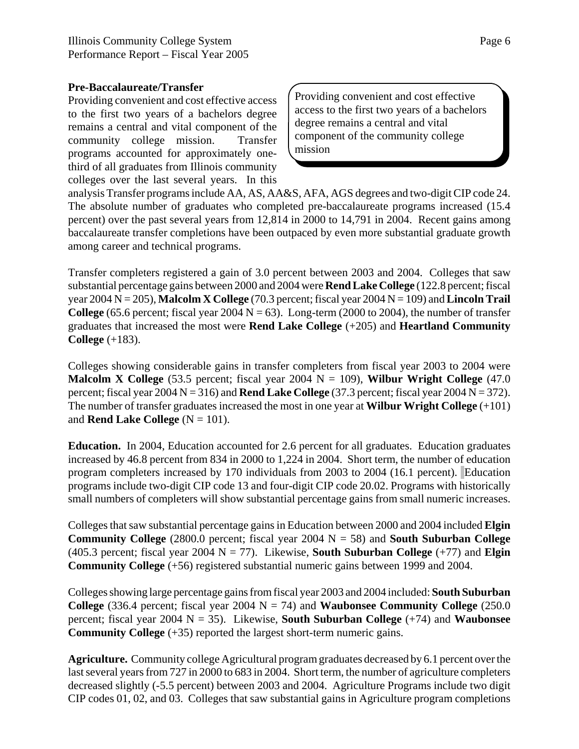#### **Pre-Baccalaureate/Transfer**

Providing convenient and cost effective access to the first two years of a bachelors degree remains a central and vital component of the community college mission. Transfer programs accounted for approximately onethird of all graduates from Illinois community colleges over the last several years. In this

Providing convenient and cost effective access to the first two years of a bachelors degree remains a central and vital component of the community college mission

analysis Transfer programs include AA, AS, AA&S, AFA, AGS degrees and two-digit CIP code 24. The absolute number of graduates who completed pre-baccalaureate programs increased (15.4 percent) over the past several years from 12,814 in 2000 to 14,791 in 2004. Recent gains among baccalaureate transfer completions have been outpaced by even more substantial graduate growth among career and technical programs.

Transfer completers registered a gain of 3.0 percent between 2003 and 2004. Colleges that saw substantial percentage gains between 2000 and 2004 were **Rend Lake College** (122.8 percent; fiscal year 2004 N = 205), **Malcolm X College** (70.3 percent; fiscal year 2004 N = 109) and **Lincoln Trail College** (65.6 percent; fiscal year 2004  $N = 63$ ). Long-term (2000 to 2004), the number of transfer graduates that increased the most were **Rend Lake College** (+205) and **Heartland Community College** (+183).

Colleges showing considerable gains in transfer completers from fiscal year 2003 to 2004 were **Malcolm X College** (53.5 percent; fiscal year 2004  $N = 109$ ), **Wilbur Wright College** (47.0) percent; fiscal year  $2004 \text{ N} = 316$ ) and **Rend Lake College** (37.3 percent; fiscal year  $2004 \text{ N} = 372$ ). The number of transfer graduates increased the most in one year at **Wilbur Wright College** (+101) and **Rend Lake College**  $(N = 101)$ .

**Education.** In 2004, Education accounted for 2.6 percent for all graduates. Education graduates increased by 46.8 percent from 834 in 2000 to 1,224 in 2004. Short term, the number of education program completers increased by 170 individuals from 2003 to 2004 (16.1 percent). Education programs include two-digit CIP code 13 and four-digit CIP code 20.02. Programs with historically small numbers of completers will show substantial percentage gains from small numeric increases.

Colleges that saw substantial percentage gains in Education between 2000 and 2004 included **Elgin Community College** (2800.0 percent; fiscal year 2004 N = 58) and **South Suburban College** (405.3 percent; fiscal year 2004  $N = 77$ ). Likewise, **South Suburban College**  $(+77)$  and **Elgin Community College** (+56) registered substantial numeric gains between 1999 and 2004.

Colleges showing large percentage gains from fiscal year 2003 and 2004 included: **South Suburban College** (336.4 percent; fiscal year 2004  $N = 74$ ) and **Waubonsee Community College** (250.0) percent; fiscal year 2004 N = 35). Likewise, **South Suburban College** (+74) and **Waubonsee Community College** (+35) reported the largest short-term numeric gains.

**Agriculture.** Community college Agricultural program graduates decreased by 6.1 percent over the last several years from 727 in 2000 to 683 in 2004. Short term, the number of agriculture completers decreased slightly (-5.5 percent) between 2003 and 2004. Agriculture Programs include two digit CIP codes 01, 02, and 03. Colleges that saw substantial gains in Agriculture program completions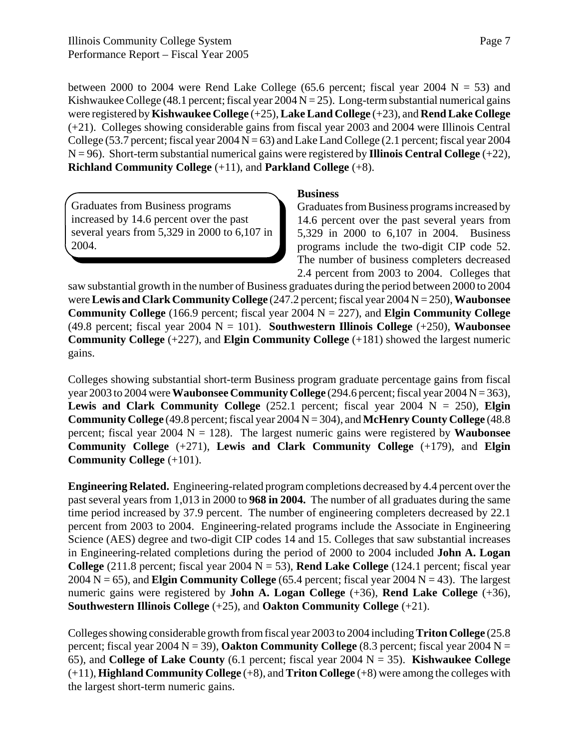between 2000 to 2004 were Rend Lake College (65.6 percent; fiscal year 2004  $N = 53$ ) and Kishwaukee College (48.1 percent; fiscal year  $2004 N = 25$ ). Long-term substantial numerical gains were registered by **Kishwaukee College** (+25), **Lake Land College** (+23), and **Rend Lake College** (+21). Colleges showing considerable gains from fiscal year 2003 and 2004 were Illinois Central College (53.7 percent; fiscal year  $2004 N = 63$ ) and Lake Land College (2.1 percent; fiscal year  $2004$  $N = 96$ ). Short-term substantial numerical gains were registered by **Illinois Central College**  $(+22)$ , **Richland Community College** (+11), and **Parkland College** (+8).

Graduates from Business programs increased by 14.6 percent over the past several years from 5,329 in 2000 to 6,107 in 2004.

#### **Business**

Graduates from Business programs increased by 14.6 percent over the past several years from 5,329 in 2000 to 6,107 in 2004. Business programs include the two-digit CIP code 52. The number of business completers decreased 2.4 percent from 2003 to 2004. Colleges that

saw substantial growth in the number of Business graduates during the period between 2000 to 2004 were **Lewis and Clark Community College** (247.2 percent; fiscal year 2004 N = 250), **Waubonsee Community College** (166.9 percent; fiscal year 2004 N = 227), and **Elgin Community College** (49.8 percent; fiscal year 2004 N = 101). **Southwestern Illinois College** (+250), **Waubonsee Community College** (+227), and **Elgin Community College** (+181) showed the largest numeric gains.

Colleges showing substantial short-term Business program graduate percentage gains from fiscal year 2003 to 2004 were **Waubonsee Community College** (294.6 percent; fiscal year 2004 N = 363), **Lewis and Clark Community College** (252.1 percent; fiscal year 2004  $N = 250$ ), **Elgin Community College** (49.8 percent; fiscal year 2004 N = 304), and **McHenry County College** (48.8 percent; fiscal year 2004  $N = 128$ ). The largest numeric gains were registered by **Waubonsee Community College** (+271), **Lewis and Clark Community College** (+179), and **Elgin Community College** (+101).

**Engineering Related.** Engineering-related program completions decreased by 4.4 percent over the past several years from 1,013 in 2000 to **968 in 2004.** The number of all graduates during the same time period increased by 37.9 percent. The number of engineering completers decreased by 22.1 percent from 2003 to 2004. Engineering-related programs include the Associate in Engineering Science (AES) degree and two-digit CIP codes 14 and 15. Colleges that saw substantial increases in Engineering-related completions during the period of 2000 to 2004 included **John A. Logan College** (211.8 percent; fiscal year 2004  $N = 53$ ), **Rend Lake College** (124.1 percent; fiscal year 2004 N = 65), and **Elgin Community College** (65.4 percent; fiscal year 2004 N = 43). The largest numeric gains were registered by **John A. Logan College** (+36), **Rend Lake College** (+36), **Southwestern Illinois College** (+25), and **Oakton Community College** (+21).

Colleges showing considerable growth from fiscal year 2003 to 2004 including **Triton College** (25.8 percent; fiscal year 2004  $N = 39$ ), **Oakton Community College** (8.3 percent; fiscal year 2004  $N =$ 65), and **College of Lake County** (6.1 percent; fiscal year 2004 N = 35). **Kishwaukee College** (+11), **Highland Community College** (+8), and **Triton College** (+8) were among the colleges with the largest short-term numeric gains.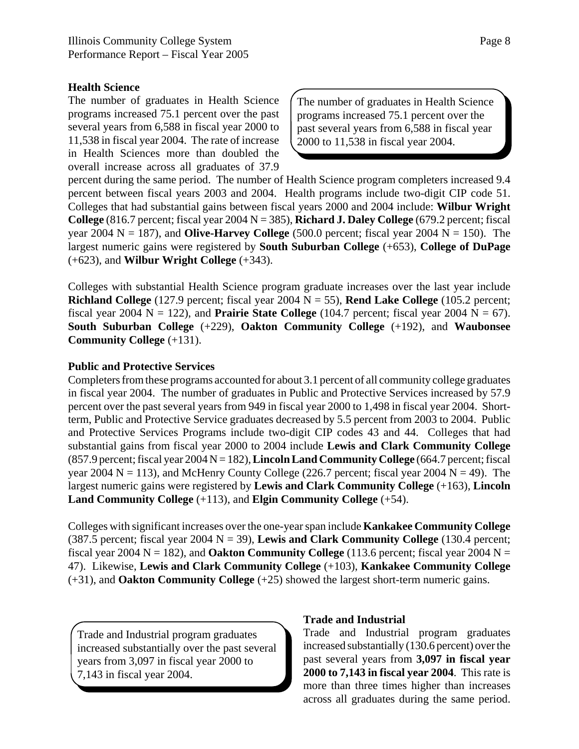#### **Health Science**

The number of graduates in Health Science programs increased 75.1 percent over the past several years from 6,588 in fiscal year 2000 to 11,538 in fiscal year 2004. The rate of increase in Health Sciences more than doubled the overall increase across all graduates of 37.9

The number of graduates in Health Science programs increased 75.1 percent over the past several years from 6,588 in fiscal year 2000 to 11,538 in fiscal year 2004.

percent during the same period. The number of Health Science program completers increased 9.4 percent between fiscal years 2003 and 2004. Health programs include two-digit CIP code 51. Colleges that had substantial gains between fiscal years 2000 and 2004 include: **Wilbur Wright College**  $(816.7 \text{ percent}; \text{fical year } 2004 \text{ N} = 385)$ , **Richard J. Daley College**  $(679.2 \text{ percent}; \text{fical})$ year 2004  $N = 187$ ), and **Olive-Harvey College** (500.0 percent; fiscal year 2004  $N = 150$ ). The largest numeric gains were registered by **South Suburban College** (+653), **College of DuPage** (+623), and **Wilbur Wright College** (+343).

Colleges with substantial Health Science program graduate increases over the last year include **Richland College** (127.9 percent; fiscal year 2004 N = 55), **Rend Lake College** (105.2 percent; fiscal year 2004  $N = 122$ ), and **Prairie State College** (104.7 percent; fiscal year 2004  $N = 67$ ). **South Suburban College** (+229), **Oakton Community College** (+192), and **Waubonsee Community College** (+131).

#### **Public and Protective Services**

Completers from these programs accounted for about 3.1 percent of all community college graduates in fiscal year 2004. The number of graduates in Public and Protective Services increased by 57.9 percent over the past several years from 949 in fiscal year 2000 to 1,498 in fiscal year 2004. Shortterm, Public and Protective Service graduates decreased by 5.5 percent from 2003 to 2004. Public and Protective Services Programs include two-digit CIP codes 43 and 44. Colleges that had substantial gains from fiscal year 2000 to 2004 include **Lewis and Clark Community College** (857.9 percent; fiscal year 2004 N = 182), **Lincoln Land Community College** (664.7 percent; fiscal year 2004  $N = 113$ ), and McHenry County College (226.7 percent; fiscal year 2004  $N = 49$ ). The largest numeric gains were registered by **Lewis and Clark Community College** (+163), **Lincoln Land Community College** (+113), and **Elgin Community College** (+54).

Colleges with significant increases over the one-year span include **Kankakee Community College** (387.5 percent; fiscal year 2004 N = 39), **Lewis and Clark Community College** (130.4 percent; fiscal year 2004  $N = 182$ ), and **Oakton Community College** (113.6 percent; fiscal year 2004  $N =$ 47). Likewise, **Lewis and Clark Community College** (+103), **Kankakee Community College** (+31), and **Oakton Community College** (+25) showed the largest short-term numeric gains.

Trade and Industrial program graduates increased substantially over the past several years from 3,097 in fiscal year 2000 to 7,143 in fiscal year 2004.

#### **Trade and Industrial**

Trade and Industrial program graduates increased substantially (130.6 percent) over the past several years from **3,097 in fiscal year 2000 to 7,143 in fiscal year 2004**. This rate is more than three times higher than increases across all graduates during the same period.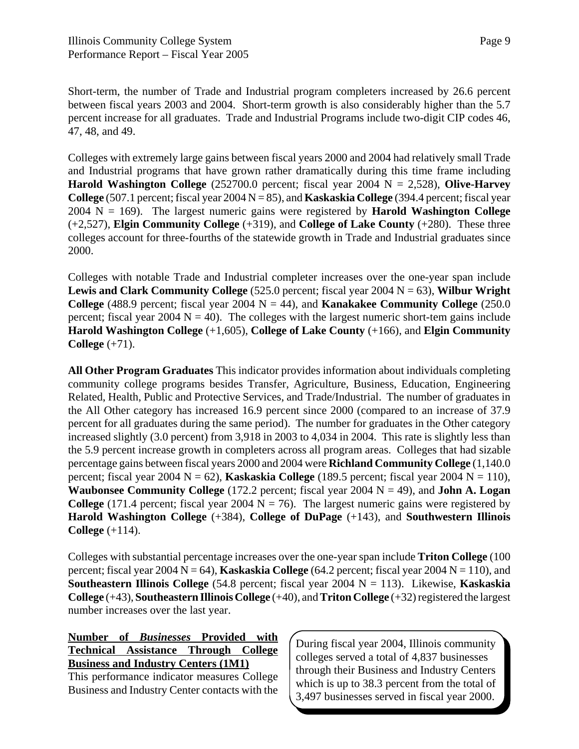Short-term, the number of Trade and Industrial program completers increased by 26.6 percent between fiscal years 2003 and 2004. Short-term growth is also considerably higher than the 5.7 percent increase for all graduates. Trade and Industrial Programs include two-digit CIP codes 46, 47, 48, and 49.

Colleges with extremely large gains between fiscal years 2000 and 2004 had relatively small Trade and Industrial programs that have grown rather dramatically during this time frame including **Harold Washington College**  $(252700.0$  percent; fiscal year 2004  $N = 2,528$ ), **Olive-Harvey College** (507.1 percent; fiscal year 2004 N = 85), and **Kaskaskia College** (394.4 percent; fiscal year 2004 N = 169). The largest numeric gains were registered by **Harold Washington College** (+2,527), **Elgin Community College** (+319), and **College of Lake County** (+280). These three colleges account for three-fourths of the statewide growth in Trade and Industrial graduates since 2000.

Colleges with notable Trade and Industrial completer increases over the one-year span include **Lewis and Clark Community College** (525.0 percent; fiscal year 2004 N = 63), **Wilbur Wright College** (488.9 percent; fiscal year 2004  $N = 44$ ), and **Kanakakee Community College** (250.0) percent; fiscal year 2004  $N = 40$ ). The colleges with the largest numeric short-tem gains include **Harold Washington College** (+1,605), **College of Lake County** (+166), and **Elgin Community College** (+71).

**All Other Program Graduates** This indicator provides information about individuals completing community college programs besides Transfer, Agriculture, Business, Education, Engineering Related, Health, Public and Protective Services, and Trade/Industrial. The number of graduates in the All Other category has increased 16.9 percent since 2000 (compared to an increase of 37.9 percent for all graduates during the same period). The number for graduates in the Other category increased slightly (3.0 percent) from 3,918 in 2003 to 4,034 in 2004. This rate is slightly less than the 5.9 percent increase growth in completers across all program areas. Colleges that had sizable percentage gains between fiscal years 2000 and 2004 were **Richland Community College** (1,140.0 percent; fiscal year 2004  $N = 62$ ), **Kaskaskia College** (189.5 percent; fiscal year 2004  $N = 110$ ), **Waubonsee Community College** (172.2 percent; fiscal year 2004  $N = 49$ ), and **John A. Logan College** (171.4 percent; fiscal year 2004  $N = 76$ ). The largest numeric gains were registered by **Harold Washington College** (+384), **College of DuPage** (+143), and **Southwestern Illinois College** (+114).

Colleges with substantial percentage increases over the one-year span include **Triton College** (100 percent; fiscal year 2004  $N = 64$ ), **Kaskaskia College** (64.2 percent; fiscal year 2004  $N = 110$ ), and **Southeastern Illinois College** (54.8 percent; fiscal year 2004 N = 113). Likewise, **Kaskaskia College** (+43), **Southeastern Illinois College** (+40), and **Triton College** (+32) registered the largest number increases over the last year.

**Number of** *Businesses* **Provided with Technical Assistance Through College Business and Industry Centers (1M1)**

This performance indicator measures College Business and Industry Center contacts with the During fiscal year 2004, Illinois community colleges served a total of 4,837 businesses through their Business and Industry Centers which is up to 38.3 percent from the total of 3,497 businesses served in fiscal year 2000.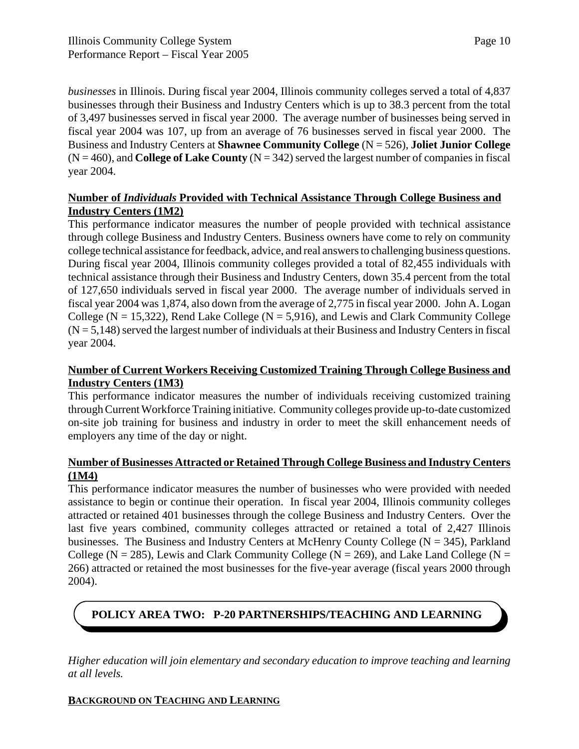*businesses* in Illinois. During fiscal year 2004, Illinois community colleges served a total of 4,837 businesses through their Business and Industry Centers which is up to 38.3 percent from the total of 3,497 businesses served in fiscal year 2000. The average number of businesses being served in fiscal year 2004 was 107, up from an average of 76 businesses served in fiscal year 2000. The Business and Industry Centers at **Shawnee Community College** (N = 526), **Joliet Junior College**  $(N = 460)$ , and **College of Lake County**  $(N = 342)$  served the largest number of companies in fiscal year 2004.

#### **Number of** *Individuals* **Provided with Technical Assistance Through College Business and Industry Centers (1M2)**

This performance indicator measures the number of people provided with technical assistance through college Business and Industry Centers. Business owners have come to rely on community college technical assistance for feedback, advice, and real answers to challenging business questions. During fiscal year 2004, Illinois community colleges provided a total of 82,455 individuals with technical assistance through their Business and Industry Centers, down 35.4 percent from the total of 127,650 individuals served in fiscal year 2000. The average number of individuals served in fiscal year 2004 was 1,874, also down from the average of 2,775 in fiscal year 2000. John A. Logan College ( $N = 15,322$ ), Rend Lake College ( $N = 5,916$ ), and Lewis and Clark Community College  $(N = 5,148)$  served the largest number of individuals at their Business and Industry Centers in fiscal year 2004.

#### **Number of Current Workers Receiving Customized Training Through College Business and Industry Centers (1M3)**

This performance indicator measures the number of individuals receiving customized training through Current Workforce Training initiative. Community colleges provide up-to-date customized on-site job training for business and industry in order to meet the skill enhancement needs of employers any time of the day or night.

#### **Number of Businesses Attracted or Retained Through College Business and Industry Centers (1M4)**

This performance indicator measures the number of businesses who were provided with needed assistance to begin or continue their operation. In fiscal year 2004, Illinois community colleges attracted or retained 401 businesses through the college Business and Industry Centers. Over the last five years combined, community colleges attracted or retained a total of 2,427 Illinois businesses. The Business and Industry Centers at McHenry County College ( $N = 345$ ), Parkland College ( $N = 285$ ), Lewis and Clark Community College ( $N = 269$ ), and Lake Land College ( $N = 269$ ) 266) attracted or retained the most businesses for the five-year average (fiscal years 2000 through 2004).

## **POLICY AREA TWO: P-20 PARTNERSHIPS/TEACHING AND LEARNING**

*Higher education will join elementary and secondary education to improve teaching and learning at all levels.*

#### **BACKGROUND ON TEACHING AND LEARNING**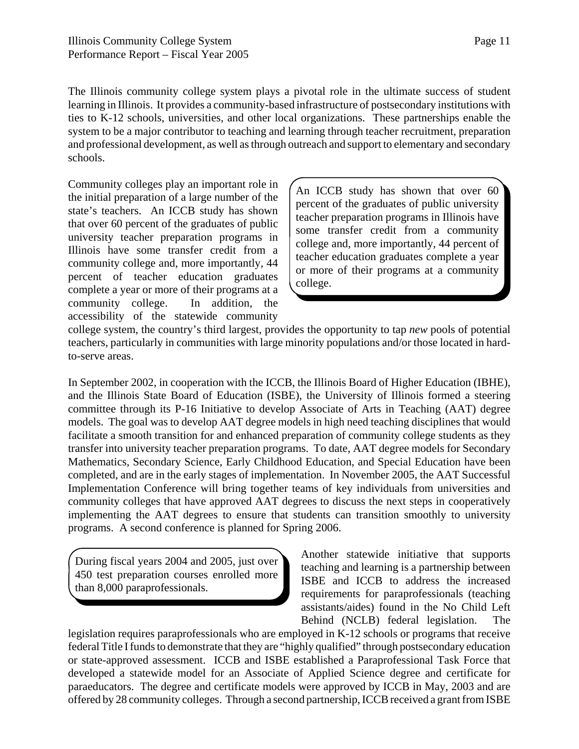The Illinois community college system plays a pivotal role in the ultimate success of student learning in Illinois. It provides a community-based infrastructure of postsecondary institutions with ties to K-12 schools, universities, and other local organizations. These partnerships enable the system to be a major contributor to teaching and learning through teacher recruitment, preparation and professional development, as well as through outreach and support to elementary and secondary schools.

Community colleges play an important role in the initial preparation of a large number of the state's teachers. An ICCB study has shown that over 60 percent of the graduates of public university teacher preparation programs in Illinois have some transfer credit from a community college and, more importantly, 44 percent of teacher education graduates complete a year or more of their programs at a community college. In addition, the accessibility of the statewide community

An ICCB study has shown that over 60 percent of the graduates of public university teacher preparation programs in Illinois have some transfer credit from a community college and, more importantly, 44 percent of teacher education graduates complete a year or more of their programs at a community college.

college system, the country's third largest, provides the opportunity to tap *new* pools of potential teachers, particularly in communities with large minority populations and/or those located in hardto-serve areas.

In September 2002, in cooperation with the ICCB, the Illinois Board of Higher Education (IBHE), and the Illinois State Board of Education (ISBE), the University of Illinois formed a steering committee through its P-16 Initiative to develop Associate of Arts in Teaching (AAT) degree models. The goal was to develop AAT degree models in high need teaching disciplines that would facilitate a smooth transition for and enhanced preparation of community college students as they transfer into university teacher preparation programs. To date, AAT degree models for Secondary Mathematics, Secondary Science, Early Childhood Education, and Special Education have been completed, and are in the early stages of implementation. In November 2005, the AAT Successful Implementation Conference will bring together teams of key individuals from universities and community colleges that have approved AAT degrees to discuss the next steps in cooperatively implementing the AAT degrees to ensure that students can transition smoothly to university programs. A second conference is planned for Spring 2006.

During fiscal years 2004 and 2005, just over 450 test preparation courses enrolled more than 8,000 paraprofessionals.

Another statewide initiative that supports teaching and learning is a partnership between ISBE and ICCB to address the increased requirements for paraprofessionals (teaching assistants/aides) found in the No Child Left Behind (NCLB) federal legislation. The

legislation requires paraprofessionals who are employed in K-12 schools or programs that receive federal Title I funds to demonstrate that they are "highly qualified" through postsecondary education or state-approved assessment. ICCB and ISBE established a Paraprofessional Task Force that developed a statewide model for an Associate of Applied Science degree and certificate for paraeducators. The degree and certificate models were approved by ICCB in May, 2003 and are offered by 28 community colleges. Through a second partnership, ICCB received a grant from ISBE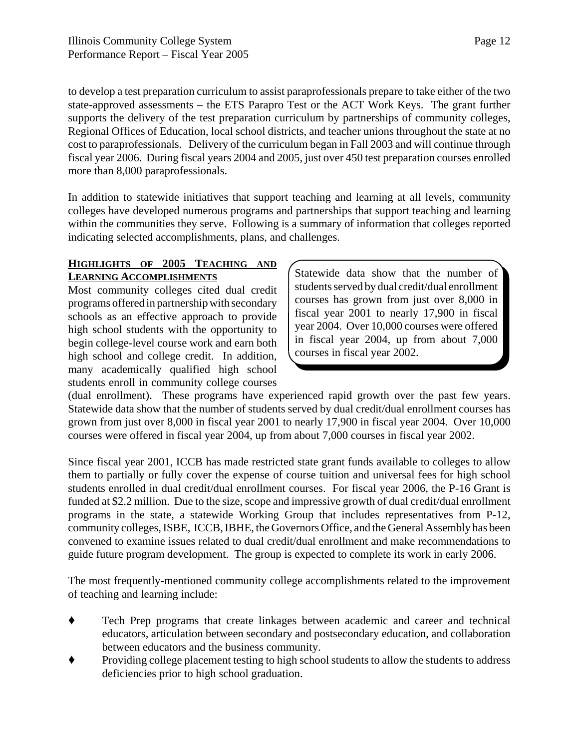to develop a test preparation curriculum to assist paraprofessionals prepare to take either of the two state-approved assessments – the ETS Parapro Test or the ACT Work Keys. The grant further supports the delivery of the test preparation curriculum by partnerships of community colleges, Regional Offices of Education, local school districts, and teacher unions throughout the state at no cost to paraprofessionals. Delivery of the curriculum began in Fall 2003 and will continue through fiscal year 2006. During fiscal years 2004 and 2005, just over 450 test preparation courses enrolled more than 8,000 paraprofessionals.

In addition to statewide initiatives that support teaching and learning at all levels, community colleges have developed numerous programs and partnerships that support teaching and learning within the communities they serve. Following is a summary of information that colleges reported indicating selected accomplishments, plans, and challenges.

#### **HIGHLIGHTS OF 2005 TEACHING AND LEARNING ACCOMPLISHMENTS**

Most community colleges cited dual credit programs offered in partnership with secondary schools as an effective approach to provide high school students with the opportunity to begin college-level course work and earn both high school and college credit. In addition, many academically qualified high school students enroll in community college courses

Statewide data show that the number of students served by dual credit/dual enrollment courses has grown from just over 8,000 in fiscal year 2001 to nearly 17,900 in fiscal year 2004. Over 10,000 courses were offered in fiscal year 2004, up from about 7,000 courses in fiscal year 2002.

(dual enrollment). These programs have experienced rapid growth over the past few years. Statewide data show that the number of students served by dual credit/dual enrollment courses has grown from just over 8,000 in fiscal year 2001 to nearly 17,900 in fiscal year 2004. Over 10,000 courses were offered in fiscal year 2004, up from about 7,000 courses in fiscal year 2002.

Since fiscal year 2001, ICCB has made restricted state grant funds available to colleges to allow them to partially or fully cover the expense of course tuition and universal fees for high school students enrolled in dual credit/dual enrollment courses. For fiscal year 2006, the P-16 Grant is funded at \$2.2 million. Due to the size, scope and impressive growth of dual credit/dual enrollment programs in the state, a statewide Working Group that includes representatives from P-12, community colleges, ISBE, ICCB, IBHE, the Governors Office, and the General Assembly has been convened to examine issues related to dual credit/dual enrollment and make recommendations to guide future program development. The group is expected to complete its work in early 2006.

The most frequently-mentioned community college accomplishments related to the improvement of teaching and learning include:

- ' Tech Prep programs that create linkages between academic and career and technical educators, articulation between secondary and postsecondary education, and collaboration between educators and the business community.
- ' Providing college placement testing to high school students to allow the students to address deficiencies prior to high school graduation.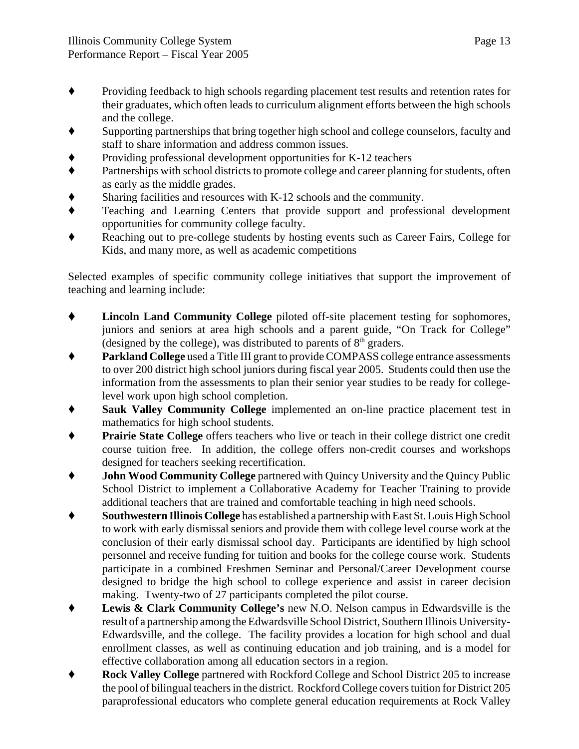- ' Providing feedback to high schools regarding placement test results and retention rates for their graduates, which often leads to curriculum alignment efforts between the high schools and the college.
- Supporting partnerships that bring together high school and college counselors, faculty and staff to share information and address common issues.
- ' Providing professional development opportunities for K-12 teachers
- ' Partnerships with school districts to promote college and career planning for students, often as early as the middle grades.
- Sharing facilities and resources with K-12 schools and the community.
- ' Teaching and Learning Centers that provide support and professional development opportunities for community college faculty.
- Reaching out to pre-college students by hosting events such as Career Fairs, College for Kids, and many more, as well as academic competitions

Selected examples of specific community college initiatives that support the improvement of teaching and learning include:

- ' **Lincoln Land Community College** piloted off-site placement testing for sophomores, juniors and seniors at area high schools and a parent guide, "On Track for College" (designed by the college), was distributed to parents of  $8<sup>th</sup>$  graders.
- ' **Parkland College** used a Title III grant to provide COMPASS college entrance assessments to over 200 district high school juniors during fiscal year 2005. Students could then use the information from the assessments to plan their senior year studies to be ready for collegelevel work upon high school completion.
- ' **Sauk Valley Community College** implemented an on-line practice placement test in mathematics for high school students.
- **Prairie State College** offers teachers who live or teach in their college district one credit course tuition free. In addition, the college offers non-credit courses and workshops designed for teachers seeking recertification.
- **John Wood Community College** partnered with Quincy University and the Quincy Public School District to implement a Collaborative Academy for Teacher Training to provide additional teachers that are trained and comfortable teaching in high need schools.
- ' **Southwestern Illinois College** has established a partnership with East St. Louis High School to work with early dismissal seniors and provide them with college level course work at the conclusion of their early dismissal school day. Participants are identified by high school personnel and receive funding for tuition and books for the college course work. Students participate in a combined Freshmen Seminar and Personal/Career Development course designed to bridge the high school to college experience and assist in career decision making. Twenty-two of 27 participants completed the pilot course.
- ' **Lewis & Clark Community College's** new N.O. Nelson campus in Edwardsville is the result of a partnership among the Edwardsville School District, Southern Illinois University-Edwardsville, and the college. The facility provides a location for high school and dual enrollment classes, as well as continuing education and job training, and is a model for effective collaboration among all education sectors in a region.
- ' **Rock Valley College** partnered with Rockford College and School District 205 to increase the pool of bilingual teachers in the district. Rockford College covers tuition for District 205 paraprofessional educators who complete general education requirements at Rock Valley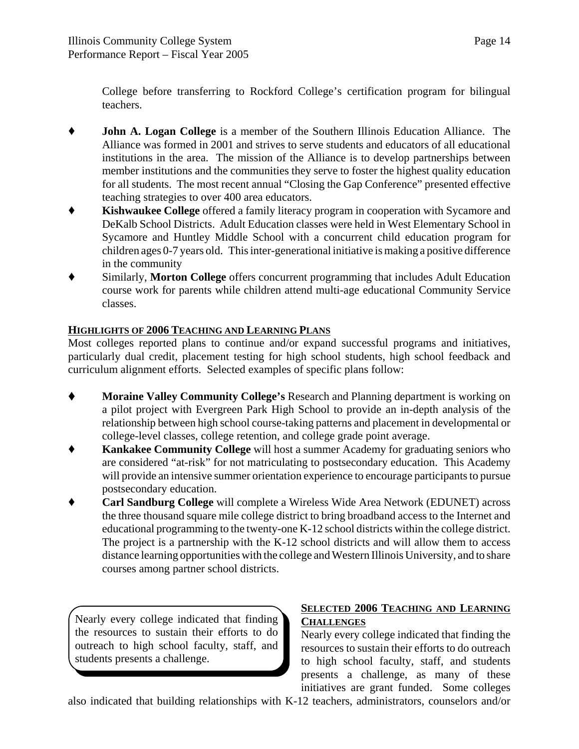College before transferring to Rockford College's certification program for bilingual teachers.

- ' **John A. Logan College** is a member of the Southern Illinois Education Alliance. The Alliance was formed in 2001 and strives to serve students and educators of all educational institutions in the area. The mission of the Alliance is to develop partnerships between member institutions and the communities they serve to foster the highest quality education for all students. The most recent annual "Closing the Gap Conference" presented effective teaching strategies to over 400 area educators.
- **Kishwaukee College** offered a family literacy program in cooperation with Sycamore and DeKalb School Districts. Adult Education classes were held in West Elementary School in Sycamore and Huntley Middle School with a concurrent child education program for children ages 0-7 years old. This inter-generational initiative is making a positive difference in the community
- ' Similarly, **Morton College** offers concurrent programming that includes Adult Education course work for parents while children attend multi-age educational Community Service classes.

#### **HIGHLIGHTS OF 2006 TEACHING AND LEARNING PLANS**

Most colleges reported plans to continue and/or expand successful programs and initiatives, particularly dual credit, placement testing for high school students, high school feedback and curriculum alignment efforts. Selected examples of specific plans follow:

- ' **Moraine Valley Community College's** Research and Planning department is working on a pilot project with Evergreen Park High School to provide an in-depth analysis of the relationship between high school course-taking patterns and placement in developmental or college-level classes, college retention, and college grade point average.
- ' **Kankakee Community College** will host a summer Academy for graduating seniors who are considered "at-risk" for not matriculating to postsecondary education. This Academy will provide an intensive summer orientation experience to encourage participants to pursue postsecondary education.
- ' **Carl Sandburg College** will complete a Wireless Wide Area Network (EDUNET) across the three thousand square mile college district to bring broadband access to the Internet and educational programming to the twenty-one K-12 school districts within the college district. The project is a partnership with the K-12 school districts and will allow them to access distance learning opportunities with the college and Western Illinois University, and to share courses among partner school districts.

Nearly every college indicated that finding the resources to sustain their efforts to do outreach to high school faculty, staff, and students presents a challenge.

#### **SELECTED 2006 TEACHING AND LEARNING CHALLENGES**

Nearly every college indicated that finding the resources to sustain their efforts to do outreach to high school faculty, staff, and students presents a challenge, as many of these initiatives are grant funded. Some colleges

also indicated that building relationships with K-12 teachers, administrators, counselors and/or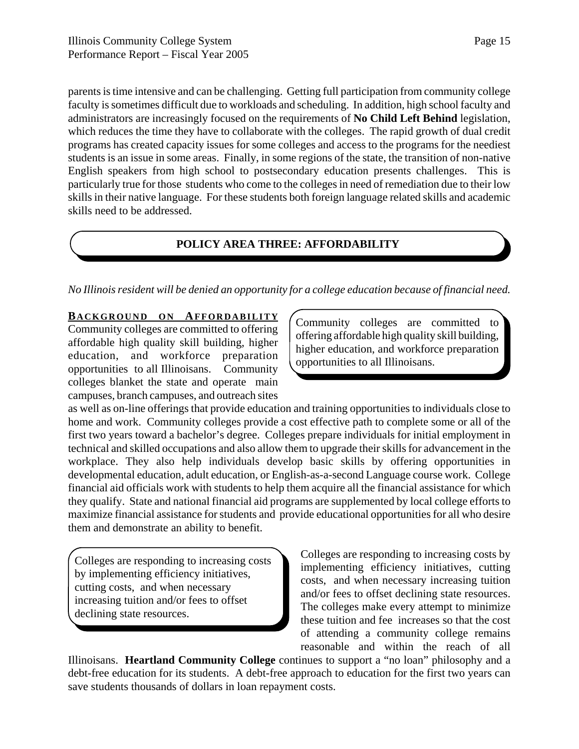parents is time intensive and can be challenging. Getting full participation from community college faculty is sometimes difficult due to workloads and scheduling. In addition, high school faculty and administrators are increasingly focused on the requirements of **No Child Left Behind** legislation, which reduces the time they have to collaborate with the colleges. The rapid growth of dual credit programs has created capacity issues for some colleges and access to the programs for the neediest students is an issue in some areas. Finally, in some regions of the state, the transition of non-native English speakers from high school to postsecondary education presents challenges. This is particularly true for those students who come to the colleges in need of remediation due to their low skills in their native language. For these students both foreign language related skills and academic skills need to be addressed.

#### **POLICY AREA THREE: AFFORDABILITY**

*No Illinois resident will be denied an opportunity for a college education because of financial need.*

#### **BACKGROUND ON AFFORDABILITY**

Community colleges are committed to offering affordable high quality skill building, higher education, and workforce preparation opportunities to all Illinoisans. Community colleges blanket the state and operate main campuses, branch campuses, and outreach sites

Community colleges are committed to offering affordable high quality skill building, higher education, and workforce preparation opportunities to all Illinoisans.

as well as on-line offerings that provide education and training opportunities to individuals close to home and work. Community colleges provide a cost effective path to complete some or all of the first two years toward a bachelor's degree. Colleges prepare individuals for initial employment in technical and skilled occupations and also allow them to upgrade their skills for advancement in the workplace. They also help individuals develop basic skills by offering opportunities in developmental education, adult education, or English-as-a-second Language course work. College financial aid officials work with students to help them acquire all the financial assistance for which they qualify. State and national financial aid programs are supplemented by local college efforts to maximize financial assistance for students and provide educational opportunities for all who desire them and demonstrate an ability to benefit.

Colleges are responding to increasing costs by implementing efficiency initiatives, cutting costs, and when necessary increasing tuition and/or fees to offset declining state resources.

Colleges are responding to increasing costs by implementing efficiency initiatives, cutting costs, and when necessary increasing tuition and/or fees to offset declining state resources. The colleges make every attempt to minimize these tuition and fee increases so that the cost of attending a community college remains reasonable and within the reach of all

Illinoisans. **Heartland Community College** continues to support a "no loan" philosophy and a debt-free education for its students. A debt-free approach to education for the first two years can save students thousands of dollars in loan repayment costs.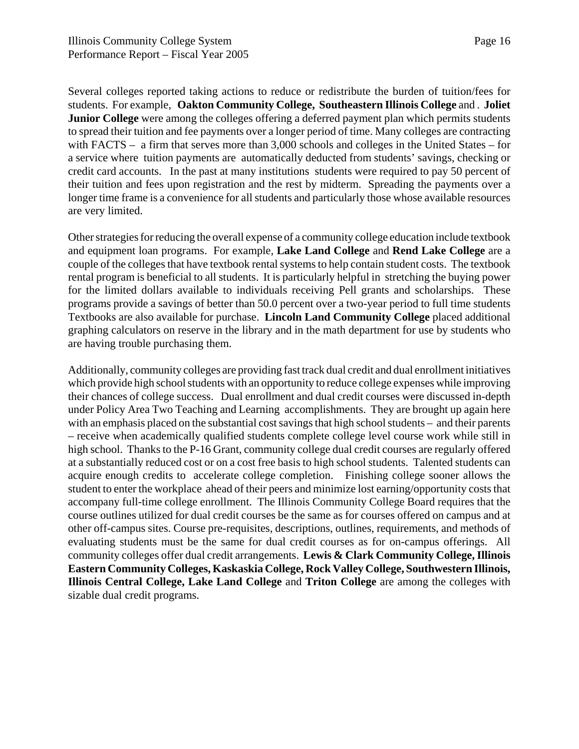Several colleges reported taking actions to reduce or redistribute the burden of tuition/fees for students. For example, **Oakton Community College, Southeastern Illinois College** and . **Joliet Junior College** were among the colleges offering a deferred payment plan which permits students to spread their tuition and fee payments over a longer period of time. Many colleges are contracting with FACTS – a firm that serves more than 3,000 schools and colleges in the United States – for a service where tuition payments are automatically deducted from students' savings, checking or credit card accounts. In the past at many institutions students were required to pay 50 percent of their tuition and fees upon registration and the rest by midterm. Spreading the payments over a longer time frame is a convenience for all students and particularly those whose available resources are very limited.

Other strategies for reducing the overall expense of a community college education include textbook and equipment loan programs. For example, **Lake Land College** and **Rend Lake College** are a couple of the colleges that have textbook rental systems to help contain student costs. The textbook rental program is beneficial to all students. It is particularly helpful in stretching the buying power for the limited dollars available to individuals receiving Pell grants and scholarships. These programs provide a savings of better than 50.0 percent over a two-year period to full time students Textbooks are also available for purchase. **Lincoln Land Community College** placed additional graphing calculators on reserve in the library and in the math department for use by students who are having trouble purchasing them.

Additionally, community colleges are providing fast track dual credit and dual enrollment initiatives which provide high school students with an opportunity to reduce college expenses while improving their chances of college success. Dual enrollment and dual credit courses were discussed in-depth under Policy Area Two Teaching and Learning accomplishments. They are brought up again here with an emphasis placed on the substantial cost savings that high school students – and their parents – receive when academically qualified students complete college level course work while still in high school. Thanks to the P-16 Grant, community college dual credit courses are regularly offered at a substantially reduced cost or on a cost free basis to high school students. Talented students can acquire enough credits to accelerate college completion. Finishing college sooner allows the student to enter the workplace ahead of their peers and minimize lost earning/opportunity costs that accompany full-time college enrollment. The Illinois Community College Board requires that the course outlines utilized for dual credit courses be the same as for courses offered on campus and at other off-campus sites. Course pre-requisites, descriptions, outlines, requirements, and methods of evaluating students must be the same for dual credit courses as for on-campus offerings. All community colleges offer dual credit arrangements. **Lewis & Clark Community College, Illinois Eastern Community Colleges, Kaskaskia College, Rock Valley College, Southwestern Illinois, Illinois Central College, Lake Land College** and **Triton College** are among the colleges with sizable dual credit programs.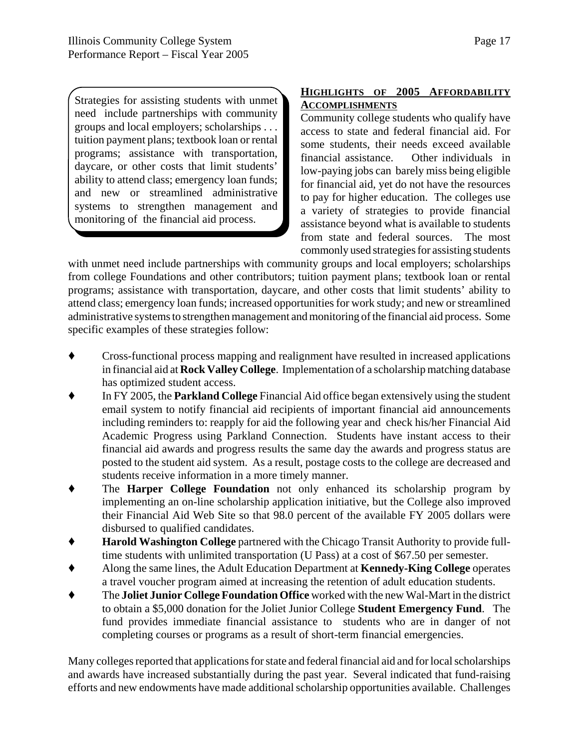Strategies for assisting students with unmet need include partnerships with community groups and local employers; scholarships . . . tuition payment plans; textbook loan or rental programs; assistance with transportation, daycare, or other costs that limit students' ability to attend class; emergency loan funds; and new or streamlined administrative systems to strengthen management and monitoring of the financial aid process.

#### **HIGHLIGHTS OF 2005 AFFORDABILITY ACCOMPLISHMENTS**

Community college students who qualify have access to state and federal financial aid. For some students, their needs exceed available financial assistance. Other individuals in low-paying jobs can barely miss being eligible for financial aid, yet do not have the resources to pay for higher education. The colleges use a variety of strategies to provide financial assistance beyond what is available to students from state and federal sources. The most commonly used strategies for assisting students

with unmet need include partnerships with community groups and local employers; scholarships from college Foundations and other contributors; tuition payment plans; textbook loan or rental programs; assistance with transportation, daycare, and other costs that limit students' ability to attend class; emergency loan funds; increased opportunities for work study; and new or streamlined administrative systems to strengthen management and monitoring of the financial aid process. Some specific examples of these strategies follow:

- ' Cross-functional process mapping and realignment have resulted in increased applications in financial aid at **Rock Valley College**. Implementation of a scholarship matching database has optimized student access.
- ' In FY 2005, the **Parkland College** Financial Aid office began extensively using the student email system to notify financial aid recipients of important financial aid announcements including reminders to: reapply for aid the following year and check his/her Financial Aid Academic Progress using Parkland Connection. Students have instant access to their financial aid awards and progress results the same day the awards and progress status are posted to the student aid system. As a result, postage costs to the college are decreased and students receive information in a more timely manner.
- ' The **Harper College Foundation** not only enhanced its scholarship program by implementing an on-line scholarship application initiative, but the College also improved their Financial Aid Web Site so that 98.0 percent of the available FY 2005 dollars were disbursed to qualified candidates.
- ' **Harold Washington College** partnered with the Chicago Transit Authority to provide fulltime students with unlimited transportation (U Pass) at a cost of \$67.50 per semester.
- ' Along the same lines, the Adult Education Department at **Kennedy-King College** operates a travel voucher program aimed at increasing the retention of adult education students.
- ' The **Joliet Junior College Foundation Office** worked with the new Wal-Mart in the district to obtain a \$5,000 donation for the Joliet Junior College **Student Emergency Fund**. The fund provides immediate financial assistance to students who are in danger of not completing courses or programs as a result of short-term financial emergencies.

Many colleges reported that applications for state and federal financial aid and for local scholarships and awards have increased substantially during the past year. Several indicated that fund-raising efforts and new endowments have made additional scholarship opportunities available. Challenges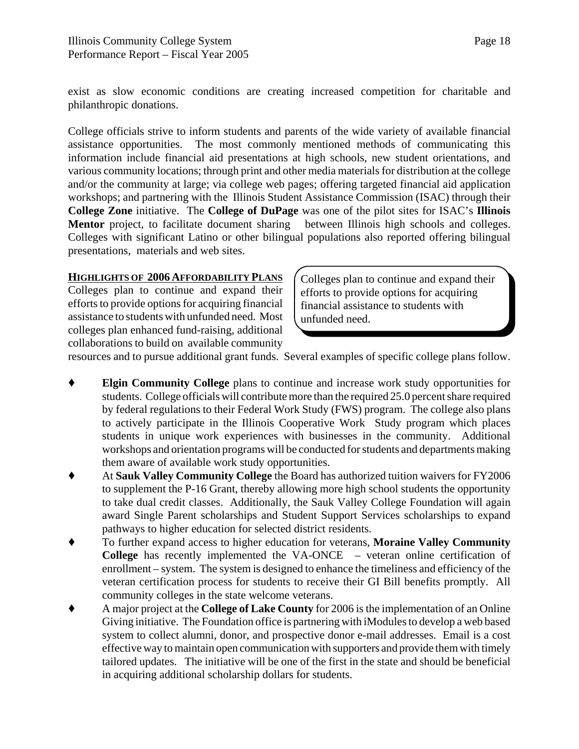exist as slow economic conditions are creating increased competition for charitable and philanthropic donations.

College officials strive to inform students and parents of the wide variety of available financial assistance opportunities. The most commonly mentioned methods of communicating this information include financial aid presentations at high schools, new student orientations, and various community locations; through print and other media materials for distribution at the college and/or the community at large; via college web pages; offering targeted financial aid application workshops; and partnering with the Illinois Student Assistance Commission (ISAC) through their **College Zone** initiative. The **College of DuPage** was one of the pilot sites for ISAC's **Illinois** Mentor project, to facilitate document sharing between Illinois high schools and colleges. Colleges with significant Latino or other bilingual populations also reported offering bilingual presentations, materials and web sites.

#### **HIGHLIGHTS OF 2006 AFFORDABILITY PLANS**

Colleges plan to continue and expand their efforts to provide options for acquiring financial assistance to students with unfunded need. Most colleges plan enhanced fund-raising, additional collaborations to build on available community

Colleges plan to continue and expand their efforts to provide options for acquiring financial assistance to students with unfunded need.

resources and to pursue additional grant funds. Several examples of specific college plans follow.

- **Elgin Community College** plans to continue and increase work study opportunities for students. College officials will contribute more than the required 25.0 percent share required by federal regulations to their Federal Work Study (FWS) program. The college also plans to actively participate in the Illinois Cooperative Work Study program which places students in unique work experiences with businesses in the community. Additional workshops and orientation programs will be conducted for students and departments making them aware of available work study opportunities.
- ' At **Sauk Valley Community College** the Board has authorized tuition waivers for FY2006 to supplement the P-16 Grant, thereby allowing more high school students the opportunity to take dual credit classes. Additionally, the Sauk Valley College Foundation will again award Single Parent scholarships and Student Support Services scholarships to expand pathways to higher education for selected district residents.
- To further expand access to higher education for veterans, **Moraine Valley Community College** has recently implemented the VA-ONCE – veteran online certification of enrollment – system. The system is designed to enhance the timeliness and efficiency of the veteran certification process for students to receive their GI Bill benefits promptly. All community colleges in the state welcome veterans.
- ' A major project at the **College of Lake County** for 2006 is the implementation of an Online Giving initiative. The Foundation office is partnering with iModules to develop a web based system to collect alumni, donor, and prospective donor e-mail addresses. Email is a cost effective way to maintain open communication with supporters and provide them with timely tailored updates. The initiative will be one of the first in the state and should be beneficial in acquiring additional scholarship dollars for students.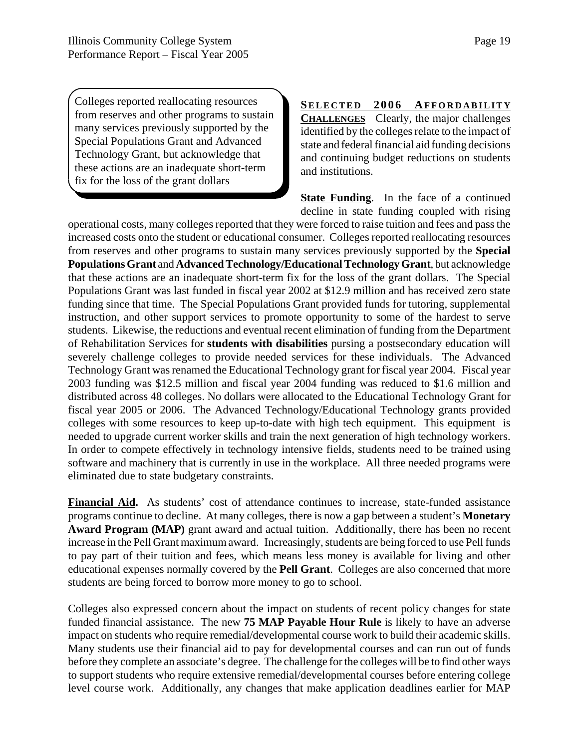Colleges reported reallocating resources from reserves and other programs to sustain many services previously supported by the Special Populations Grant and Advanced Technology Grant, but acknowledge that these actions are an inadequate short-term fix for the loss of the grant dollars

**SELECTED 2006 AFFORDABILITY CHALLENGES** Clearly, the major challenges identified by the colleges relate to the impact of state and federal financial aid funding decisions and continuing budget reductions on students and institutions.

**State Funding**. In the face of a continued decline in state funding coupled with rising

operational costs, many colleges reported that they were forced to raise tuition and fees and pass the increased costs onto the student or educational consumer. Colleges reported reallocating resources from reserves and other programs to sustain many services previously supported by the **Special Populations Grant** and **Advanced Technology/Educational Technology Grant**, but acknowledge that these actions are an inadequate short-term fix for the loss of the grant dollars. The Special Populations Grant was last funded in fiscal year 2002 at \$12.9 million and has received zero state funding since that time. The Special Populations Grant provided funds for tutoring, supplemental instruction, and other support services to promote opportunity to some of the hardest to serve students. Likewise, the reductions and eventual recent elimination of funding from the Department of Rehabilitation Services for **students with disabilities** pursing a postsecondary education will severely challenge colleges to provide needed services for these individuals. The Advanced Technology Grant was renamed the Educational Technology grant for fiscal year 2004. Fiscal year 2003 funding was \$12.5 million and fiscal year 2004 funding was reduced to \$1.6 million and distributed across 48 colleges. No dollars were allocated to the Educational Technology Grant for fiscal year 2005 or 2006. The Advanced Technology/Educational Technology grants provided colleges with some resources to keep up-to-date with high tech equipment. This equipment is needed to upgrade current worker skills and train the next generation of high technology workers. In order to compete effectively in technology intensive fields, students need to be trained using software and machinery that is currently in use in the workplace. All three needed programs were eliminated due to state budgetary constraints.

**Financial Aid.** As students' cost of attendance continues to increase, state-funded assistance programs continue to decline. At many colleges, there is now a gap between a student's **Monetary Award Program (MAP)** grant award and actual tuition. Additionally, there has been no recent increase in the Pell Grant maximum award. Increasingly, students are being forced to use Pell funds to pay part of their tuition and fees, which means less money is available for living and other educational expenses normally covered by the **Pell Grant**. Colleges are also concerned that more students are being forced to borrow more money to go to school.

Colleges also expressed concern about the impact on students of recent policy changes for state funded financial assistance. The new **75 MAP Payable Hour Rule** is likely to have an adverse impact on students who require remedial/developmental course work to build their academic skills. Many students use their financial aid to pay for developmental courses and can run out of funds before they complete an associate's degree. The challenge for the colleges will be to find other ways to support students who require extensive remedial/developmental courses before entering college level course work. Additionally, any changes that make application deadlines earlier for MAP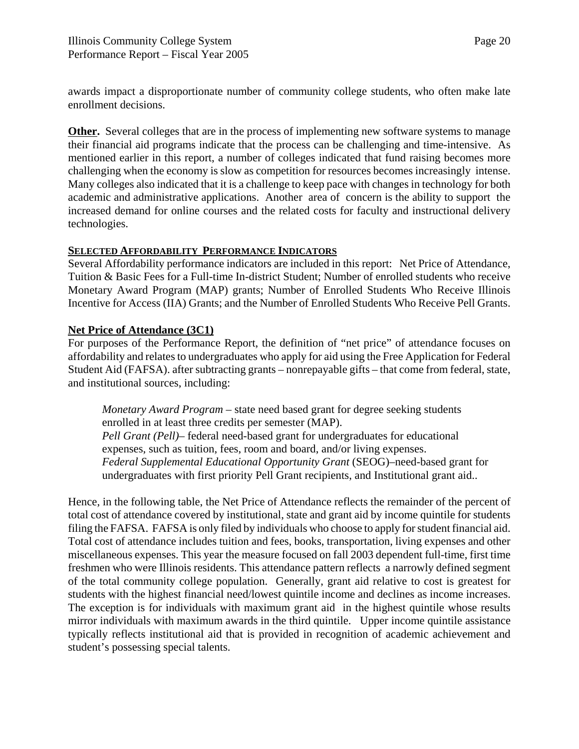awards impact a disproportionate number of community college students, who often make late enrollment decisions.

**Other.** Several colleges that are in the process of implementing new software systems to manage their financial aid programs indicate that the process can be challenging and time-intensive. As mentioned earlier in this report, a number of colleges indicated that fund raising becomes more challenging when the economy is slow as competition for resources becomes increasingly intense. Many colleges also indicated that it is a challenge to keep pace with changes in technology for both academic and administrative applications. Another area of concern is the ability to support the increased demand for online courses and the related costs for faculty and instructional delivery technologies.

#### **SELECTED AFFORDABILITY PERFORMANCE INDICATORS**

Several Affordability performance indicators are included in this report: Net Price of Attendance, Tuition & Basic Fees for a Full-time In-district Student; Number of enrolled students who receive Monetary Award Program (MAP) grants; Number of Enrolled Students Who Receive Illinois Incentive for Access (IIA) Grants; and the Number of Enrolled Students Who Receive Pell Grants.

#### **Net Price of Attendance (3C1)**

For purposes of the Performance Report, the definition of "net price" of attendance focuses on affordability and relates to undergraduates who apply for aid using the Free Application for Federal Student Aid (FAFSA). after subtracting grants – nonrepayable gifts – that come from federal, state, and institutional sources, including:

*Monetary Award Program* – state need based grant for degree seeking students enrolled in at least three credits per semester (MAP). *Pell Grant (Pell)*– federal need-based grant for undergraduates for educational expenses, such as tuition, fees, room and board, and/or living expenses. *Federal Supplemental Educational Opportunity Grant* (SEOG)–need-based grant for undergraduates with first priority Pell Grant recipients, and Institutional grant aid..

Hence, in the following table, the Net Price of Attendance reflects the remainder of the percent of total cost of attendance covered by institutional, state and grant aid by income quintile for students filing the FAFSA. FAFSA is only filed by individuals who choose to apply for student financial aid. Total cost of attendance includes tuition and fees, books, transportation, living expenses and other miscellaneous expenses. This year the measure focused on fall 2003 dependent full-time, first time freshmen who were Illinois residents. This attendance pattern reflects a narrowly defined segment of the total community college population. Generally, grant aid relative to cost is greatest for students with the highest financial need/lowest quintile income and declines as income increases. The exception is for individuals with maximum grant aid in the highest quintile whose results mirror individuals with maximum awards in the third quintile. Upper income quintile assistance typically reflects institutional aid that is provided in recognition of academic achievement and student's possessing special talents.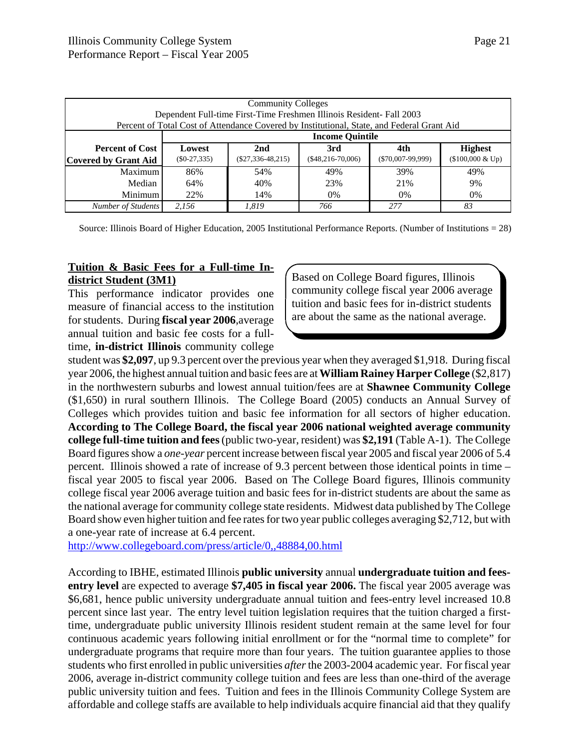| <b>Community Colleges</b>                                                                  |                        |                     |                    |                     |                    |  |  |
|--------------------------------------------------------------------------------------------|------------------------|---------------------|--------------------|---------------------|--------------------|--|--|
| Dependent Full-time First-Time Freshmen Illinois Resident- Fall 2003                       |                        |                     |                    |                     |                    |  |  |
| Percent of Total Cost of Attendance Covered by Institutional, State, and Federal Grant Aid |                        |                     |                    |                     |                    |  |  |
|                                                                                            | <b>Income Quintile</b> |                     |                    |                     |                    |  |  |
| <b>Percent of Cost</b>                                                                     | Lowest                 | 2nd                 | 3rd                | 4th                 | <b>Highest</b>     |  |  |
| <b>Covered by Grant Aid</b>                                                                | $($0-27,335)$          | $(\$27,336-48,215)$ | $($48,216-70,006)$ | $(\$70,007-99,999)$ | $($100,000 \& Up)$ |  |  |
| <b>Maximum</b>                                                                             | 86%                    | 54%                 | 49%                | 39%                 | 49%                |  |  |
| Median                                                                                     | 64%                    | 40%                 | 23%                | 21%                 | 9%                 |  |  |
| Minimum                                                                                    | 22%                    | 14%                 | $0\%$              | 0%                  | $0\%$              |  |  |
| Number of Students                                                                         | 2.156                  | 1.819               | 766                | 2.77                | 83                 |  |  |

Source: Illinois Board of Higher Education, 2005 Institutional Performance Reports. (Number of Institutions = 28)

#### **Tuition & Basic Fees for a Full-time Indistrict Student (3M1)**

This performance indicator provides one measure of financial access to the institution for students. During **fiscal year 2006**,average annual tuition and basic fee costs for a fulltime, **in-district Illinois** community college Based on College Board figures, Illinois community college fiscal year 2006 average tuition and basic fees for in-district students are about the same as the national average.

student was **\$2,097**, up 9.3 percent over the previous year when they averaged \$1,918. During fiscal year 2006, the highest annual tuition and basic fees are at **William Rainey Harper College** (\$2,817) in the northwestern suburbs and lowest annual tuition/fees are at **Shawnee Community College** (\$1,650) in rural southern Illinois. The College Board (2005) conducts an Annual Survey of Colleges which provides tuition and basic fee information for all sectors of higher education. **According to The College Board, the fiscal year 2006 national weighted average community college full-time tuition and fees** (public two-year, resident) was **\$2,191** (Table A-1). The College Board figures show a *one-year* percent increase between fiscal year 2005 and fiscal year 2006 of 5.4 percent. Illinois showed a rate of increase of 9.3 percent between those identical points in time – fiscal year 2005 to fiscal year 2006. Based on The College Board figures, Illinois community college fiscal year 2006 average tuition and basic fees for in-district students are about the same as the national average for community college state residents. Midwest data published by The College Board show even higher tuition and fee rates for two year public colleges averaging \$2,712, but with a one-year rate of increase at 6.4 percent.

http://www.collegeboard.com/press/article/0,,48884,00.html

According to IBHE, estimated Illinois **public university** annual **undergraduate tuition and feesentry level** are expected to average **\$7,405 in fiscal year 2006.** The fiscal year 2005 average was \$6,681, hence public university undergraduate annual tuition and fees-entry level increased 10.8 percent since last year. The entry level tuition legislation requires that the tuition charged a firsttime, undergraduate public university Illinois resident student remain at the same level for four continuous academic years following initial enrollment or for the "normal time to complete" for undergraduate programs that require more than four years. The tuition guarantee applies to those students who first enrolled in public universities *after* the 2003-2004 academic year. For fiscal year 2006, average in-district community college tuition and fees are less than one-third of the average public university tuition and fees. Tuition and fees in the Illinois Community College System are affordable and college staffs are available to help individuals acquire financial aid that they qualify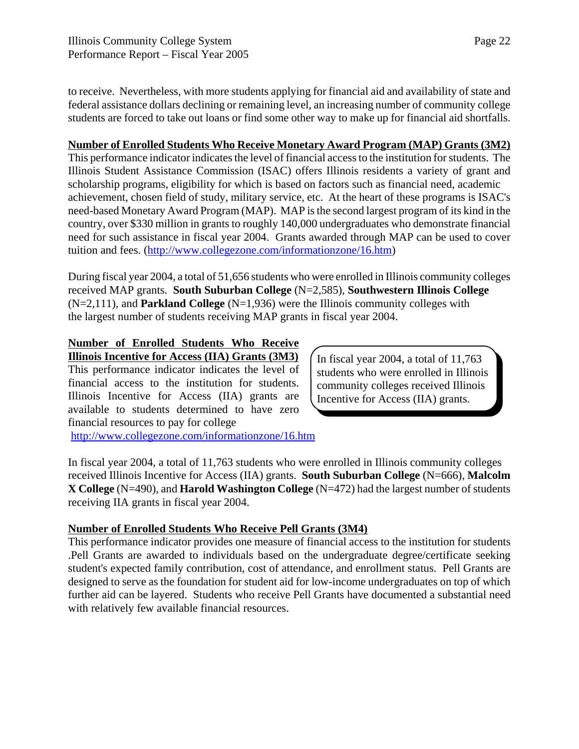to receive. Nevertheless, with more students applying for financial aid and availability of state and federal assistance dollars declining or remaining level, an increasing number of community college students are forced to take out loans or find some other way to make up for financial aid shortfalls.

#### **Number of Enrolled Students Who Receive Monetary Award Program (MAP) Grants (3M2)**

This performance indicator indicates the level of financial access to the institution for students. The Illinois Student Assistance Commission (ISAC) offers Illinois residents a variety of grant and scholarship programs, eligibility for which is based on factors such as financial need, academic achievement, chosen field of study, military service, etc. At the heart of these programs is ISAC's need-based Monetary Award Program (MAP). MAP is the second largest program of its kind in the country, over \$330 million in grants to roughly 140,000 undergraduates who demonstrate financial need for such assistance in fiscal year 2004. Grants awarded through MAP can be used to cover tuition and fees. (http://www.collegezone.com/informationzone/16.htm)

During fiscal year 2004, a total of 51,656 students who were enrolled in Illinois community colleges received MAP grants. **South Suburban College** (N=2,585), **Southwestern Illinois College** (N=2,111), and **Parkland College** (N=1,936) were the Illinois community colleges with the largest number of students receiving MAP grants in fiscal year 2004.

#### **Number of Enrolled Students Who Receive**

**Illinois Incentive for Access (IIA) Grants (3M3)** This performance indicator indicates the level of financial access to the institution for students. Illinois Incentive for Access (IIA) grants are available to students determined to have zero financial resources to pay for college

In fiscal year 2004, a total of 11,763 students who were enrolled in Illinois community colleges received Illinois Incentive for Access (IIA) grants.

http://www.collegezone.com/informationzone/16.htm

In fiscal year 2004, a total of 11,763 students who were enrolled in Illinois community colleges received Illinois Incentive for Access (IIA) grants. **South Suburban College** (N=666), **Malcolm X College** (N=490), and **Harold Washington College** (N=472) had the largest number of students receiving IIA grants in fiscal year 2004.

#### **Number of Enrolled Students Who Receive Pell Grants (3M4)**

This performance indicator provides one measure of financial access to the institution for students .Pell Grants are awarded to individuals based on the undergraduate degree/certificate seeking student's expected family contribution, cost of attendance, and enrollment status. Pell Grants are designed to serve as the foundation for student aid for low-income undergraduates on top of which further aid can be layered. Students who receive Pell Grants have documented a substantial need with relatively few available financial resources.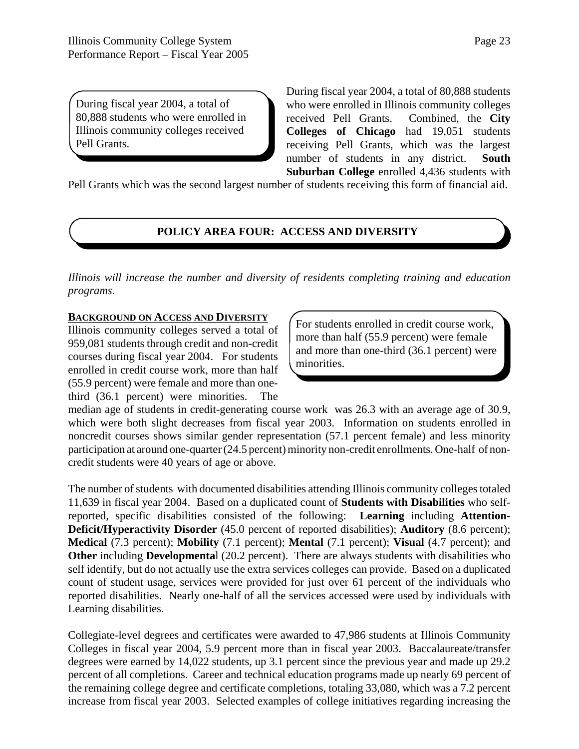During fiscal year 2004, a total of 80,888 students who were enrolled in Illinois community colleges received Pell Grants.

During fiscal year 2004, a total of 80,888 students who were enrolled in Illinois community colleges received Pell Grants. Combined, the **City Colleges of Chicago** had 19,051 students receiving Pell Grants, which was the largest number of students in any district. **South Suburban College** enrolled 4,436 students with

Pell Grants which was the second largest number of students receiving this form of financial aid.

#### **POLICY AREA FOUR: ACCESS AND DIVERSITY**

*Illinois will increase the number and diversity of residents completing training and education programs.*

#### **BACKGROUND ON ACCESS AND DIVERSITY**

Illinois community colleges served a total of 959,081 students through credit and non-credit courses during fiscal year 2004. For students enrolled in credit course work, more than half (55.9 percent) were female and more than onethird (36.1 percent) were minorities. The For students enrolled in credit course work, more than half (55.9 percent) were female and more than one-third (36.1 percent) were minorities.

median age of students in credit-generating course work was 26.3 with an average age of 30.9, which were both slight decreases from fiscal year 2003. Information on students enrolled in noncredit courses shows similar gender representation (57.1 percent female) and less minority participation at around one-quarter (24.5 percent) minority non-credit enrollments. One-half of noncredit students were 40 years of age or above.

The number of students with documented disabilities attending Illinois community colleges totaled 11,639 in fiscal year 2004. Based on a duplicated count of **Students with Disabilities** who selfreported, specific disabilities consisted of the following: **Learning** including **Attention-Deficit/Hyperactivity Disorder** (45.0 percent of reported disabilities); **Auditory** (8.6 percent); **Medical** (7.3 percent); **Mobility** (7.1 percent); **Mental** (7.1 percent); **Visual** (4.7 percent); and **Other** including **Developmenta**l (20.2 percent). There are always students with disabilities who self identify, but do not actually use the extra services colleges can provide. Based on a duplicated count of student usage, services were provided for just over 61 percent of the individuals who reported disabilities. Nearly one-half of all the services accessed were used by individuals with Learning disabilities.

Collegiate-level degrees and certificates were awarded to 47,986 students at Illinois Community Colleges in fiscal year 2004, 5.9 percent more than in fiscal year 2003. Baccalaureate/transfer degrees were earned by 14,022 students, up 3.1 percent since the previous year and made up 29.2 percent of all completions. Career and technical education programs made up nearly 69 percent of the remaining college degree and certificate completions, totaling 33,080, which was a 7.2 percent increase from fiscal year 2003. Selected examples of college initiatives regarding increasing the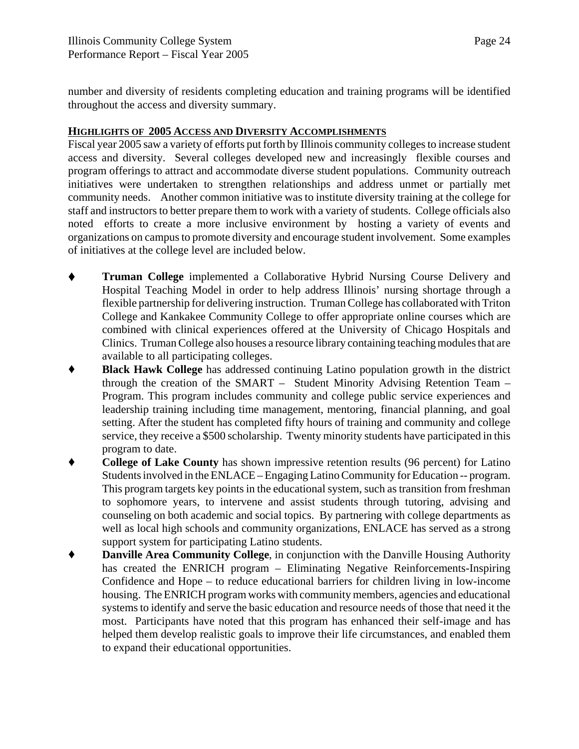number and diversity of residents completing education and training programs will be identified throughout the access and diversity summary.

#### **HIGHLIGHTS OF 2005 ACCESS AND DIVERSITY ACCOMPLISHMENTS**

Fiscal year 2005 saw a variety of efforts put forth by Illinois community colleges to increase student access and diversity. Several colleges developed new and increasingly flexible courses and program offerings to attract and accommodate diverse student populations. Community outreach initiatives were undertaken to strengthen relationships and address unmet or partially met community needs. Another common initiative was to institute diversity training at the college for staff and instructors to better prepare them to work with a variety of students. College officials also noted efforts to create a more inclusive environment by hosting a variety of events and organizations on campus to promote diversity and encourage student involvement. Some examples of initiatives at the college level are included below.

- ' **Truman College** implemented a Collaborative Hybrid Nursing Course Delivery and Hospital Teaching Model in order to help address Illinois' nursing shortage through a flexible partnership for delivering instruction. Truman College has collaborated with Triton College and Kankakee Community College to offer appropriate online courses which are combined with clinical experiences offered at the University of Chicago Hospitals and Clinics. Truman College also houses a resource library containing teaching modules that are available to all participating colleges.
- ' **Black Hawk College** has addressed continuing Latino population growth in the district through the creation of the SMART – Student Minority Advising Retention Team – Program. This program includes community and college public service experiences and leadership training including time management, mentoring, financial planning, and goal setting. After the student has completed fifty hours of training and community and college service, they receive a \$500 scholarship. Twenty minority students have participated in this program to date.
- **College of Lake County** has shown impressive retention results (96 percent) for Latino Students involved in the ENLACE – Engaging Latino Community for Education -- program. This program targets key points in the educational system, such as transition from freshman to sophomore years, to intervene and assist students through tutoring, advising and counseling on both academic and social topics. By partnering with college departments as well as local high schools and community organizations, ENLACE has served as a strong support system for participating Latino students.
- ' **Danville Area Community College**, in conjunction with the Danville Housing Authority has created the ENRICH program – Eliminating Negative Reinforcements-Inspiring Confidence and Hope – to reduce educational barriers for children living in low-income housing. The ENRICH program works with community members, agencies and educational systems to identify and serve the basic education and resource needs of those that need it the most. Participants have noted that this program has enhanced their self-image and has helped them develop realistic goals to improve their life circumstances, and enabled them to expand their educational opportunities.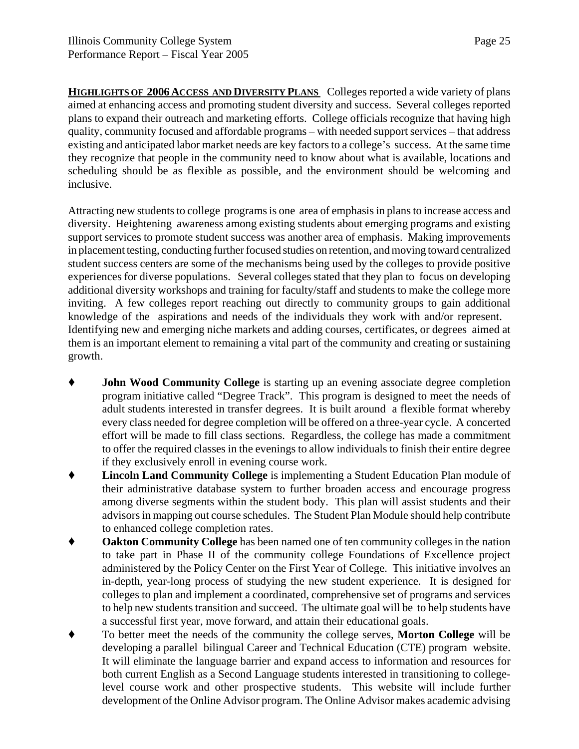Page 25

**HIGHLIGHTS OF 2006 ACCESS AND DIVERSITY PLANS** Colleges reported a wide variety of plans aimed at enhancing access and promoting student diversity and success. Several colleges reported plans to expand their outreach and marketing efforts. College officials recognize that having high quality, community focused and affordable programs – with needed support services – that address existing and anticipated labor market needs are key factors to a college's success. At the same time they recognize that people in the community need to know about what is available, locations and scheduling should be as flexible as possible, and the environment should be welcoming and inclusive.

Attracting new students to college programs is one area of emphasis in plans to increase access and diversity. Heightening awareness among existing students about emerging programs and existing support services to promote student success was another area of emphasis. Making improvements in placement testing, conducting further focused studies on retention, and moving toward centralized student success centers are some of the mechanisms being used by the colleges to provide positive experiences for diverse populations. Several colleges stated that they plan to focus on developing additional diversity workshops and training for faculty/staff and students to make the college more inviting. A few colleges report reaching out directly to community groups to gain additional knowledge of the aspirations and needs of the individuals they work with and/or represent. Identifying new and emerging niche markets and adding courses, certificates, or degrees aimed at them is an important element to remaining a vital part of the community and creating or sustaining growth.

- **John Wood Community College** is starting up an evening associate degree completion program initiative called "Degree Track". This program is designed to meet the needs of adult students interested in transfer degrees. It is built around a flexible format whereby every class needed for degree completion will be offered on a three-year cycle. A concerted effort will be made to fill class sections. Regardless, the college has made a commitment to offer the required classes in the evenings to allow individuals to finish their entire degree if they exclusively enroll in evening course work.
- **Lincoln Land Community College** is implementing a Student Education Plan module of their administrative database system to further broaden access and encourage progress among diverse segments within the student body. This plan will assist students and their advisors in mapping out course schedules. The Student Plan Module should help contribute to enhanced college completion rates.
- **Oakton Community College** has been named one of ten community colleges in the nation to take part in Phase II of the community college Foundations of Excellence project administered by the Policy Center on the First Year of College. This initiative involves an in-depth, year-long process of studying the new student experience. It is designed for colleges to plan and implement a coordinated, comprehensive set of programs and services to help new students transition and succeed. The ultimate goal will be to help students have a successful first year, move forward, and attain their educational goals.
- To better meet the needs of the community the college serves, **Morton College** will be developing a parallel bilingual Career and Technical Education (CTE) program website. It will eliminate the language barrier and expand access to information and resources for both current English as a Second Language students interested in transitioning to collegelevel course work and other prospective students. This website will include further development of the Online Advisor program. The Online Advisor makes academic advising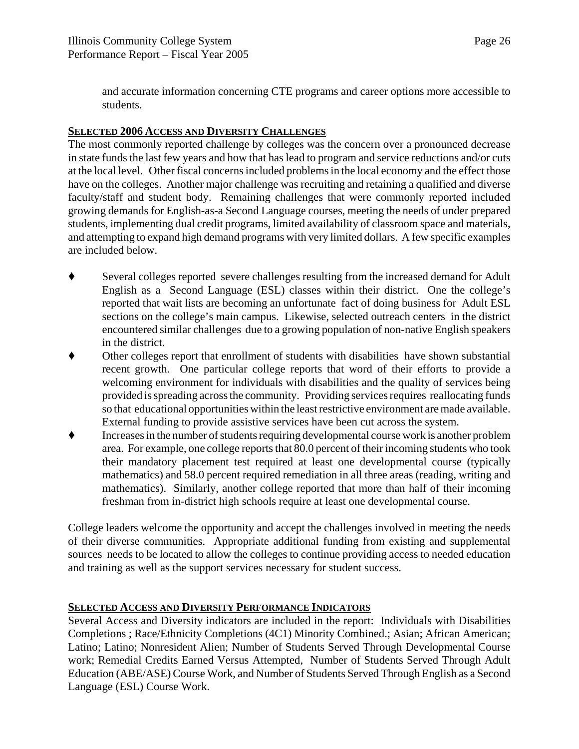and accurate information concerning CTE programs and career options more accessible to students.

#### **SELECTED 2006 ACCESS AND DIVERSITY CHALLENGES**

The most commonly reported challenge by colleges was the concern over a pronounced decrease in state funds the last few years and how that has lead to program and service reductions and/or cuts at the local level. Other fiscal concerns included problems in the local economy and the effect those have on the colleges. Another major challenge was recruiting and retaining a qualified and diverse faculty/staff and student body. Remaining challenges that were commonly reported included growing demands for English-as-a Second Language courses, meeting the needs of under prepared students, implementing dual credit programs, limited availability of classroom space and materials, and attempting to expand high demand programs with very limited dollars. A few specific examples are included below.

- ' Several colleges reported severe challenges resulting from the increased demand for Adult English as a Second Language (ESL) classes within their district. One the college's reported that wait lists are becoming an unfortunate fact of doing business for Adult ESL sections on the college's main campus. Likewise, selected outreach centers in the district encountered similar challenges due to a growing population of non-native English speakers in the district.
- ' Other colleges report that enrollment of students with disabilities have shown substantial recent growth. One particular college reports that word of their efforts to provide a welcoming environment for individuals with disabilities and the quality of services being provided is spreading across the community. Providing services requires reallocating funds so that educational opportunities within the least restrictive environment are made available. External funding to provide assistive services have been cut across the system.
- ' Increases in the number of students requiring developmental course work is another problem area. For example, one college reports that 80.0 percent of their incoming students who took their mandatory placement test required at least one developmental course (typically mathematics) and 58.0 percent required remediation in all three areas (reading, writing and mathematics). Similarly, another college reported that more than half of their incoming freshman from in-district high schools require at least one developmental course.

College leaders welcome the opportunity and accept the challenges involved in meeting the needs of their diverse communities. Appropriate additional funding from existing and supplemental sources needs to be located to allow the colleges to continue providing access to needed education and training as well as the support services necessary for student success.

#### **SELECTED ACCESS AND DIVERSITY PERFORMANCE INDICATORS**

Several Access and Diversity indicators are included in the report: Individuals with Disabilities Completions ; Race/Ethnicity Completions (4C1) Minority Combined.; Asian; African American; Latino; Latino; Nonresident Alien; Number of Students Served Through Developmental Course work; Remedial Credits Earned Versus Attempted, Number of Students Served Through Adult Education (ABE/ASE) Course Work, and Number of Students Served Through English as a Second Language (ESL) Course Work.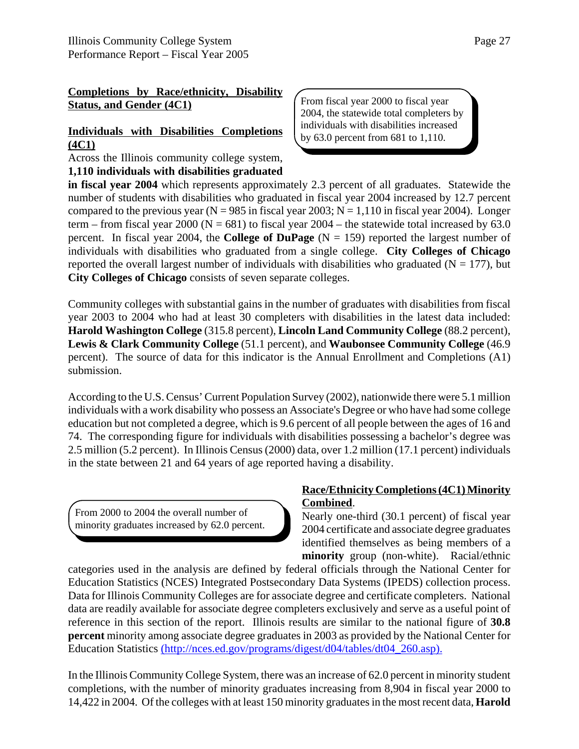#### **Completions by Race/ethnicity, Disability Status, and Gender (4C1)**

#### **Individuals with Disabilities Completions (4C1)**

Across the Illinois community college system,

**1,110 individuals with disabilities graduated**

From fiscal year 2000 to fiscal year 2004, the statewide total completers by individuals with disabilities increased by 63.0 percent from 681 to 1,110.

**in fiscal year 2004** which represents approximately 2.3 percent of all graduates. Statewide the number of students with disabilities who graduated in fiscal year 2004 increased by 12.7 percent compared to the previous year ( $N = 985$  in fiscal year 2003;  $N = 1,110$  in fiscal year 2004). Longer term – from fiscal year 2000 ( $N = 681$ ) to fiscal year 2004 – the statewide total increased by 63.0 percent. In fiscal year 2004, the **College of DuPage**  $(N = 159)$  reported the largest number of individuals with disabilities who graduated from a single college. **City Colleges of Chicago** reported the overall largest number of individuals with disabilities who graduated ( $N = 177$ ), but **City Colleges of Chicago** consists of seven separate colleges.

Community colleges with substantial gains in the number of graduates with disabilities from fiscal year 2003 to 2004 who had at least 30 completers with disabilities in the latest data included: **Harold Washington College** (315.8 percent), **Lincoln Land Community College** (88.2 percent), **Lewis & Clark Community College** (51.1 percent), and **Waubonsee Community College** (46.9 percent). The source of data for this indicator is the Annual Enrollment and Completions (A1) submission.

According to the U.S. Census' Current Population Survey (2002), nationwide there were 5.1 million individuals with a work disability who possess an Associate's Degree or who have had some college education but not completed a degree, which is 9.6 percent of all people between the ages of 16 and 74. The corresponding figure for individuals with disabilities possessing a bachelor's degree was 2.5 million (5.2 percent). In Illinois Census (2000) data, over 1.2 million (17.1 percent) individuals in the state between 21 and 64 years of age reported having a disability.

From 2000 to 2004 the overall number of minority graduates increased by 62.0 percent.

#### **Race/Ethnicity Completions (4C1) Minority Combined**.

Nearly one-third (30.1 percent) of fiscal year 2004 certificate and associate degree graduates identified themselves as being members of a **minority** group (non-white). Racial/ethnic

categories used in the analysis are defined by federal officials through the National Center for Education Statistics (NCES) Integrated Postsecondary Data Systems (IPEDS) collection process. Data for Illinois Community Colleges are for associate degree and certificate completers. National data are readily available for associate degree completers exclusively and serve as a useful point of reference in this section of the report. Illinois results are similar to the national figure of **30.8 percent** minority among associate degree graduates in 2003 as provided by the National Center for Education Statistics (http://nces.ed.gov/programs/digest/d04/tables/dt04\_260.asp).

In the Illinois Community College System, there was an increase of 62.0 percent in minority student completions, with the number of minority graduates increasing from 8,904 in fiscal year 2000 to 14,422 in 2004. Of the colleges with at least 150 minority graduates in the most recent data, **Harold**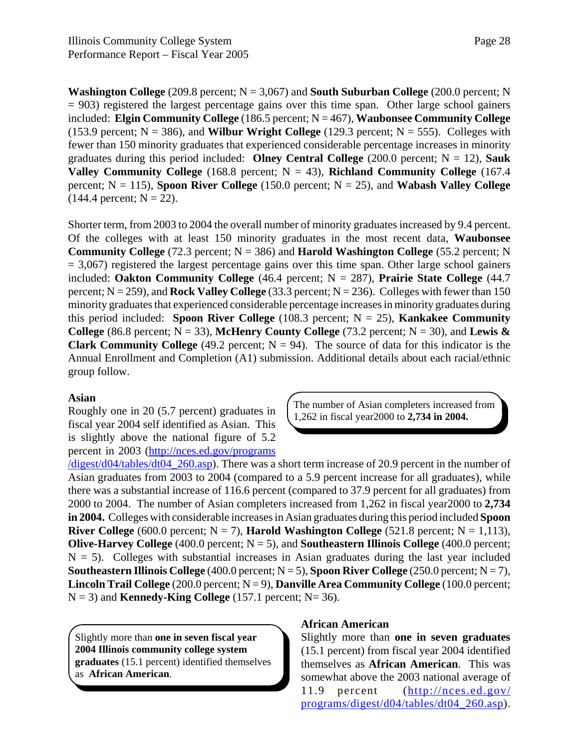**Washington College**  $(209.8 \text{ percent}; N = 3,067)$  and **South Suburban College**  $(200.0 \text{ percent}; N$  $= 903$ ) registered the largest percentage gains over this time span. Other large school gainers included: **Elgin Community College** (186.5 percent; N = 467), **Waubonsee Community College** (153.9 percent;  $N = 386$ ), and **Wilbur Wright College** (129.3 percent;  $N = 555$ ). Colleges with fewer than 150 minority graduates that experienced considerable percentage increases in minority graduates during this period included: **Olney Central College** (200.0 percent; N = 12), **Sauk Valley Community College** (168.8 percent;  $N = 43$ ), **Richland Community College** (167.4 percent;  $N = 115$ ), **Spoon River College** (150.0 percent;  $N = 25$ ), and **Wabash Valley College**  $(144.4 \text{ percent}; N = 22).$ 

Shorter term, from 2003 to 2004 the overall number of minority graduates increased by 9.4 percent. Of the colleges with at least 150 minority graduates in the most recent data, **Waubonsee Community College** (72.3 percent;  $N = 386$ ) and **Harold Washington College** (55.2 percent; N  $= 3,067$ ) registered the largest percentage gains over this time span. Other large school gainers included: **Oakton Community College** (46.4 percent; N = 287), **Prairie State College** (44.7 percent;  $N = 259$ ), and **Rock Valley College** (33.3 percent;  $N = 236$ ). Colleges with fewer than 150 minority graduates that experienced considerable percentage increases in minority graduates during this period included: **Spoon River College** (108.3 percent;  $N = 25$ ), **Kankakee Community College** (86.8 percent;  $N = 33$ ), **McHenry County College** (73.2 percent;  $N = 30$ ), and **Lewis & Clark Community College** (49.2 percent;  $N = 94$ ). The source of data for this indicator is the Annual Enrollment and Completion (A1) submission. Additional details about each racial/ethnic group follow.

#### **Asian**

Roughly one in 20 (5.7 percent) graduates in fiscal year 2004 self identified as Asian. This is slightly above the national figure of 5.2 percent in 2003 (http://nces.ed.gov/programs The number of Asian completers increased from 1,262 in fiscal year2000 to **2,734 in 2004.**

/digest/d04/tables/dt04\_260.asp). There was a short term increase of 20.9 percent in the number of Asian graduates from 2003 to 2004 (compared to a 5.9 percent increase for all graduates), while there was a substantial increase of 116.6 percent (compared to 37.9 percent for all graduates) from 2000 to 2004. The number of Asian completers increased from 1,262 in fiscal year2000 to **2,734 in 2004.** Colleges with considerable increases in Asian graduates during this period included **Spoon River College** (600.0 percent;  $N = 7$ ), **Harold Washington College** (521.8 percent;  $N = 1,113$ ), **Olive-Harvey College** (400.0 percent;  $N = 5$ ), and **Southeastern Illinois College** (400.0 percent;  $N = 5$ ). Colleges with substantial increases in Asian graduates during the last year included **Southeastern Illinois College** (400.0 percent;  $N = 5$ ), **Spoon River College** (250.0 percent;  $N = 7$ ), **Lincoln Trail College** (200.0 percent;  $N = 9$ ), **Danville Area Community College** (100.0 percent;  $N = 3$ ) and **Kennedy-King College** (157.1 percent;  $N = 36$ ).

Slightly more than **one in seven fiscal year 2004 Illinois community college system graduates** (15.1 percent) identified themselves as **African American**.

#### **African American**

Slightly more than **one in seven graduates** (15.1 percent) from fiscal year 2004 identified themselves as **African American**. This was somewhat above the 2003 national average of 11.9 percent (http://nces.ed.gov/ programs/digest/d04/tables/dt04\_260.asp).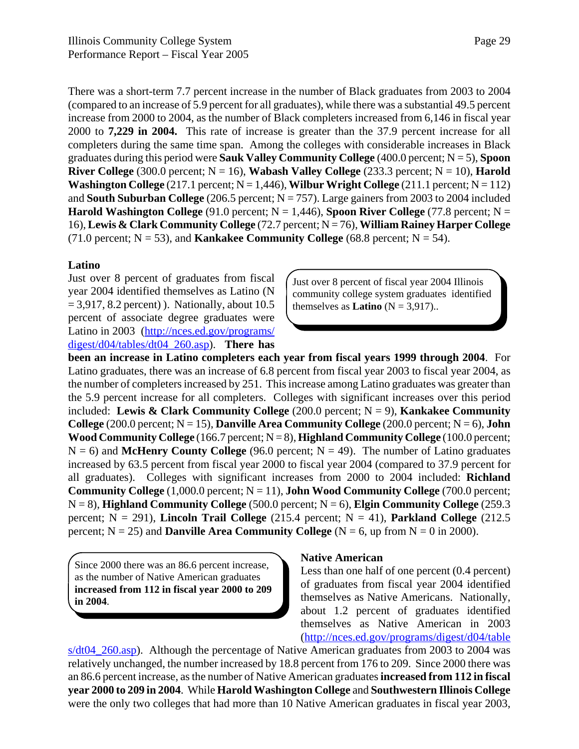There was a short-term 7.7 percent increase in the number of Black graduates from 2003 to 2004 (compared to an increase of 5.9 percent for all graduates), while there was a substantial 49.5 percent increase from 2000 to 2004, as the number of Black completers increased from 6,146 in fiscal year 2000 to **7,229 in 2004.** This rate of increase is greater than the 37.9 percent increase for all completers during the same time span. Among the colleges with considerable increases in Black graduates during this period were **Sauk Valley Community College** (400.0 percent; N = 5), **Spoon River College** (300.0 percent;  $N = 16$ ), **Wabash Valley College** (233.3 percent;  $N = 10$ ), **Harold Washington College** (217.1 percent;  $N = 1,446$ ), **Wilbur Wright College** (211.1 percent;  $N = 112$ ) and **South Suburban College** (206.5 percent;  $N = 757$ ). Large gainers from 2003 to 2004 included **Harold Washington College** (91.0 percent;  $N = 1,446$ ), **Spoon River College** (77.8 percent;  $N =$ 16), **Lewis & Clark Community College** (72.7 percent; N = 76), **William Rainey Harper College** (71.0 percent;  $N = 53$ ), and **Kankakee Community College** (68.8 percent;  $N = 54$ ).

#### **Latino**

Just over 8 percent of graduates from fiscal year 2004 identified themselves as Latino (N  $= 3,917, 8.2$  percent) ). Nationally, about 10.5 percent of associate degree graduates were Latino in 2003 (http://nces.ed.gov/programs/ digest/d04/tables/dt04\_260.asp). **There has**

**been an increase in Latino completers each year from fiscal years 1999 through 2004**. For Latino graduates, there was an increase of 6.8 percent from fiscal year 2003 to fiscal year 2004, as the number of completers increased by 251. This increase among Latino graduates was greater than the 5.9 percent increase for all completers. Colleges with significant increases over this period included: **Lewis & Clark Community College** (200.0 percent;  $N = 9$ ), **Kankakee Community College** (200.0 percent;  $N = 15$ ), **Danville Area Community College** (200.0 percent;  $N = 6$ ), **John Wood Community College** (166.7 percent;  $N = 8$ ), **Highland Community College** (100.0 percent;  $N = 6$ ) and **McHenry County College** (96.0 percent;  $N = 49$ ). The number of Latino graduates increased by 63.5 percent from fiscal year 2000 to fiscal year 2004 (compared to 37.9 percent for all graduates). Colleges with significant increases from 2000 to 2004 included: **Richland Community College**  $(1,000.0$  percent;  $N = 11)$ , **John Wood Community College** (700.0 percent; N = 8), **Highland Community College** (500.0 percent; N = 6), **Elgin Community College** (259.3 percent; N = 291), **Lincoln Trail College** (215.4 percent; N = 41), **Parkland College** (212.5 percent;  $N = 25$ ) and **Danville Area Community College** ( $N = 6$ , up from  $N = 0$  in 2000).

Since 2000 there was an 86.6 percent increase, as the number of Native American graduates **increased from 112 in fiscal year 2000 to 209 in 2004**.

#### **Native American**

Less than one half of one percent (0.4 percent) of graduates from fiscal year 2004 identified themselves as Native Americans. Nationally, about 1.2 percent of graduates identified themselves as Native American in 2003 (http://nces.ed.gov/programs/digest/d04/table

s/dt04  $260.$ asp). Although the percentage of Native American graduates from 2003 to 2004 was relatively unchanged, the number increased by 18.8 percent from 176 to 209. Since 2000 there was an 86.6 percent increase, as the number of Native American graduates **increased from 112 in fiscal year 2000 to 209 in 2004**. While **Harold Washington College** and **Southwestern Illinois College** were the only two colleges that had more than 10 Native American graduates in fiscal year 2003,

Just over 8 percent of fiscal year 2004 Illinois community college system graduates identified themselves as **Latino**  $(N = 3.917)$ ..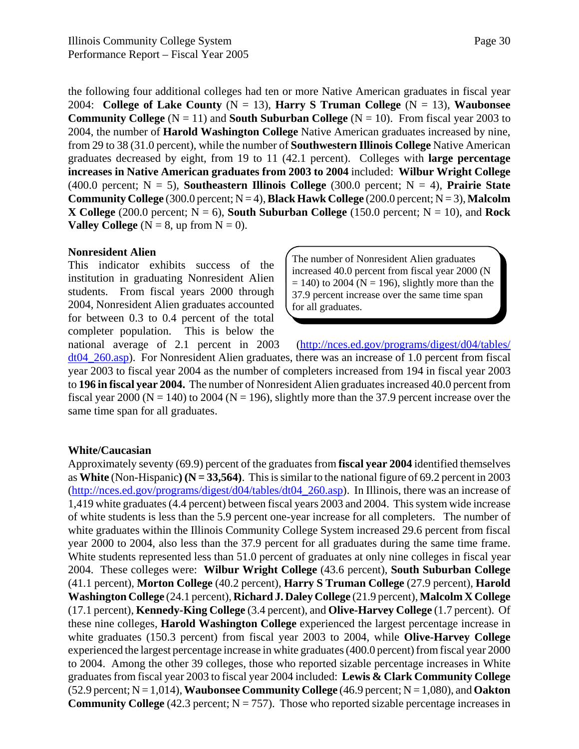the following four additional colleges had ten or more Native American graduates in fiscal year 2004: **College of Lake County** (N = 13), **Harry S Truman College** (N = 13), **Waubonsee Community College** ( $N = 11$ ) and **South Suburban College** ( $N = 10$ ). From fiscal year 2003 to 2004, the number of **Harold Washington College** Native American graduates increased by nine, from 29 to 38 (31.0 percent), while the number of **Southwestern Illinois College** Native American graduates decreased by eight, from 19 to 11 (42.1 percent). Colleges with **large percentage increases in Native American graduates from 2003 to 2004** included: **Wilbur Wright College** (400.0 percent; N = 5), **Southeastern Illinois College** (300.0 percent; N = 4), **Prairie State Community College** (300.0 percent;  $N = 4$ ), **Black Hawk College** (200.0 percent;  $N = 3$ ), **Malcolm X** College (200.0 percent;  $N = 6$ ), **South Suburban College** (150.0 percent;  $N = 10$ ), and **Rock Valley College** ( $N = 8$ , up from  $N = 0$ ).

#### **Nonresident Alien**

This indicator exhibits success of the institution in graduating Nonresident Alien students. From fiscal years 2000 through 2004, Nonresident Alien graduates accounted for between 0.3 to 0.4 percent of the total completer population. This is below the

The number of Nonresident Alien graduates increased 40.0 percent from fiscal year 2000 (N  $= 140$ ) to 2004 (N = 196), slightly more than the 37.9 percent increase over the same time span for all graduates.

national average of 2.1 percent in 2003 (http://nces.ed.gov/programs/digest/d04/tables/ dt04\_260.asp). For Nonresident Alien graduates, there was an increase of 1.0 percent from fiscal year 2003 to fiscal year 2004 as the number of completers increased from 194 in fiscal year 2003 to **196 in fiscal year 2004.** The number of Nonresident Alien graduates increased 40.0 percent from fiscal year 2000 ( $N = 140$ ) to 2004 ( $N = 196$ ), slightly more than the 37.9 percent increase over the same time span for all graduates.

#### **White/Caucasian**

Approximately seventy (69.9) percent of the graduates from **fiscal year 2004** identified themselves as **White** (Non-Hispanic) ( $N = 33,564$ ). This is similar to the national figure of 69.2 percent in 2003 (http://nces.ed.gov/programs/digest/d04/tables/dt04\_260.asp). In Illinois, there was an increase of 1,419 white graduates (4.4 percent) between fiscal years 2003 and 2004. This system wide increase of white students is less than the 5.9 percent one-year increase for all completers. The number of white graduates within the Illinois Community College System increased 29.6 percent from fiscal year 2000 to 2004, also less than the 37.9 percent for all graduates during the same time frame. White students represented less than 51.0 percent of graduates at only nine colleges in fiscal year 2004. These colleges were: **Wilbur Wright College** (43.6 percent), **South Suburban College** (41.1 percent), **Morton College** (40.2 percent), **Harry S Truman College** (27.9 percent), **Harold Washington College** (24.1 percent), **Richard J. Daley College** (21.9 percent), **Malcolm X College** (17.1 percent), **Kennedy-King College** (3.4 percent), and **Olive-Harvey College** (1.7 percent). Of these nine colleges, **Harold Washington College** experienced the largest percentage increase in white graduates (150.3 percent) from fiscal year 2003 to 2004, while **Olive-Harvey College** experienced the largest percentage increase in white graduates (400.0 percent) from fiscal year 2000 to 2004. Among the other 39 colleges, those who reported sizable percentage increases in White graduates from fiscal year 2003 to fiscal year 2004 included: **Lewis & Clark Community College**  $(52.9 \text{ percent}; N = 1,014)$ , **Waubonsee Community College**  $(46.9 \text{ percent}; N = 1,080)$ , and **Oakton Community College** (42.3 percent;  $N = 757$ ). Those who reported sizable percentage increases in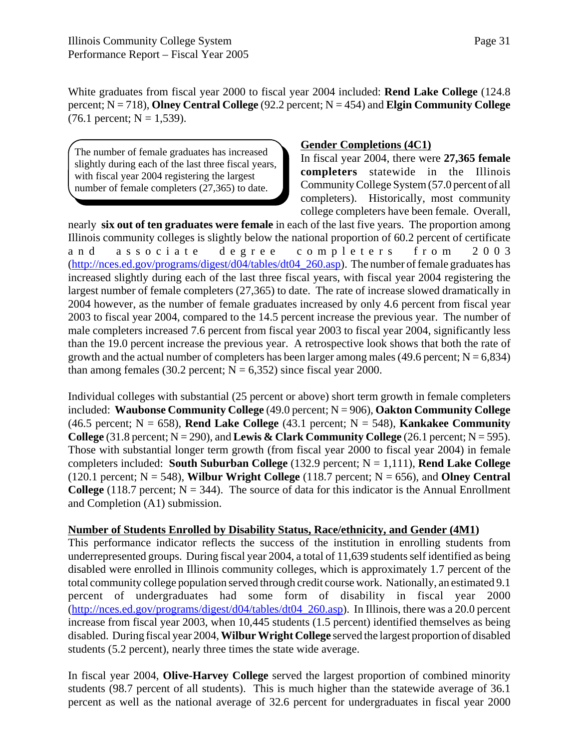White graduates from fiscal year 2000 to fiscal year 2004 included: **Rend Lake College** (124.8 percent; N = 718), **Olney Central College** (92.2 percent; N = 454) and **Elgin Community College**  $(76.1 \text{ percent}; N = 1,539).$ 

The number of female graduates has increased slightly during each of the last three fiscal years, with fiscal year 2004 registering the largest number of female completers (27,365) to date.

#### **Gender Completions (4C1)**

In fiscal year 2004, there were **27,365 female completers** statewide in the Illinois Community College System (57.0 percent of all completers). Historically, most community college completers have been female. Overall,

nearly **six out of ten graduates were female** in each of the last five years. The proportion among Illinois community colleges is slightly below the national proportion of 60.2 percent of certificate and associate degree completers from 2003 (http://nces.ed.gov/programs/digest/d04/tables/dt04\_260.asp). The number of female graduates has increased slightly during each of the last three fiscal years, with fiscal year 2004 registering the largest number of female completers (27,365) to date. The rate of increase slowed dramatically in 2004 however, as the number of female graduates increased by only 4.6 percent from fiscal year 2003 to fiscal year 2004, compared to the 14.5 percent increase the previous year. The number of male completers increased 7.6 percent from fiscal year 2003 to fiscal year 2004, significantly less than the 19.0 percent increase the previous year. A retrospective look shows that both the rate of growth and the actual number of completers has been larger among males (49.6 percent;  $N = 6,834$ ) than among females (30.2 percent;  $N = 6,352$ ) since fiscal year 2000.

Individual colleges with substantial (25 percent or above) short term growth in female completers included: **Waubonse Community College** (49.0 percent; N = 906), **Oakton Community College** (46.5 percent;  $N = 658$ ), **Rend Lake College** (43.1 percent;  $N = 548$ ), **Kankakee Community College** (31.8 percent;  $N = 290$ ), and **Lewis & Clark Community College** (26.1 percent;  $N = 595$ ). Those with substantial longer term growth (from fiscal year 2000 to fiscal year 2004) in female completers included: **South Suburban College** (132.9 percent; N = 1,111), **Rend Lake College** (120.1 percent;  $N = 548$ ), **Wilbur Wright College** (118.7 percent;  $N = 656$ ), and **Olney Central College** (118.7 percent;  $N = 344$ ). The source of data for this indicator is the Annual Enrollment and Completion (A1) submission.

#### **Number of Students Enrolled by Disability Status, Race/ethnicity, and Gender (4M1)**

This performance indicator reflects the success of the institution in enrolling students from underrepresented groups. During fiscal year 2004, a total of 11,639 students self identified as being disabled were enrolled in Illinois community colleges, which is approximately 1.7 percent of the total community college population served through credit course work. Nationally, an estimated 9.1 percent of undergraduates had some form of disability in fiscal year 2000 (http://nces.ed.gov/programs/digest/d04/tables/dt04\_260.asp). In Illinois, there was a 20.0 percent increase from fiscal year 2003, when 10,445 students (1.5 percent) identified themselves as being disabled. During fiscal year 2004, **Wilbur Wright College** served the largest proportion of disabled students (5.2 percent), nearly three times the state wide average.

In fiscal year 2004, **Olive-Harvey College** served the largest proportion of combined minority students (98.7 percent of all students). This is much higher than the statewide average of 36.1 percent as well as the national average of 32.6 percent for undergraduates in fiscal year 2000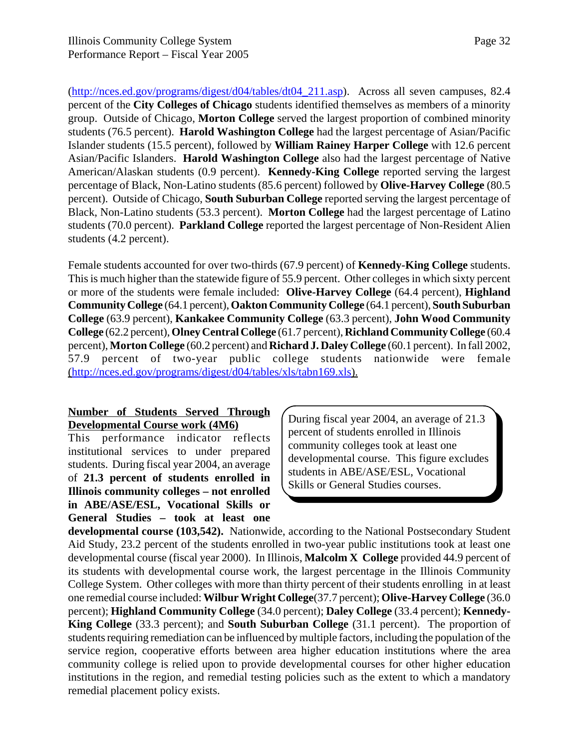(http://nces.ed.gov/programs/digest/d04/tables/dt04\_211.asp). Across all seven campuses, 82.4 percent of the **City Colleges of Chicago** students identified themselves as members of a minority group. Outside of Chicago, **Morton College** served the largest proportion of combined minority students (76.5 percent). **Harold Washington College** had the largest percentage of Asian/Pacific Islander students (15.5 percent), followed by **William Rainey Harper College** with 12.6 percent Asian/Pacific Islanders. **Harold Washington College** also had the largest percentage of Native American/Alaskan students (0.9 percent). **Kennedy-King College** reported serving the largest percentage of Black, Non-Latino students (85.6 percent) followed by **Olive-Harvey College** (80.5 percent). Outside of Chicago, **South Suburban College** reported serving the largest percentage of Black, Non-Latino students (53.3 percent). **Morton College** had the largest percentage of Latino students (70.0 percent). **Parkland College** reported the largest percentage of Non-Resident Alien students (4.2 percent).

Female students accounted for over two-thirds (67.9 percent) of **Kennedy-King College** students. This is much higher than the statewide figure of 55.9 percent. Other colleges in which sixty percent or more of the students were female included: **Olive-Harvey College** (64.4 percent), **Highland Community College** (64.1 percent), **Oakton Community College** (64.1 percent), **South Suburban College** (63.9 percent), **Kankakee Community College** (63.3 percent), **John Wood Community College** (62.2 percent), **Olney Central College** (61.7 percent), **Richland Community College** (60.4 percent), **Morton College** (60.2 percent) and **Richard J. Daley College** (60.1 percent). In fall 2002, 57.9 percent of two-year public college students nationwide were female (http://nces.ed.gov/programs/digest/d04/tables/xls/tabn169.xls).

#### **Number of Students Served Through Developmental Course work (4M6)**

This performance indicator reflects institutional services to under prepared students. During fiscal year 2004, an average of **21.3 percent of students enrolled in Illinois community colleges – not enrolled in ABE/ASE/ESL, Vocational Skills or General Studies – took at least one**

During fiscal year 2004, an average of 21.3 percent of students enrolled in Illinois community colleges took at least one developmental course. This figure excludes students in ABE/ASE/ESL, Vocational Skills or General Studies courses.

**developmental course (103,542).** Nationwide, according to the National Postsecondary Student Aid Study, 23.2 percent of the students enrolled in two-year public institutions took at least one developmental course (fiscal year 2000). In Illinois, **Malcolm X College** provided 44.9 percent of its students with developmental course work, the largest percentage in the Illinois Community College System. Other colleges with more than thirty percent of their students enrolling in at least one remedial course included: **Wilbur Wright College**(37.7 percent); **Olive-Harvey College** (36.0 percent); **Highland Community College** (34.0 percent); **Daley College** (33.4 percent); **Kennedy-King College** (33.3 percent); and **South Suburban College** (31.1 percent). The proportion of students requiring remediation can be influenced by multiple factors, including the population of the service region, cooperative efforts between area higher education institutions where the area community college is relied upon to provide developmental courses for other higher education institutions in the region, and remedial testing policies such as the extent to which a mandatory remedial placement policy exists.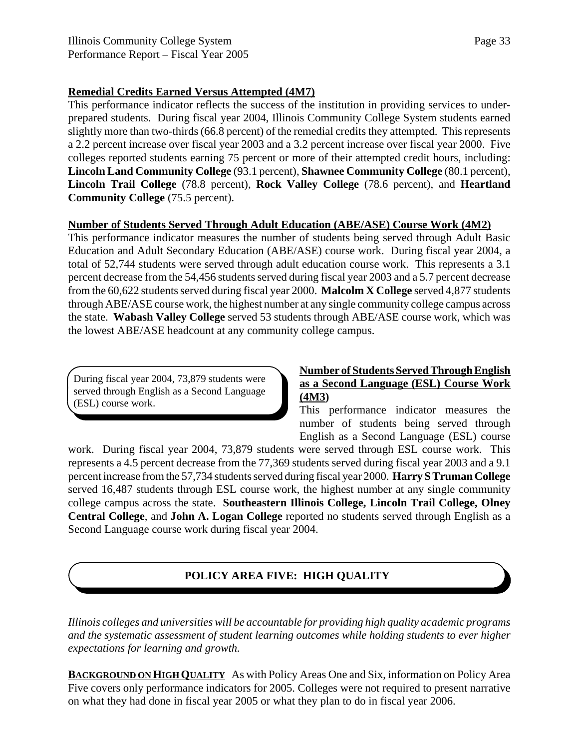#### **Remedial Credits Earned Versus Attempted (4M7)**

This performance indicator reflects the success of the institution in providing services to underprepared students. During fiscal year 2004, Illinois Community College System students earned slightly more than two-thirds (66.8 percent) of the remedial credits they attempted. This represents a 2.2 percent increase over fiscal year 2003 and a 3.2 percent increase over fiscal year 2000. Five colleges reported students earning 75 percent or more of their attempted credit hours, including: **Lincoln Land Community College** (93.1 percent), **Shawnee Community College** (80.1 percent), **Lincoln Trail College** (78.8 percent), **Rock Valley College** (78.6 percent), and **Heartland Community College** (75.5 percent).

#### **Number of Students Served Through Adult Education (ABE/ASE) Course Work (4M2)**

This performance indicator measures the number of students being served through Adult Basic Education and Adult Secondary Education (ABE/ASE) course work. During fiscal year 2004, a total of 52,744 students were served through adult education course work. This represents a 3.1 percent decrease from the 54,456 students served during fiscal year 2003 and a 5.7 percent decrease from the 60,622 students served during fiscal year 2000. **Malcolm X College** served 4,877 students through ABE/ASE course work, the highest number at any single community college campus across the state. **Wabash Valley College** served 53 students through ABE/ASE course work, which was the lowest ABE/ASE headcount at any community college campus.

During fiscal year 2004, 73,879 students were served through English as a Second Language (ESL) course work.

#### **Number of Students Served Through English as a Second Language (ESL) Course Work (4M3)**

This performance indicator measures the number of students being served through English as a Second Language (ESL) course

work. During fiscal year 2004, 73,879 students were served through ESL course work. This represents a 4.5 percent decrease from the 77,369 students served during fiscal year 2003 and a 9.1 percent increase from the 57,734 students served during fiscal year 2000. **Harry S Truman College** served 16,487 students through ESL course work, the highest number at any single community college campus across the state. **Southeastern Illinois College, Lincoln Trail College, Olney Central College**, and **John A. Logan College** reported no students served through English as a Second Language course work during fiscal year 2004.

## **POLICY AREA FIVE: HIGH QUALITY**

*Illinois colleges and universities will be accountable for providing high quality academic programs and the systematic assessment of student learning outcomes while holding students to ever higher expectations for learning and growth.*

**BACKGROUND ON HIGH QUALITY** As with Policy Areas One and Six, information on Policy Area Five covers only performance indicators for 2005. Colleges were not required to present narrative on what they had done in fiscal year 2005 or what they plan to do in fiscal year 2006.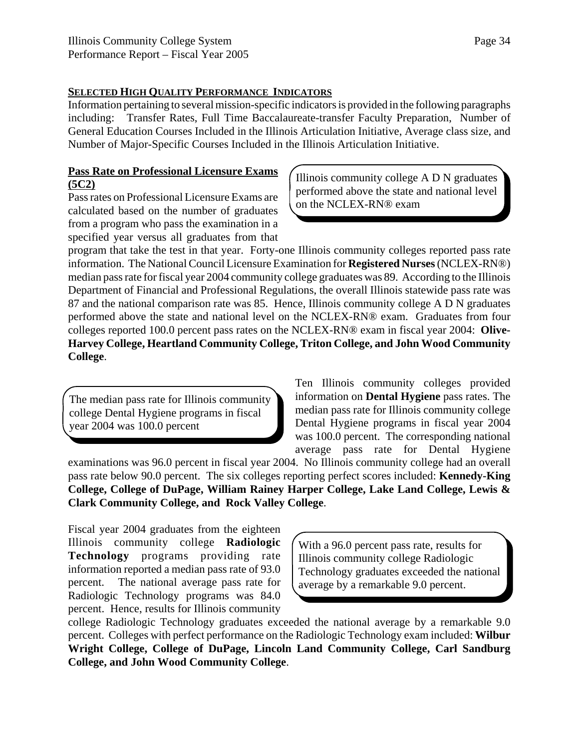#### **SELECTED HIGH QUALITY PERFORMANCE INDICATORS**

Information pertaining to several mission-specific indicators is provided in the following paragraphs including: Transfer Rates, Full Time Baccalaureate-transfer Faculty Preparation, Number of General Education Courses Included in the Illinois Articulation Initiative, Average class size, and Number of Major-Specific Courses Included in the Illinois Articulation Initiative.

#### **Pass Rate on Professional Licensure Exams (5C2)**

Pass rates on Professional Licensure Exams are calculated based on the number of graduates from a program who pass the examination in a specified year versus all graduates from that

Illinois community college A D N graduates performed above the state and national level on the NCLEX-RN® exam

program that take the test in that year. Forty-one Illinois community colleges reported pass rate information. The National Council Licensure Examination for **Registered Nurses** (NCLEX-RN®) median pass rate for fiscal year 2004 community college graduates was 89. According to the Illinois Department of Financial and Professional Regulations, the overall Illinois statewide pass rate was 87 and the national comparison rate was 85. Hence, Illinois community college A D N graduates performed above the state and national level on the NCLEX-RN® exam. Graduates from four colleges reported 100.0 percent pass rates on the NCLEX-RN® exam in fiscal year 2004: **Olive-Harvey College, Heartland Community College, Triton College, and John Wood Community College**.

The median pass rate for Illinois community college Dental Hygiene programs in fiscal year 2004 was 100.0 percent

Ten Illinois community colleges provided information on **Dental Hygiene** pass rates. The median pass rate for Illinois community college Dental Hygiene programs in fiscal year 2004 was 100.0 percent. The corresponding national average pass rate for Dental Hygiene

examinations was 96.0 percent in fiscal year 2004. No Illinois community college had an overall pass rate below 90.0 percent. The six colleges reporting perfect scores included: **Kennedy-King College, College of DuPage, William Rainey Harper College, Lake Land College, Lewis & Clark Community College, and Rock Valley College**.

Fiscal year 2004 graduates from the eighteen Illinois community college **Radiologic Technology** programs providing rate information reported a median pass rate of 93.0 percent. The national average pass rate for Radiologic Technology programs was 84.0 percent. Hence, results for Illinois community

With a 96.0 percent pass rate, results for Illinois community college Radiologic Technology graduates exceeded the national average by a remarkable 9.0 percent.

college Radiologic Technology graduates exceeded the national average by a remarkable 9.0 percent. Colleges with perfect performance on the Radiologic Technology exam included: **Wilbur Wright College, College of DuPage, Lincoln Land Community College, Carl Sandburg College, and John Wood Community College**.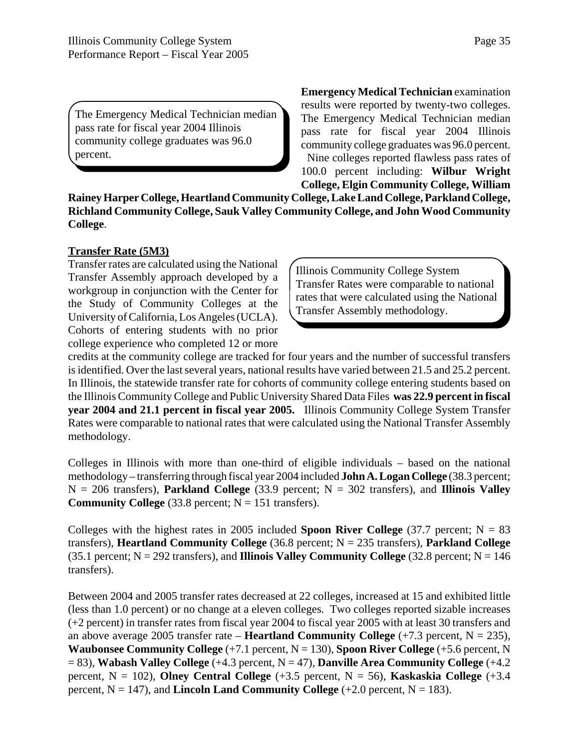The Emergency Medical Technician median pass rate for fiscal year 2004 Illinois community college graduates was 96.0 percent.

**Emergency Medical Technician** examination results were reported by twenty-two colleges. The Emergency Medical Technician median pass rate for fiscal year 2004 Illinois community college graduates was 96.0 percent. Nine colleges reported flawless pass rates of 100.0 percent including: **Wilbur Wright College, Elgin Community College, William**

**Rainey Harper College, Heartland Community College, Lake Land College, Parkland College, Richland Community College, Sauk Valley Community College, and John Wood Community College**.

#### **Transfer Rate (5M3)**

Transfer rates are calculated using the National Transfer Assembly approach developed by a workgroup in conjunction with the Center for the Study of Community Colleges at the University of California, Los Angeles (UCLA). Cohorts of entering students with no prior college experience who completed 12 or more

Illinois Community College System Transfer Rates were comparable to national rates that were calculated using the National Transfer Assembly methodology.

credits at the community college are tracked for four years and the number of successful transfers is identified. Over the last several years, national results have varied between 21.5 and 25.2 percent. In Illinois, the statewide transfer rate for cohorts of community college entering students based on the Illinois Community College and Public University Shared Data Files **was 22.9 percent in fiscal year 2004 and 21.1 percent in fiscal year 2005.** Illinois Community College System Transfer Rates were comparable to national rates that were calculated using the National Transfer Assembly methodology.

Colleges in Illinois with more than one-third of eligible individuals – based on the national methodology – transferring through fiscal year 2004 included **John A. Logan College** (38.3 percent;  $N = 206$  transfers), **Parkland College** (33.9 percent;  $N = 302$  transfers), and **Illinois Valley Community College**  $(33.8 \text{ percent}; N = 151 \text{ transfers}).$ 

Colleges with the highest rates in 2005 included **Spoon River College**  $(37.7 \text{ percent}; N = 83$ transfers), **Heartland Community College** (36.8 percent; N = 235 transfers), **Parkland College** (35.1 percent;  $N = 292$  transfers), and **Illinois Valley Community College** (32.8 percent;  $N = 146$ transfers).

Between 2004 and 2005 transfer rates decreased at 22 colleges, increased at 15 and exhibited little (less than 1.0 percent) or no change at a eleven colleges. Two colleges reported sizable increases (+2 percent) in transfer rates from fiscal year 2004 to fiscal year 2005 with at least 30 transfers and an above average 2005 transfer rate – **Heartland Community College**  $(+7.3$  percent, N = 235), **Waubonsee Community College** (+7.1 percent, N = 130), **Spoon River College** (+5.6 percent, N = 83), **Wabash Valley College** (+4.3 percent, N = 47), **Danville Area Community College** (+4.2 percent,  $N = 102$ ), **Olney Central College**  $(+3.5$  percent,  $N = 56$ ), **Kaskaskia College**  $(+3.4)$ percent,  $N = 147$ ), and **Lincoln Land Community College**  $(+2.0$  percent,  $N = 183$ ).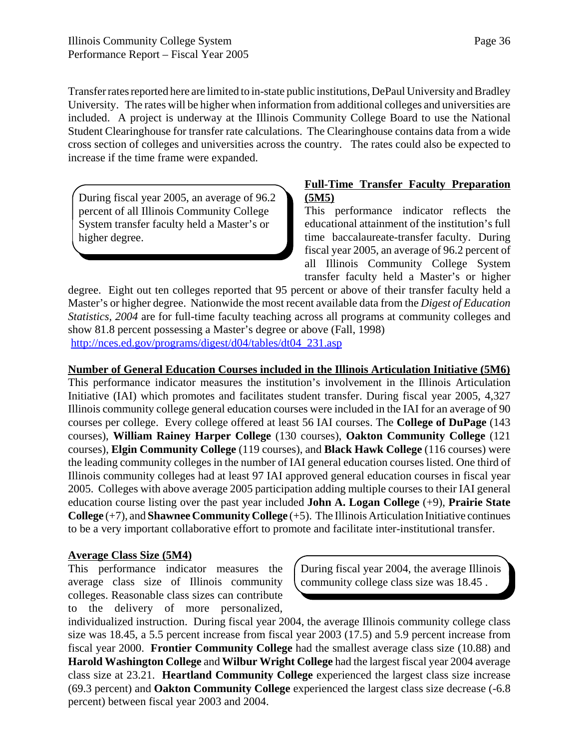Transfer rates reported here are limited to in-state public institutions, DePaul University and Bradley University. The rates will be higher when information from additional colleges and universities are included. A project is underway at the Illinois Community College Board to use the National Student Clearinghouse for transfer rate calculations. The Clearinghouse contains data from a wide cross section of colleges and universities across the country. The rates could also be expected to increase if the time frame were expanded.

During fiscal year 2005, an average of 96.2 percent of all Illinois Community College System transfer faculty held a Master's or higher degree.

#### **Full-Time Transfer Faculty Preparation (5M5)**

This performance indicator reflects the educational attainment of the institution's full time baccalaureate-transfer faculty. During fiscal year 2005, an average of 96.2 percent of all Illinois Community College System transfer faculty held a Master's or higher

degree. Eight out ten colleges reported that 95 percent or above of their transfer faculty held a Master's or higher degree. Nationwide the most recent available data from the *Digest of Education Statistics, 2004* are for full-time faculty teaching across all programs at community colleges and show 81.8 percent possessing a Master's degree or above (Fall, 1998) http://nces.ed.gov/programs/digest/d04/tables/dt04\_231.asp

**Number of General Education Courses included in the Illinois Articulation Initiative (5M6)**

This performance indicator measures the institution's involvement in the Illinois Articulation Initiative (IAI) which promotes and facilitates student transfer. During fiscal year 2005, 4,327 Illinois community college general education courses were included in the IAI for an average of 90 courses per college. Every college offered at least 56 IAI courses. The **College of DuPage** (143 courses), **William Rainey Harper College** (130 courses), **Oakton Community College** (121 courses), **Elgin Community College** (119 courses), and **Black Hawk College** (116 courses) were the leading community colleges in the number of IAI general education courses listed. One third of Illinois community colleges had at least 97 IAI approved general education courses in fiscal year 2005. Colleges with above average 2005 participation adding multiple courses to their IAI general education course listing over the past year included **John A. Logan College** (+9), **Prairie State College** (+7), and **Shawnee Community College** (+5). The Illinois Articulation Initiative continues to be a very important collaborative effort to promote and facilitate inter-institutional transfer.

### **Average Class Size (5M4)**

This performance indicator measures the average class size of Illinois community colleges. Reasonable class sizes can contribute to the delivery of more personalized,

During fiscal year 2004, the average Illinois community college class size was 18.45 .

individualized instruction. During fiscal year 2004, the average Illinois community college class size was 18.45, a 5.5 percent increase from fiscal year 2003 (17.5) and 5.9 percent increase from fiscal year 2000. **Frontier Community College** had the smallest average class size (10.88) and **Harold Washington College** and **Wilbur Wright College** had the largest fiscal year 2004 average class size at 23.21. **Heartland Community College** experienced the largest class size increase (69.3 percent) and **Oakton Community College** experienced the largest class size decrease (-6.8 percent) between fiscal year 2003 and 2004.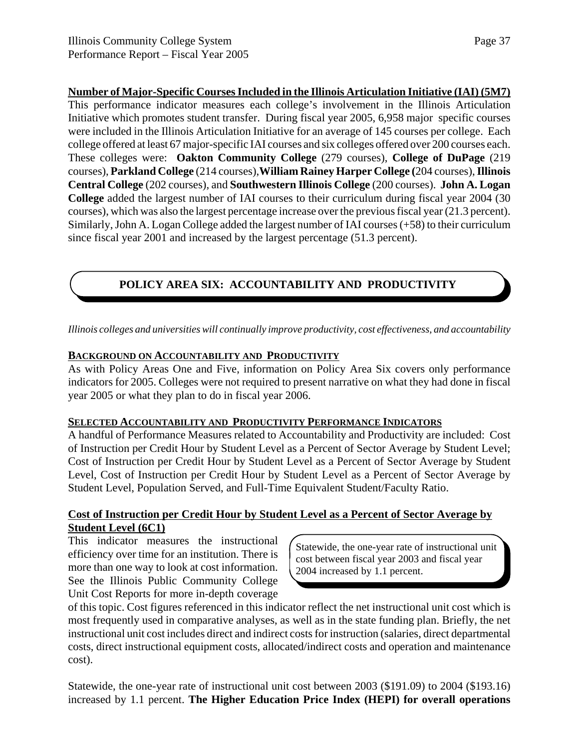**Number of Major-Specific Courses Included in the Illinois Articulation Initiative (IAI) (5M7)** This performance indicator measures each college's involvement in the Illinois Articulation Initiative which promotes student transfer. During fiscal year 2005, 6,958 major specific courses were included in the Illinois Articulation Initiative for an average of 145 courses per college. Each college offered at least 67 major-specific IAI courses and six colleges offered over 200 courses each. These colleges were: **Oakton Community College** (279 courses), **College of DuPage** (219 courses), **Parkland College** (214 courses),**William Rainey Harper College (**204 courses), **Illinois Central College** (202 courses), and **Southwestern Illinois College** (200 courses). **John A. Logan College** added the largest number of IAI courses to their curriculum during fiscal year 2004 (30 courses), which was also the largest percentage increase over the previous fiscal year (21.3 percent). Similarly, John A. Logan College added the largest number of IAI courses (+58) to their curriculum since fiscal year 2001 and increased by the largest percentage (51.3 percent).

### **POLICY AREA SIX: ACCOUNTABILITY AND PRODUCTIVITY**

*Illinois colleges and universities will continually improve productivity, cost effectiveness, and accountability*

### **BACKGROUND ON ACCOUNTABILITY AND PRODUCTIVITY**

As with Policy Areas One and Five, information on Policy Area Six covers only performance indicators for 2005. Colleges were not required to present narrative on what they had done in fiscal year 2005 or what they plan to do in fiscal year 2006.

#### **SELECTED ACCOUNTABILITY AND PRODUCTIVITY PERFORMANCE INDICATORS**

A handful of Performance Measures related to Accountability and Productivity are included: Cost of Instruction per Credit Hour by Student Level as a Percent of Sector Average by Student Level; Cost of Instruction per Credit Hour by Student Level as a Percent of Sector Average by Student Level, Cost of Instruction per Credit Hour by Student Level as a Percent of Sector Average by Student Level, Population Served, and Full-Time Equivalent Student/Faculty Ratio.

### **Cost of Instruction per Credit Hour by Student Level as a Percent of Sector Average by Student Level (6C1)**

This indicator measures the instructional efficiency over time for an institution. There is more than one way to look at cost information. See the Illinois Public Community College Unit Cost Reports for more in-depth coverage

Statewide, the one-year rate of instructional unit cost between fiscal year 2003 and fiscal year 2004 increased by 1.1 percent.

of this topic. Cost figures referenced in this indicator reflect the net instructional unit cost which is most frequently used in comparative analyses, as well as in the state funding plan. Briefly, the net instructional unit cost includes direct and indirect costs for instruction (salaries, direct departmental costs, direct instructional equipment costs, allocated/indirect costs and operation and maintenance cost).

Statewide, the one-year rate of instructional unit cost between 2003 (\$191.09) to 2004 (\$193.16) increased by 1.1 percent. **The Higher Education Price Index (HEPI) for overall operations**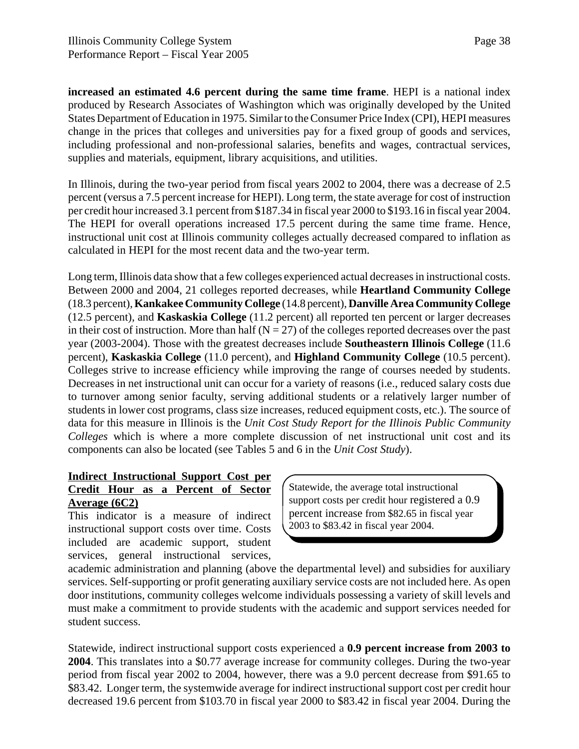**increased an estimated 4.6 percent during the same time frame**. HEPI is a national index produced by Research Associates of Washington which was originally developed by the United States Department of Education in 1975. Similar to the Consumer Price Index (CPI), HEPI measures change in the prices that colleges and universities pay for a fixed group of goods and services, including professional and non-professional salaries, benefits and wages, contractual services, supplies and materials, equipment, library acquisitions, and utilities.

In Illinois, during the two-year period from fiscal years 2002 to 2004, there was a decrease of 2.5 percent (versus a 7.5 percent increase for HEPI). Long term, the state average for cost of instruction per credit hour increased 3.1 percent from \$187.34 in fiscal year 2000 to \$193.16 in fiscal year 2004. The HEPI for overall operations increased 17.5 percent during the same time frame. Hence, instructional unit cost at Illinois community colleges actually decreased compared to inflation as calculated in HEPI for the most recent data and the two-year term.

Long term, Illinois data show that a few colleges experienced actual decreases in instructional costs. Between 2000 and 2004, 21 colleges reported decreases, while **Heartland Community College** (18.3 percent), **Kankakee Community College** (14.8 percent), **Danville Area Community College** (12.5 percent), and **Kaskaskia College** (11.2 percent) all reported ten percent or larger decreases in their cost of instruction. More than half ( $N = 27$ ) of the colleges reported decreases over the past year (2003-2004). Those with the greatest decreases include **Southeastern Illinois College** (11.6 percent), **Kaskaskia College** (11.0 percent), and **Highland Community College** (10.5 percent). Colleges strive to increase efficiency while improving the range of courses needed by students. Decreases in net instructional unit can occur for a variety of reasons (i.e., reduced salary costs due to turnover among senior faculty, serving additional students or a relatively larger number of students in lower cost programs, class size increases, reduced equipment costs, etc.). The source of data for this measure in Illinois is the *Unit Cost Study Report for the Illinois Public Community Colleges* which is where a more complete discussion of net instructional unit cost and its components can also be located (see Tables 5 and 6 in the *Unit Cost Study*).

# **Indirect Instructional Support Cost per**

#### **Credit Hour as a Percent of Sector Average (6C2)**

This indicator is a measure of indirect instructional support costs over time. Costs included are academic support, student services, general instructional services,

Statewide, the average total instructional support costs per credit hour registered a 0.9 percent increase from \$82.65 in fiscal year 2003 to \$83.42 in fiscal year 2004.

academic administration and planning (above the departmental level) and subsidies for auxiliary services. Self-supporting or profit generating auxiliary service costs are not included here. As open door institutions, community colleges welcome individuals possessing a variety of skill levels and must make a commitment to provide students with the academic and support services needed for student success.

Statewide, indirect instructional support costs experienced a **0.9 percent increase from 2003 to 2004**. This translates into a \$0.77 average increase for community colleges. During the two-year period from fiscal year 2002 to 2004, however, there was a 9.0 percent decrease from \$91.65 to \$83.42. Longer term, the systemwide average for indirect instructional support cost per credit hour decreased 19.6 percent from \$103.70 in fiscal year 2000 to \$83.42 in fiscal year 2004. During the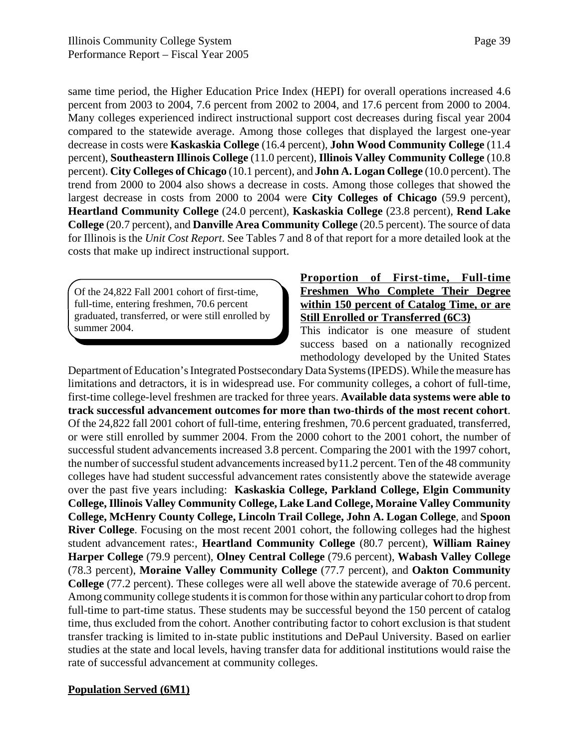same time period, the Higher Education Price Index (HEPI) for overall operations increased 4.6 percent from 2003 to 2004, 7.6 percent from 2002 to 2004, and 17.6 percent from 2000 to 2004. Many colleges experienced indirect instructional support cost decreases during fiscal year 2004 compared to the statewide average. Among those colleges that displayed the largest one-year decrease in costs were **Kaskaskia College** (16.4 percent), **John Wood Community College** (11.4 percent), **Southeastern Illinois College** (11.0 percent), **Illinois Valley Community College** (10.8 percent). **City Colleges of Chicago** (10.1 percent), and **John A. Logan College** (10.0 percent). The trend from 2000 to 2004 also shows a decrease in costs. Among those colleges that showed the largest decrease in costs from 2000 to 2004 were **City Colleges of Chicago** (59.9 percent), **Heartland Community College** (24.0 percent), **Kaskaskia College** (23.8 percent), **Rend Lake College** (20.7 percent), and **Danville Area Community College** (20.5 percent). The source of data for Illinois is the *Unit Cost Report*. See Tables 7 and 8 of that report for a more detailed look at the costs that make up indirect instructional support.

Of the 24,822 Fall 2001 cohort of first-time, full-time, entering freshmen, 70.6 percent graduated, transferred, or were still enrolled by summer 2004.

### **Proportion of First-time, Full-time Freshmen Who Complete Their Degree within 150 percent of Catalog Time, or are Still Enrolled or Transferred (6C3)**

This indicator is one measure of student success based on a nationally recognized methodology developed by the United States

Department of Education's Integrated Postsecondary Data Systems (IPEDS). While the measure has limitations and detractors, it is in widespread use. For community colleges, a cohort of full-time, first-time college-level freshmen are tracked for three years. **Available data systems were able to track successful advancement outcomes for more than two-thirds of the most recent cohort**. Of the 24,822 fall 2001 cohort of full-time, entering freshmen, 70.6 percent graduated, transferred, or were still enrolled by summer 2004. From the 2000 cohort to the 2001 cohort, the number of successful student advancements increased 3.8 percent. Comparing the 2001 with the 1997 cohort, the number of successful student advancements increased by11.2 percent. Ten of the 48 community colleges have had student successful advancement rates consistently above the statewide average over the past five years including: **Kaskaskia College, Parkland College, Elgin Community College, Illinois Valley Community College, Lake Land College, Moraine Valley Community College, McHenry County College, Lincoln Trail College, John A. Logan College**, and **Spoon River College**. Focusing on the most recent 2001 cohort, the following colleges had the highest student advancement rates:, **Heartland Community College** (80.7 percent), **William Rainey Harper College** (79.9 percent), **Olney Central College** (79.6 percent), **Wabash Valley College** (78.3 percent), **Moraine Valley Community College** (77.7 percent), and **Oakton Community College** (77.2 percent). These colleges were all well above the statewide average of 70.6 percent. Among community college students it is common for those within any particular cohort to drop from full-time to part-time status. These students may be successful beyond the 150 percent of catalog time, thus excluded from the cohort. Another contributing factor to cohort exclusion is that student transfer tracking is limited to in-state public institutions and DePaul University. Based on earlier studies at the state and local levels, having transfer data for additional institutions would raise the rate of successful advancement at community colleges.

### **Population Served (6M1)**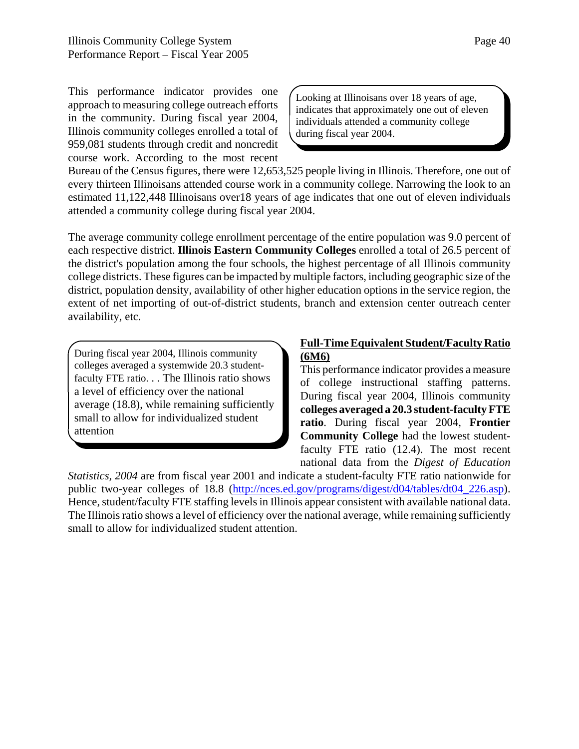This performance indicator provides one approach to measuring college outreach efforts in the community. During fiscal year 2004, Illinois community colleges enrolled a total of 959,081 students through credit and noncredit course work. According to the most recent

Looking at Illinoisans over 18 years of age, indicates that approximately one out of eleven individuals attended a community college during fiscal year 2004.

Bureau of the Census figures, there were 12,653,525 people living in Illinois. Therefore, one out of every thirteen Illinoisans attended course work in a community college. Narrowing the look to an estimated 11,122,448 Illinoisans over18 years of age indicates that one out of eleven individuals attended a community college during fiscal year 2004.

The average community college enrollment percentage of the entire population was 9.0 percent of each respective district. **Illinois Eastern Community Colleges** enrolled a total of 26.5 percent of the district's population among the four schools, the highest percentage of all Illinois community college districts. These figures can be impacted by multiple factors, including geographic size of the district, population density, availability of other higher education options in the service region, the extent of net importing of out-of-district students, branch and extension center outreach center availability, etc.

During fiscal year 2004, Illinois community colleges averaged a systemwide 20.3 studentfaculty FTE ratio. . . The Illinois ratio shows a level of efficiency over the national average (18.8), while remaining sufficiently small to allow for individualized student attention

### **Full-Time Equivalent Student/Faculty Ratio (6M6)**

This performance indicator provides a measure of college instructional staffing patterns. During fiscal year 2004, Illinois community **colleges averaged a 20.3 student-faculty FTE ratio**. During fiscal year 2004, **Frontier Community College** had the lowest studentfaculty FTE ratio (12.4). The most recent national data from the *Digest of Education*

*Statistics, 2004* are from fiscal year 2001 and indicate a student-faculty FTE ratio nationwide for public two-year colleges of 18.8 (http://nces.ed.gov/programs/digest/d04/tables/dt04\_226.asp). Hence, student/faculty FTE staffing levels in Illinois appear consistent with available national data. The Illinois ratio shows a level of efficiency over the national average, while remaining sufficiently small to allow for individualized student attention.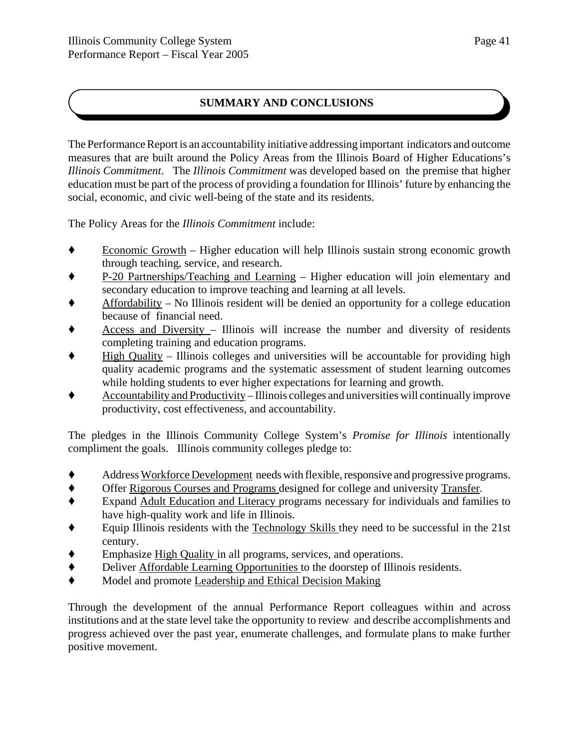### **SUMMARY AND CONCLUSIONS**

The Performance Report is an accountability initiative addressing important indicators and outcome measures that are built around the Policy Areas from the Illinois Board of Higher Educations's *Illinois Commitment*. The *Illinois Commitment* was developed based on the premise that higher education must be part of the process of providing a foundation for Illinois' future by enhancing the social, economic, and civic well-being of the state and its residents.

The Policy Areas for the *Illinois Commitment* include:

- $\bullet$  Economic Growth Higher education will help Illinois sustain strong economic growth through teaching, service, and research.
- ' P-20 Partnerships/Teaching and Learning Higher education will join elementary and secondary education to improve teaching and learning at all levels.
- ' Affordability No Illinois resident will be denied an opportunity for a college education because of financial need.
- $\triangle$  Access and Diversity Illinois will increase the number and diversity of residents completing training and education programs.
- ' High Quality Illinois colleges and universities will be accountable for providing high quality academic programs and the systematic assessment of student learning outcomes while holding students to ever higher expectations for learning and growth.
- $\blacklozenge$  Accountability and Productivity Illinois colleges and universities will continually improve productivity, cost effectiveness, and accountability.

The pledges in the Illinois Community College System's *Promise for Illinois* intentionally compliment the goals. Illinois community colleges pledge to:

- ' Address Workforce Development needs with flexible, responsive and progressive programs.
- ' Offer Rigorous Courses and Programs designed for college and university Transfer.
- ' Expand Adult Education and Literacy programs necessary for individuals and families to have high-quality work and life in Illinois.
- $\bullet$  Equip Illinois residents with the Technology Skills they need to be successful in the 21st century.
- Emphasize High Quality in all programs, services, and operations.
- ' Deliver Affordable Learning Opportunities to the doorstep of Illinois residents.
- ' Model and promote Leadership and Ethical Decision Making

Through the development of the annual Performance Report colleagues within and across institutions and at the state level take the opportunity to review and describe accomplishments and progress achieved over the past year, enumerate challenges, and formulate plans to make further positive movement.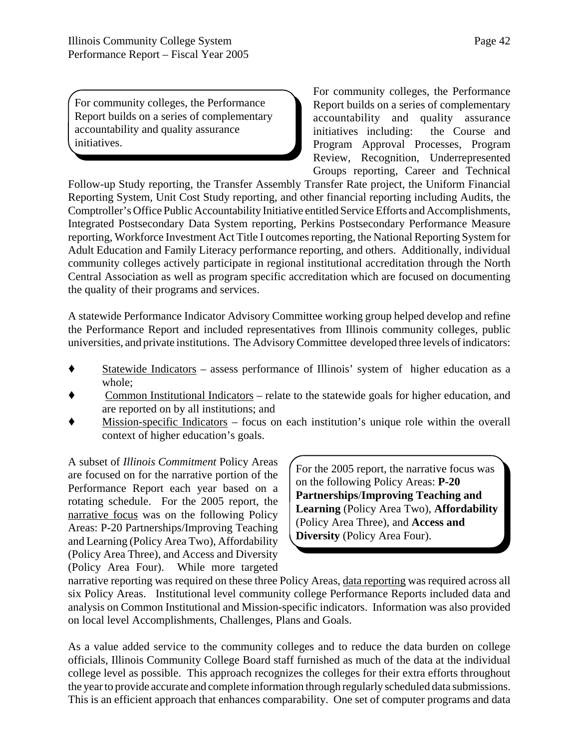For community colleges, the Performance Report builds on a series of complementary accountability and quality assurance initiatives.

For community colleges, the Performance Report builds on a series of complementary accountability and quality assurance initiatives including: the Course and Program Approval Processes, Program Review, Recognition, Underrepresented Groups reporting, Career and Technical

Follow-up Study reporting, the Transfer Assembly Transfer Rate project, the Uniform Financial Reporting System, Unit Cost Study reporting, and other financial reporting including Audits, the Comptroller's Office Public Accountability Initiative entitled Service Efforts and Accomplishments, Integrated Postsecondary Data System reporting, Perkins Postsecondary Performance Measure reporting, Workforce Investment Act Title I outcomes reporting, the National Reporting System for Adult Education and Family Literacy performance reporting, and others. Additionally, individual community colleges actively participate in regional institutional accreditation through the North Central Association as well as program specific accreditation which are focused on documenting the quality of their programs and services.

A statewide Performance Indicator Advisory Committee working group helped develop and refine the Performance Report and included representatives from Illinois community colleges, public universities, and private institutions. The Advisory Committee developed three levels of indicators:

- ' Statewide Indicators assess performance of Illinois' system of higher education as a whole;
- ' Common Institutional Indicators relate to the statewide goals for higher education, and are reported on by all institutions; and
- ' Mission-specific Indicators focus on each institution's unique role within the overall context of higher education's goals.

A subset of *Illinois Commitment* Policy Areas are focused on for the narrative portion of the Performance Report each year based on a rotating schedule. For the 2005 report, the narrative focus was on the following Policy Areas: P-20 Partnerships/Improving Teaching and Learning (Policy Area Two), Affordability (Policy Area Three), and Access and Diversity (Policy Area Four). While more targeted

For the 2005 report, the narrative focus was on the following Policy Areas: **P-20 Partnerships**/**Improving Teaching and Learning** (Policy Area Two), **Affordability** (Policy Area Three), and **Access and Diversity** (Policy Area Four).

narrative reporting was required on these three Policy Areas, data reporting was required across all six Policy Areas. Institutional level community college Performance Reports included data and analysis on Common Institutional and Mission-specific indicators. Information was also provided on local level Accomplishments, Challenges, Plans and Goals.

As a value added service to the community colleges and to reduce the data burden on college officials, Illinois Community College Board staff furnished as much of the data at the individual college level as possible. This approach recognizes the colleges for their extra efforts throughout the year to provide accurate and complete information through regularly scheduled data submissions. This is an efficient approach that enhances comparability. One set of computer programs and data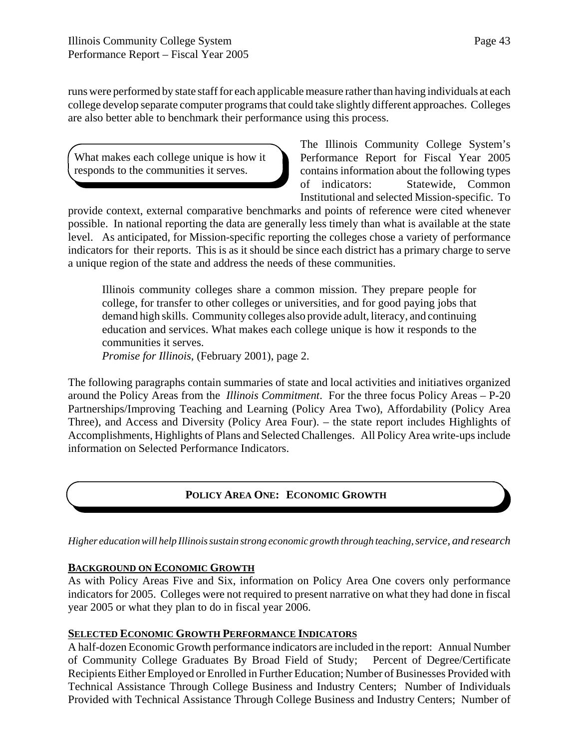runs were performed by state staff for each applicable measure rather than having individuals at each college develop separate computer programs that could take slightly different approaches. Colleges are also better able to benchmark their performance using this process.

What makes each college unique is how it responds to the communities it serves.

The Illinois Community College System's Performance Report for Fiscal Year 2005 contains information about the following types of indicators: Statewide, Common Institutional and selected Mission-specific. To

provide context, external comparative benchmarks and points of reference were cited whenever possible. In national reporting the data are generally less timely than what is available at the state level. As anticipated, for Mission-specific reporting the colleges chose a variety of performance indicators for their reports. This is as it should be since each district has a primary charge to serve a unique region of the state and address the needs of these communities.

Illinois community colleges share a common mission. They prepare people for college, for transfer to other colleges or universities, and for good paying jobs that demand high skills. Community colleges also provide adult, literacy, and continuing education and services. What makes each college unique is how it responds to the communities it serves.

*Promise for Illinois*, (February 2001), page 2.

The following paragraphs contain summaries of state and local activities and initiatives organized around the Policy Areas from the *Illinois Commitment*. For the three focus Policy Areas – P-20 Partnerships/Improving Teaching and Learning (Policy Area Two), Affordability (Policy Area Three), and Access and Diversity (Policy Area Four). – the state report includes Highlights of Accomplishments, Highlights of Plans and Selected Challenges. All Policy Area write-ups include information on Selected Performance Indicators.

### **POLICY AREA ONE: ECONOMIC GROWTH**

*Higher education will help Illinois sustain strong economic growth through teaching, service, and research*

### **BACKGROUND ON ECONOMIC GROWTH**

As with Policy Areas Five and Six, information on Policy Area One covers only performance indicators for 2005. Colleges were not required to present narrative on what they had done in fiscal year 2005 or what they plan to do in fiscal year 2006.

#### **SELECTED ECONOMIC GROWTH PERFORMANCE INDICATORS**

A half-dozen Economic Growth performance indicators are included in the report: Annual Number of Community College Graduates By Broad Field of Study; Percent of Degree/Certificate Recipients Either Employed or Enrolled in Further Education; Number of Businesses Provided with Technical Assistance Through College Business and Industry Centers; Number of Individuals Provided with Technical Assistance Through College Business and Industry Centers; Number of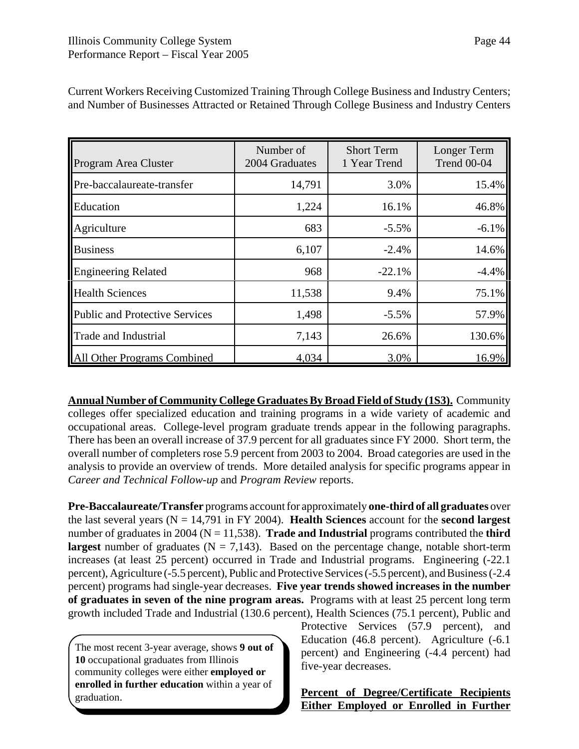| Program Area Cluster                  | Number of<br>2004 Graduates | <b>Short Term</b><br>1 Year Trend | Longer Term<br><b>Trend 00-04</b> |
|---------------------------------------|-----------------------------|-----------------------------------|-----------------------------------|
| Pre-baccalaureate-transfer            | 14,791                      | 3.0%                              | 15.4%                             |
| Education                             | 1,224                       | 16.1%                             | 46.8%                             |
| Agriculture                           | 683                         | $-5.5%$                           | $-6.1%$                           |
| <b>Business</b>                       | 6,107                       | $-2.4%$                           | 14.6%                             |
| <b>Engineering Related</b>            | 968                         | $-22.1%$                          | $-4.4%$                           |
| <b>Health Sciences</b>                | 11,538                      | 9.4%                              | 75.1%                             |
| <b>Public and Protective Services</b> | 1,498                       | $-5.5%$                           | 57.9%                             |
| <b>Trade and Industrial</b>           | 7,143                       | 26.6%                             | 130.6%                            |
| <b>All Other Programs Combined</b>    | 4,034                       | 3.0%                              | 16.9%                             |

Current Workers Receiving Customized Training Through College Business and Industry Centers; and Number of Businesses Attracted or Retained Through College Business and Industry Centers

**Annual Number of Community College Graduates By Broad Field of Study (1S3).** Community colleges offer specialized education and training programs in a wide variety of academic and occupational areas. College-level program graduate trends appear in the following paragraphs. There has been an overall increase of 37.9 percent for all graduates since FY 2000. Short term, the overall number of completers rose 5.9 percent from 2003 to 2004. Broad categories are used in the analysis to provide an overview of trends. More detailed analysis for specific programs appear in *Career and Technical Follow-up* and *Program Review* reports.

**Pre-Baccalaureate/Transfer** programs account for approximately **one-third of all graduates** over the last several years (N = 14,791 in FY 2004). **Health Sciences** account for the **second largest** number of graduates in 2004 ( $N = 11,538$ ). **Trade and Industrial** programs contributed the **third largest** number of graduates  $(N = 7,143)$ . Based on the percentage change, notable short-term increases (at least 25 percent) occurred in Trade and Industrial programs. Engineering (-22.1 percent), Agriculture (-5.5 percent), Public and Protective Services (-5.5 percent), and Business (-2.4 percent) programs had single-year decreases. **Five year trends showed increases in the number of graduates in seven of the nine program areas.** Programs with at least 25 percent long term growth included Trade and Industrial (130.6 percent), Health Sciences (75.1 percent), Public and

The most recent 3-year average, shows **9 out of 10** occupational graduates from Illinois community colleges were either **employed or enrolled in further education** within a year of graduation.

Protective Services (57.9 percent), and Education (46.8 percent). Agriculture (-6.1 percent) and Engineering (-4.4 percent) had five-year decreases.

**Percent of Degree/Certificate Recipients Either Employed or Enrolled in Further**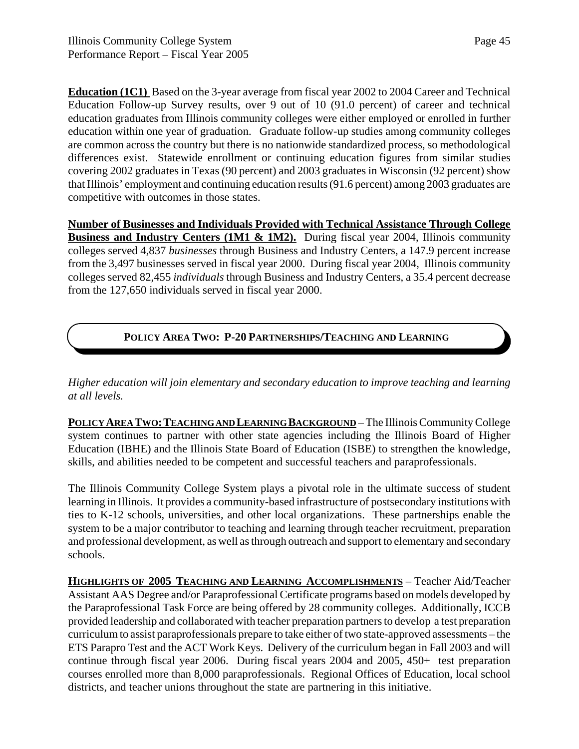**Education (1C1)** Based on the 3-year average from fiscal year 2002 to 2004 Career and Technical Education Follow-up Survey results, over 9 out of 10 (91.0 percent) of career and technical education graduates from Illinois community colleges were either employed or enrolled in further education within one year of graduation. Graduate follow-up studies among community colleges are common across the country but there is no nationwide standardized process, so methodological differences exist. Statewide enrollment or continuing education figures from similar studies covering 2002 graduates in Texas (90 percent) and 2003 graduates in Wisconsin (92 percent) show that Illinois' employment and continuing education results (91.6 percent) among 2003 graduates are competitive with outcomes in those states.

**Number of Businesses and Individuals Provided with Technical Assistance Through College Business and Industry Centers (1M1 & 1M2).** During fiscal year 2004, Illinois community colleges served 4,837 *businesses* through Business and Industry Centers, a 147.9 percent increase from the 3,497 businesses served in fiscal year 2000. During fiscal year 2004, Illinois community colleges served 82,455 *individuals* through Business and Industry Centers, a 35.4 percent decrease from the 127,650 individuals served in fiscal year 2000.

### **POLICY AREA TWO: P-20 PARTNERSHIPS/TEACHING AND LEARNING**

*Higher education will join elementary and secondary education to improve teaching and learning at all levels.*

POLICY AREA TWO: TEACHING AND LEARNING BACKGROUND – The Illinois Community College system continues to partner with other state agencies including the Illinois Board of Higher Education (IBHE) and the Illinois State Board of Education (ISBE) to strengthen the knowledge, skills, and abilities needed to be competent and successful teachers and paraprofessionals.

The Illinois Community College System plays a pivotal role in the ultimate success of student learning in Illinois. It provides a community-based infrastructure of postsecondary institutions with ties to K-12 schools, universities, and other local organizations. These partnerships enable the system to be a major contributor to teaching and learning through teacher recruitment, preparation and professional development, as well as through outreach and support to elementary and secondary schools.

**HIGHLIGHTS OF 2005 TEACHING AND LEARNING ACCOMPLISHMENTS** – Teacher Aid/Teacher Assistant AAS Degree and/or Paraprofessional Certificate programs based on models developed by the Paraprofessional Task Force are being offered by 28 community colleges. Additionally, ICCB provided leadership and collaborated with teacher preparation partners to develop a test preparation curriculum to assist paraprofessionals prepare to take either of two state-approved assessments – the ETS Parapro Test and the ACT Work Keys. Delivery of the curriculum began in Fall 2003 and will continue through fiscal year 2006. During fiscal years 2004 and 2005, 450+ test preparation courses enrolled more than 8,000 paraprofessionals. Regional Offices of Education, local school districts, and teacher unions throughout the state are partnering in this initiative.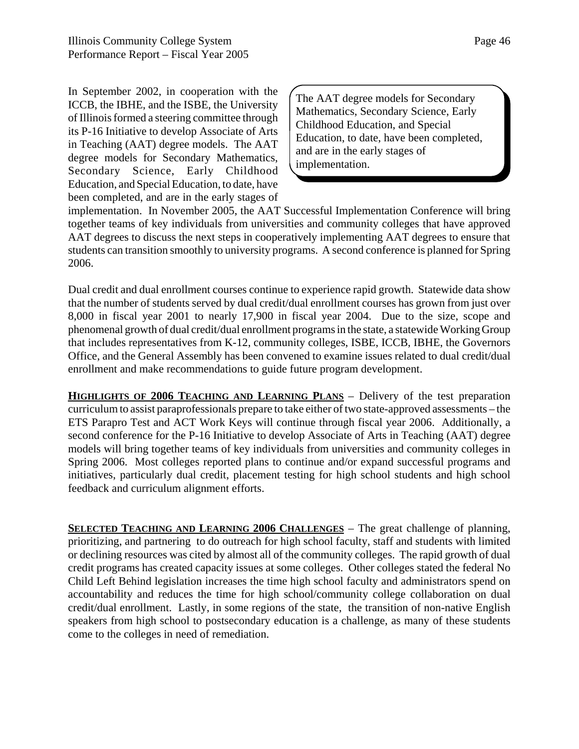In September 2002, in cooperation with the ICCB, the IBHE, and the ISBE, the University of Illinois formed a steering committee through its P-16 Initiative to develop Associate of Arts in Teaching (AAT) degree models. The AAT degree models for Secondary Mathematics, Secondary Science, Early Childhood Education, and Special Education, to date, have been completed, and are in the early stages of

The AAT degree models for Secondary Mathematics, Secondary Science, Early Childhood Education, and Special Education, to date, have been completed, and are in the early stages of implementation.

implementation. In November 2005, the AAT Successful Implementation Conference will bring together teams of key individuals from universities and community colleges that have approved AAT degrees to discuss the next steps in cooperatively implementing AAT degrees to ensure that students can transition smoothly to university programs. A second conference is planned for Spring 2006.

Dual credit and dual enrollment courses continue to experience rapid growth. Statewide data show that the number of students served by dual credit/dual enrollment courses has grown from just over 8,000 in fiscal year 2001 to nearly 17,900 in fiscal year 2004. Due to the size, scope and phenomenal growth of dual credit/dual enrollment programs in the state, a statewide Working Group that includes representatives from K-12, community colleges, ISBE, ICCB, IBHE, the Governors Office, and the General Assembly has been convened to examine issues related to dual credit/dual enrollment and make recommendations to guide future program development.

**HIGHLIGHTS OF 2006 TEACHING AND LEARNING PLANS** – Delivery of the test preparation curriculum to assist paraprofessionals prepare to take either of two state-approved assessments – the ETS Parapro Test and ACT Work Keys will continue through fiscal year 2006. Additionally, a second conference for the P-16 Initiative to develop Associate of Arts in Teaching (AAT) degree models will bring together teams of key individuals from universities and community colleges in Spring 2006. Most colleges reported plans to continue and/or expand successful programs and initiatives, particularly dual credit, placement testing for high school students and high school feedback and curriculum alignment efforts.

**SELECTED TEACHING AND LEARNING 2006 CHALLENGES** – The great challenge of planning, prioritizing, and partnering to do outreach for high school faculty, staff and students with limited or declining resources was cited by almost all of the community colleges. The rapid growth of dual credit programs has created capacity issues at some colleges. Other colleges stated the federal No Child Left Behind legislation increases the time high school faculty and administrators spend on accountability and reduces the time for high school/community college collaboration on dual credit/dual enrollment. Lastly, in some regions of the state, the transition of non-native English speakers from high school to postsecondary education is a challenge, as many of these students come to the colleges in need of remediation.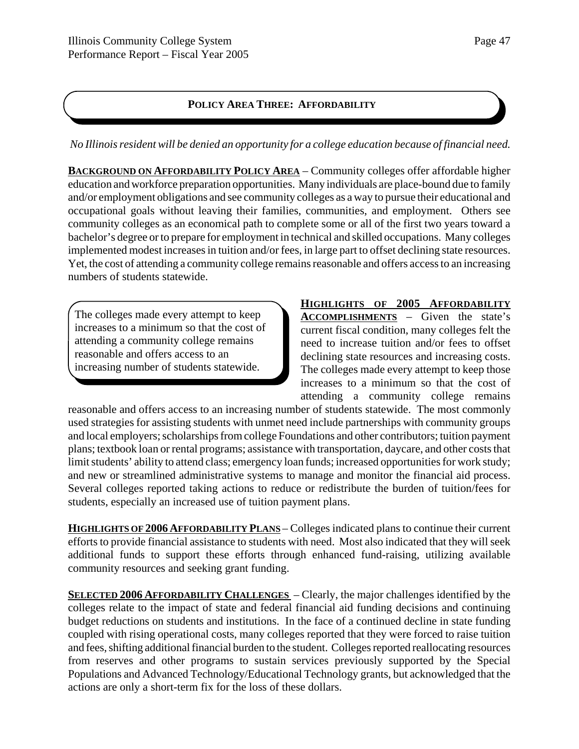### **POLICY AREA THREE: AFFORDABILITY**

*No Illinois resident will be denied an opportunity for a college education because of financial need.*

**BACKGROUND ON AFFORDABILITY POLICY AREA** – Community colleges offer affordable higher education and workforce preparation opportunities. Many individuals are place-bound due to family and/or employment obligations and see community colleges as a way to pursue their educational and occupational goals without leaving their families, communities, and employment. Others see community colleges as an economical path to complete some or all of the first two years toward a bachelor's degree or to prepare for employment in technical and skilled occupations. Many colleges implemented modest increases in tuition and/or fees, in large part to offset declining state resources. Yet, the cost of attending a community college remains reasonable and offers access to an increasing numbers of students statewide.

The colleges made every attempt to keep increases to a minimum so that the cost of attending a community college remains reasonable and offers access to an increasing number of students statewide.

**HIGHLIGHTS OF 2005 AFFORDABILITY ACCOMPLISHMENTS** – Given the state's current fiscal condition, many colleges felt the need to increase tuition and/or fees to offset declining state resources and increasing costs. The colleges made every attempt to keep those increases to a minimum so that the cost of attending a community college remains

reasonable and offers access to an increasing number of students statewide. The most commonly used strategies for assisting students with unmet need include partnerships with community groups and local employers; scholarships from college Foundations and other contributors; tuition payment plans; textbook loan or rental programs; assistance with transportation, daycare, and other costs that limit students' ability to attend class; emergency loan funds; increased opportunities for work study; and new or streamlined administrative systems to manage and monitor the financial aid process. Several colleges reported taking actions to reduce or redistribute the burden of tuition/fees for students, especially an increased use of tuition payment plans.

**HIGHLIGHTS OF 2006 AFFORDABILITY PLANS** – Colleges indicated plans to continue their current efforts to provide financial assistance to students with need. Most also indicated that they will seek additional funds to support these efforts through enhanced fund-raising, utilizing available community resources and seeking grant funding.

**SELECTED 2006 AFFORDABILITY CHALLENGES** – Clearly, the major challenges identified by the colleges relate to the impact of state and federal financial aid funding decisions and continuing budget reductions on students and institutions. In the face of a continued decline in state funding coupled with rising operational costs, many colleges reported that they were forced to raise tuition and fees, shifting additional financial burden to the student. Colleges reported reallocating resources from reserves and other programs to sustain services previously supported by the Special Populations and Advanced Technology/Educational Technology grants, but acknowledged that the actions are only a short-term fix for the loss of these dollars.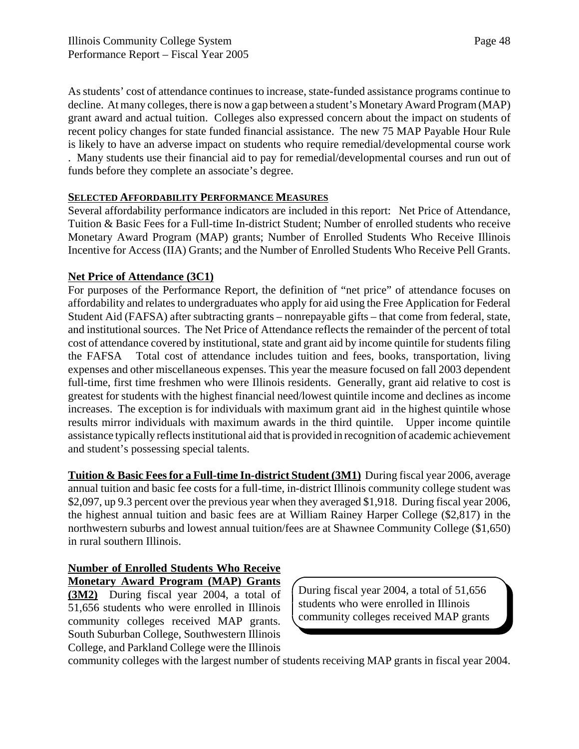As students' cost of attendance continues to increase, state-funded assistance programs continue to decline. At many colleges, there is now a gap between a student's Monetary Award Program (MAP) grant award and actual tuition. Colleges also expressed concern about the impact on students of recent policy changes for state funded financial assistance. The new 75 MAP Payable Hour Rule is likely to have an adverse impact on students who require remedial/developmental course work . Many students use their financial aid to pay for remedial/developmental courses and run out of funds before they complete an associate's degree.

### **SELECTED AFFORDABILITY PERFORMANCE MEASURES**

Several affordability performance indicators are included in this report: Net Price of Attendance, Tuition & Basic Fees for a Full-time In-district Student; Number of enrolled students who receive Monetary Award Program (MAP) grants; Number of Enrolled Students Who Receive Illinois Incentive for Access (IIA) Grants; and the Number of Enrolled Students Who Receive Pell Grants.

### **Net Price of Attendance (3C1)**

For purposes of the Performance Report, the definition of "net price" of attendance focuses on affordability and relates to undergraduates who apply for aid using the Free Application for Federal Student Aid (FAFSA) after subtracting grants – nonrepayable gifts – that come from federal, state, and institutional sources. The Net Price of Attendance reflects the remainder of the percent of total cost of attendance covered by institutional, state and grant aid by income quintile for students filing the FAFSA Total cost of attendance includes tuition and fees, books, transportation, living expenses and other miscellaneous expenses. This year the measure focused on fall 2003 dependent full-time, first time freshmen who were Illinois residents. Generally, grant aid relative to cost is greatest for students with the highest financial need/lowest quintile income and declines as income increases. The exception is for individuals with maximum grant aid in the highest quintile whose results mirror individuals with maximum awards in the third quintile. Upper income quintile assistance typically reflects institutional aid that is provided in recognition of academic achievement and student's possessing special talents.

**Tuition & Basic Fees for a Full-time In-district Student (3M1)** During fiscal year 2006, average annual tuition and basic fee costs for a full-time, in-district Illinois community college student was \$2,097, up 9.3 percent over the previous year when they averaged \$1,918. During fiscal year 2006, the highest annual tuition and basic fees are at William Rainey Harper College (\$2,817) in the northwestern suburbs and lowest annual tuition/fees are at Shawnee Community College (\$1,650) in rural southern Illinois.

### **Number of Enrolled Students Who Receive Monetary Award Program (MAP) Grants**

**(3M2)** During fiscal year 2004, a total of 51,656 students who were enrolled in Illinois community colleges received MAP grants. South Suburban College, Southwestern Illinois College, and Parkland College were the Illinois During fiscal year 2004, a total of 51,656 students who were enrolled in Illinois community colleges received MAP grants

community colleges with the largest number of students receiving MAP grants in fiscal year 2004.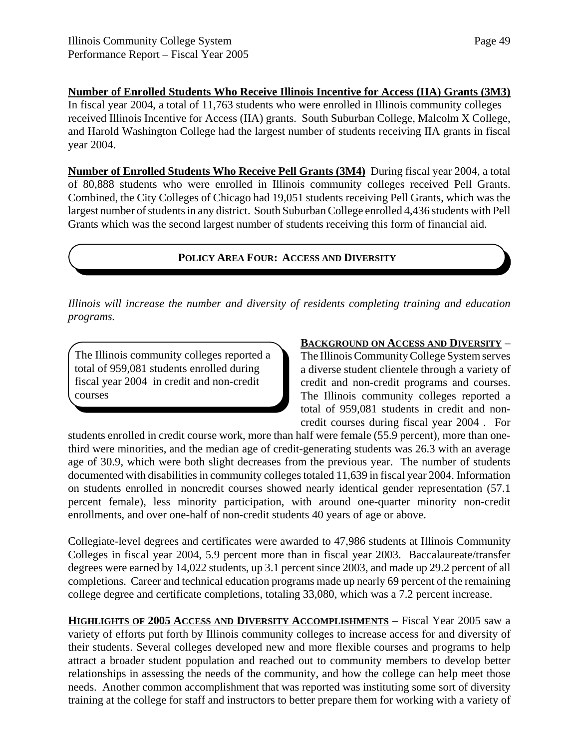### **Number of Enrolled Students Who Receive Illinois Incentive for Access (IIA) Grants (3M3)**

In fiscal year 2004, a total of 11,763 students who were enrolled in Illinois community colleges received Illinois Incentive for Access (IIA) grants. South Suburban College, Malcolm X College, and Harold Washington College had the largest number of students receiving IIA grants in fiscal year 2004.

**Number of Enrolled Students Who Receive Pell Grants (3M4)** During fiscal year 2004, a total of 80,888 students who were enrolled in Illinois community colleges received Pell Grants. Combined, the City Colleges of Chicago had 19,051 students receiving Pell Grants, which was the largest number of students in any district. South Suburban College enrolled 4,436 students with Pell Grants which was the second largest number of students receiving this form of financial aid.

### **POLICY AREA FOUR: ACCESS AND DIVERSITY**

*Illinois will increase the number and diversity of residents completing training and education programs.*

The Illinois community colleges reported a total of 959,081 students enrolled during fiscal year 2004 in credit and non-credit courses

#### **BACKGROUND ON ACCESS AND DIVERSITY** –

The Illinois Community College System serves a diverse student clientele through a variety of credit and non-credit programs and courses. The Illinois community colleges reported a total of 959,081 students in credit and noncredit courses during fiscal year 2004 . For

students enrolled in credit course work, more than half were female (55.9 percent), more than onethird were minorities, and the median age of credit-generating students was 26.3 with an average age of 30.9, which were both slight decreases from the previous year. The number of students documented with disabilities in community colleges totaled 11,639 in fiscal year 2004. Information on students enrolled in noncredit courses showed nearly identical gender representation (57.1 percent female), less minority participation, with around one-quarter minority non-credit enrollments, and over one-half of non-credit students 40 years of age or above.

Collegiate-level degrees and certificates were awarded to 47,986 students at Illinois Community Colleges in fiscal year 2004, 5.9 percent more than in fiscal year 2003. Baccalaureate/transfer degrees were earned by 14,022 students, up 3.1 percent since 2003, and made up 29.2 percent of all completions. Career and technical education programs made up nearly 69 percent of the remaining college degree and certificate completions, totaling 33,080, which was a 7.2 percent increase.

**HIGHLIGHTS OF 2005 ACCESS AND DIVERSITY ACCOMPLISHMENTS** – Fiscal Year 2005 saw a variety of efforts put forth by Illinois community colleges to increase access for and diversity of their students. Several colleges developed new and more flexible courses and programs to help attract a broader student population and reached out to community members to develop better relationships in assessing the needs of the community, and how the college can help meet those needs. Another common accomplishment that was reported was instituting some sort of diversity training at the college for staff and instructors to better prepare them for working with a variety of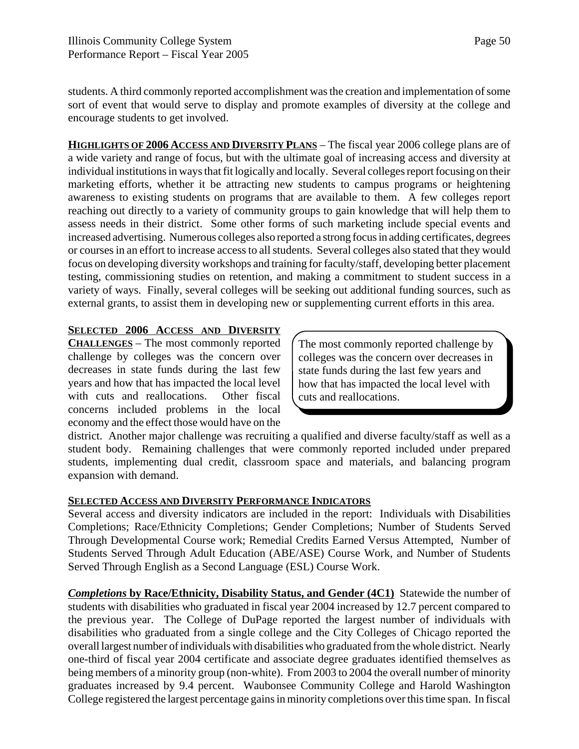students. A third commonly reported accomplishment was the creation and implementation of some sort of event that would serve to display and promote examples of diversity at the college and encourage students to get involved.

**HIGHLIGHTS OF 2006 ACCESS AND DIVERSITY PLANS** – The fiscal year 2006 college plans are of a wide variety and range of focus, but with the ultimate goal of increasing access and diversity at individual institutions in ways that fit logically and locally. Several colleges report focusing on their marketing efforts, whether it be attracting new students to campus programs or heightening awareness to existing students on programs that are available to them. A few colleges report reaching out directly to a variety of community groups to gain knowledge that will help them to assess needs in their district. Some other forms of such marketing include special events and increased advertising. Numerous colleges also reported a strong focus in adding certificates, degrees or courses in an effort to increase access to all students. Several colleges also stated that they would focus on developing diversity workshops and training for faculty/staff, developing better placement testing, commissioning studies on retention, and making a commitment to student success in a variety of ways. Finally, several colleges will be seeking out additional funding sources, such as external grants, to assist them in developing new or supplementing current efforts in this area.

### **SELECTED 2006 ACCESS AND DIVERSITY**

**CHALLENGES** – The most commonly reported challenge by colleges was the concern over decreases in state funds during the last few years and how that has impacted the local level with cuts and reallocations. Other fiscal concerns included problems in the local economy and the effect those would have on the

The most commonly reported challenge by colleges was the concern over decreases in state funds during the last few years and how that has impacted the local level with cuts and reallocations.

district. Another major challenge was recruiting a qualified and diverse faculty/staff as well as a student body. Remaining challenges that were commonly reported included under prepared students, implementing dual credit, classroom space and materials, and balancing program expansion with demand.

#### **SELECTED ACCESS AND DIVERSITY PERFORMANCE INDICATORS**

Several access and diversity indicators are included in the report: Individuals with Disabilities Completions; Race/Ethnicity Completions; Gender Completions; Number of Students Served Through Developmental Course work; Remedial Credits Earned Versus Attempted, Number of Students Served Through Adult Education (ABE/ASE) Course Work, and Number of Students Served Through English as a Second Language (ESL) Course Work.

*Completions* **by Race/Ethnicity, Disability Status, and Gender (4C1)** Statewide the number of students with disabilities who graduated in fiscal year 2004 increased by 12.7 percent compared to the previous year. The College of DuPage reported the largest number of individuals with disabilities who graduated from a single college and the City Colleges of Chicago reported the overall largest number of individuals with disabilities who graduated from the whole district. Nearly one-third of fiscal year 2004 certificate and associate degree graduates identified themselves as being members of a minority group (non-white). From 2003 to 2004 the overall number of minority graduates increased by 9.4 percent. Waubonsee Community College and Harold Washington College registered the largest percentage gains in minority completions over this time span. In fiscal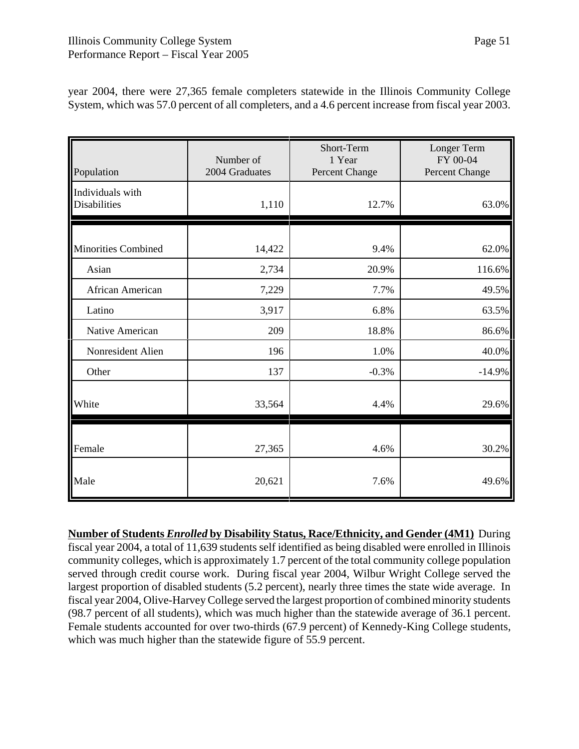| Population                       | Number of<br>2004 Graduates | Short-Term<br>1 Year<br>Percent Change | Longer Term<br>FY 00-04<br>Percent Change |
|----------------------------------|-----------------------------|----------------------------------------|-------------------------------------------|
| Individuals with<br>Disabilities | 1,110                       | 12.7%                                  | 63.0%                                     |
| <b>Minorities Combined</b>       | 14,422                      | 9.4%                                   | 62.0%                                     |
| Asian                            | 2,734                       | 20.9%                                  | 116.6%                                    |
| African American                 | 7,229                       | 7.7%                                   | 49.5%                                     |
| Latino                           | 3,917                       | 6.8%                                   | 63.5%                                     |
| Native American                  | 209                         | 18.8%                                  | 86.6%                                     |
| Nonresident Alien                | 196                         | 1.0%                                   | 40.0%                                     |
| Other                            | 137                         | $-0.3%$                                | $-14.9%$                                  |
| White                            | 33,564                      | 4.4%                                   | 29.6%                                     |
| Female                           | 27,365                      | 4.6%                                   | 30.2%                                     |
| Male                             | 20,621                      | 7.6%                                   | 49.6%                                     |

year 2004, there were 27,365 female completers statewide in the Illinois Community College System, which was 57.0 percent of all completers, and a 4.6 percent increase from fiscal year 2003.

**Number of Students** *Enrolled* **by Disability Status, Race/Ethnicity, and Gender (4M1)** During fiscal year 2004, a total of 11,639 students self identified as being disabled were enrolled in Illinois community colleges, which is approximately 1.7 percent of the total community college population served through credit course work. During fiscal year 2004, Wilbur Wright College served the largest proportion of disabled students (5.2 percent), nearly three times the state wide average. In fiscal year 2004, Olive-Harvey College served the largest proportion of combined minority students (98.7 percent of all students), which was much higher than the statewide average of 36.1 percent. Female students accounted for over two-thirds (67.9 percent) of Kennedy-King College students, which was much higher than the statewide figure of 55.9 percent.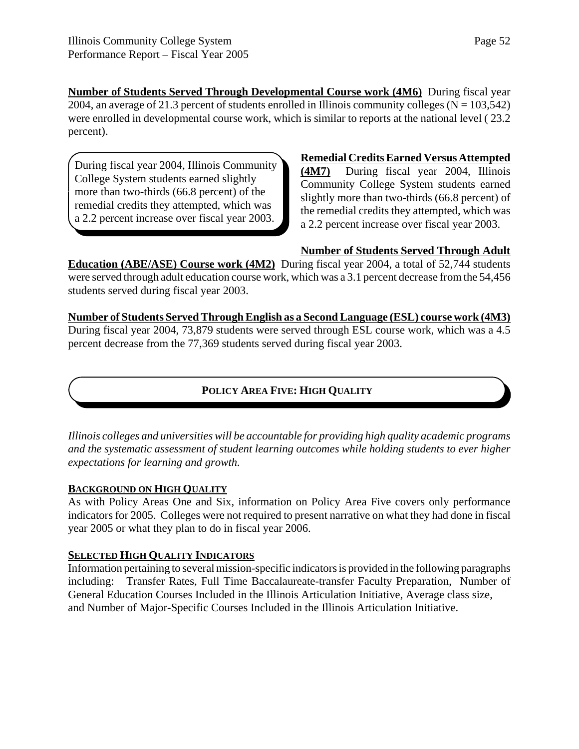**Number of Students Served Through Developmental Course work (4M6)** During fiscal year 2004, an average of 21.3 percent of students enrolled in Illinois community colleges ( $N = 103,542$ ) were enrolled in developmental course work, which is similar to reports at the national level ( 23.2 percent).

During fiscal year 2004, Illinois Community College System students earned slightly more than two-thirds (66.8 percent) of the remedial credits they attempted, which was a 2.2 percent increase over fiscal year 2003.

**Remedial Credits Earned Versus Attempted (4M7)** During fiscal year 2004, Illinois Community College System students earned slightly more than two-thirds (66.8 percent) of the remedial credits they attempted, which was a 2.2 percent increase over fiscal year 2003.

### **Number of Students Served Through Adult**

**Education (ABE/ASE) Course work (4M2)** During fiscal year 2004, a total of 52,744 students were served through adult education course work, which was a 3.1 percent decrease from the 54,456 students served during fiscal year 2003.

**Number of Students Served Through English as a Second Language (ESL) course work (4M3)** During fiscal year 2004, 73,879 students were served through ESL course work, which was a 4.5 percent decrease from the 77,369 students served during fiscal year 2003.

### **POLICY AREA FIVE: HIGH QUALITY**

*Illinois colleges and universities will be accountable for providing high quality academic programs and the systematic assessment of student learning outcomes while holding students to ever higher expectations for learning and growth.*

### **BACKGROUND ON HIGH QUALITY**

As with Policy Areas One and Six, information on Policy Area Five covers only performance indicators for 2005. Colleges were not required to present narrative on what they had done in fiscal year 2005 or what they plan to do in fiscal year 2006.

#### **SELECTED HIGH QUALITY INDICATORS**

Information pertaining to several mission-specific indicators is provided in the following paragraphs including: Transfer Rates, Full Time Baccalaureate-transfer Faculty Preparation, Number of General Education Courses Included in the Illinois Articulation Initiative, Average class size, and Number of Major-Specific Courses Included in the Illinois Articulation Initiative.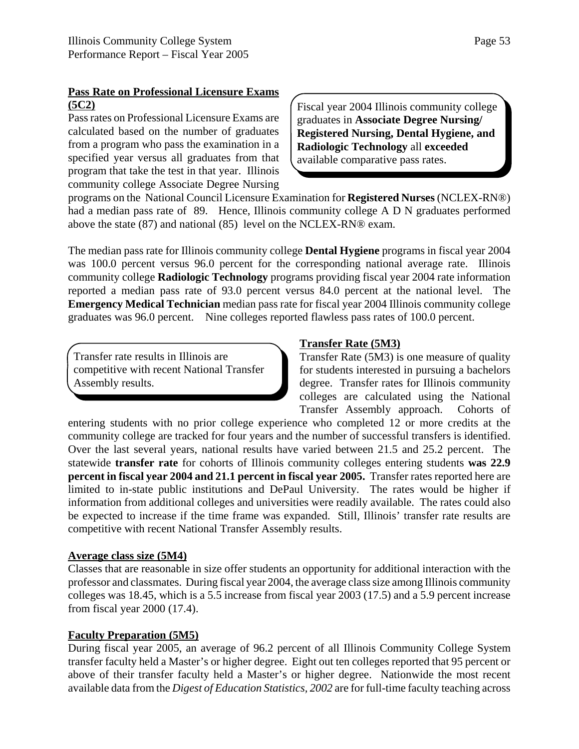### **Pass Rate on Professional Licensure Exams (5C2)**

Pass rates on Professional Licensure Exams are calculated based on the number of graduates from a program who pass the examination in a specified year versus all graduates from that program that take the test in that year. Illinois community college Associate Degree Nursing Fiscal year 2004 Illinois community college graduates in **Associate Degree Nursing/ Registered Nursing, Dental Hygiene, and Radiologic Technology** all **exceeded** available comparative pass rates.

programs on the National Council Licensure Examination for **Registered Nurses** (NCLEX-RN®) had a median pass rate of 89. Hence, Illinois community college A D N graduates performed above the state (87) and national (85) level on the NCLEX-RN® exam.

The median pass rate for Illinois community college **Dental Hygiene** programs in fiscal year 2004 was 100.0 percent versus 96.0 percent for the corresponding national average rate. Illinois community college **Radiologic Technology** programs providing fiscal year 2004 rate information reported a median pass rate of 93.0 percent versus 84.0 percent at the national level. The **Emergency Medical Technician** median pass rate for fiscal year 2004 Illinois community college graduates was 96.0 percent. Nine colleges reported flawless pass rates of 100.0 percent.

Transfer rate results in Illinois are competitive with recent National Transfer Assembly results.

### **Transfer Rate (5M3)**

Transfer Rate (5M3) is one measure of quality for students interested in pursuing a bachelors degree. Transfer rates for Illinois community colleges are calculated using the National Transfer Assembly approach. Cohorts of

entering students with no prior college experience who completed 12 or more credits at the community college are tracked for four years and the number of successful transfers is identified. Over the last several years, national results have varied between 21.5 and 25.2 percent. The statewide **transfer rate** for cohorts of Illinois community colleges entering students **was 22.9 percent in fiscal year 2004 and 21.1 percent in fiscal year 2005.** Transfer rates reported here are limited to in-state public institutions and DePaul University. The rates would be higher if information from additional colleges and universities were readily available. The rates could also be expected to increase if the time frame was expanded. Still, Illinois' transfer rate results are competitive with recent National Transfer Assembly results.

### **Average class size (5M4)**

Classes that are reasonable in size offer students an opportunity for additional interaction with the professor and classmates. During fiscal year 2004, the average class size among Illinois community colleges was 18.45, which is a 5.5 increase from fiscal year 2003 (17.5) and a 5.9 percent increase from fiscal year 2000 (17.4).

### **Faculty Preparation (5M5)**

During fiscal year 2005, an average of 96.2 percent of all Illinois Community College System transfer faculty held a Master's or higher degree. Eight out ten colleges reported that 95 percent or above of their transfer faculty held a Master's or higher degree. Nationwide the most recent available data from the *Digest of Education Statistics, 2002* are for full-time faculty teaching across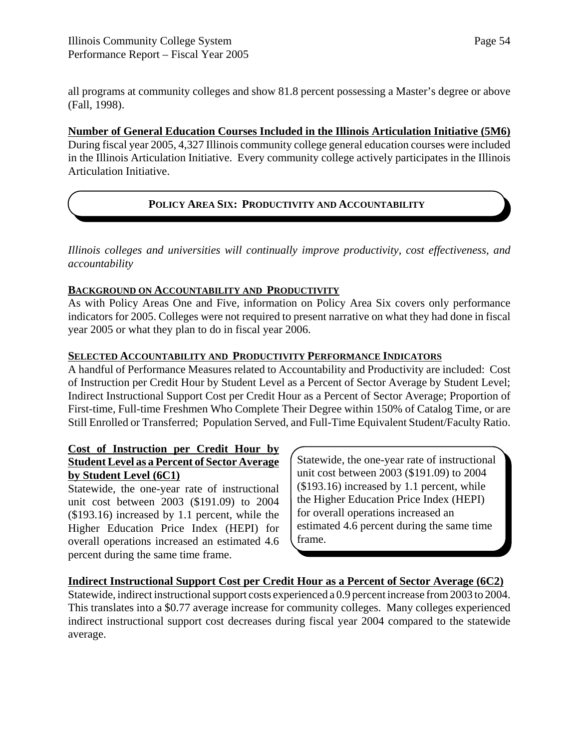all programs at community colleges and show 81.8 percent possessing a Master's degree or above (Fall, 1998).

#### **Number of General Education Courses Included in the Illinois Articulation Initiative (5M6)**

During fiscal year 2005, 4,327 Illinois community college general education courses were included in the Illinois Articulation Initiative. Every community college actively participates in the Illinois Articulation Initiative.

### **POLICY AREA SIX: PRODUCTIVITY AND ACCOUNTABILITY**

*Illinois colleges and universities will continually improve productivity, cost effectiveness, and accountability*

### **BACKGROUND ON ACCOUNTABILITY AND PRODUCTIVITY**

As with Policy Areas One and Five, information on Policy Area Six covers only performance indicators for 2005. Colleges were not required to present narrative on what they had done in fiscal year 2005 or what they plan to do in fiscal year 2006.

### **SELECTED ACCOUNTABILITY AND PRODUCTIVITY PERFORMANCE INDICATORS**

A handful of Performance Measures related to Accountability and Productivity are included: Cost of Instruction per Credit Hour by Student Level as a Percent of Sector Average by Student Level; Indirect Instructional Support Cost per Credit Hour as a Percent of Sector Average; Proportion of First-time, Full-time Freshmen Who Complete Their Degree within 150% of Catalog Time, or are Still Enrolled or Transferred; Population Served, and Full-Time Equivalent Student/Faculty Ratio.

### **Cost of Instruction per Credit Hour by Student Level as a Percent of Sector Average by Student Level (6C1)**

Statewide, the one-year rate of instructional unit cost between 2003 (\$191.09) to 2004 (\$193.16) increased by 1.1 percent, while the Higher Education Price Index (HEPI) for overall operations increased an estimated 4.6 percent during the same time frame.

Statewide, the one-year rate of instructional unit cost between 2003 (\$191.09) to 2004 (\$193.16) increased by 1.1 percent, while the Higher Education Price Index (HEPI) for overall operations increased an estimated 4.6 percent during the same time frame.

### **Indirect Instructional Support Cost per Credit Hour as a Percent of Sector Average (6C2)**

Statewide, indirect instructional support costs experienced a 0.9 percent increase from 2003 to 2004. This translates into a \$0.77 average increase for community colleges. Many colleges experienced indirect instructional support cost decreases during fiscal year 2004 compared to the statewide average.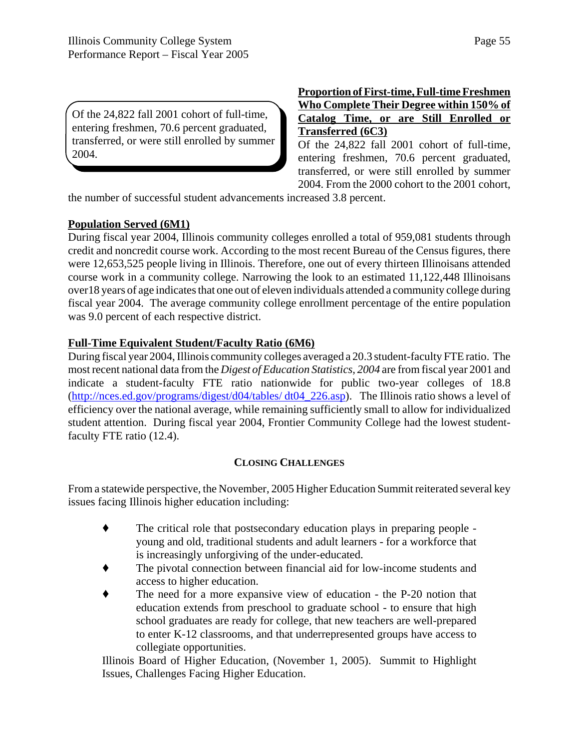Of the 24,822 fall 2001 cohort of full-time, entering freshmen, 70.6 percent graduated, transferred, or were still enrolled by summer

### **Proportion of First-time, Full-time Freshmen Who Complete Their Degree within 150% of Catalog Time, or are Still Enrolled or Transferred (6C3)**

Of the 24,822 fall 2001 cohort of full-time, entering freshmen, 70.6 percent graduated, transferred, or were still enrolled by summer 2004. From the 2000 cohort to the 2001 cohort,

the number of successful student advancements increased 3.8 percent.

### **Population Served (6M1)**

2004.

During fiscal year 2004, Illinois community colleges enrolled a total of 959,081 students through credit and noncredit course work. According to the most recent Bureau of the Census figures, there were 12,653,525 people living in Illinois. Therefore, one out of every thirteen Illinoisans attended course work in a community college. Narrowing the look to an estimated 11,122,448 Illinoisans over18 years of age indicates that one out of eleven individuals attended a community college during fiscal year 2004. The average community college enrollment percentage of the entire population was 9.0 percent of each respective district.

### **Full-Time Equivalent Student/Faculty Ratio (6M6)**

During fiscal year 2004, Illinois community colleges averaged a 20.3 student-faculty FTE ratio. The most recent national data from the *Digest of Education Statistics, 2004* are from fiscal year 2001 and indicate a student-faculty FTE ratio nationwide for public two-year colleges of 18.8 (http://nces.ed.gov/programs/digest/d04/tables/ dt04\_226.asp). The Illinois ratio shows a level of efficiency over the national average, while remaining sufficiently small to allow for individualized student attention. During fiscal year 2004, Frontier Community College had the lowest studentfaculty FTE ratio (12.4).

### **CLOSING CHALLENGES**

From a statewide perspective, the November, 2005 Higher Education Summit reiterated several key issues facing Illinois higher education including:

- ' The critical role that postsecondary education plays in preparing people young and old, traditional students and adult learners - for a workforce that is increasingly unforgiving of the under-educated.
- ' The pivotal connection between financial aid for low-income students and access to higher education.
- The need for a more expansive view of education the P-20 notion that education extends from preschool to graduate school - to ensure that high school graduates are ready for college, that new teachers are well-prepared to enter K-12 classrooms, and that underrepresented groups have access to collegiate opportunities.

Illinois Board of Higher Education, (November 1, 2005). Summit to Highlight Issues, Challenges Facing Higher Education.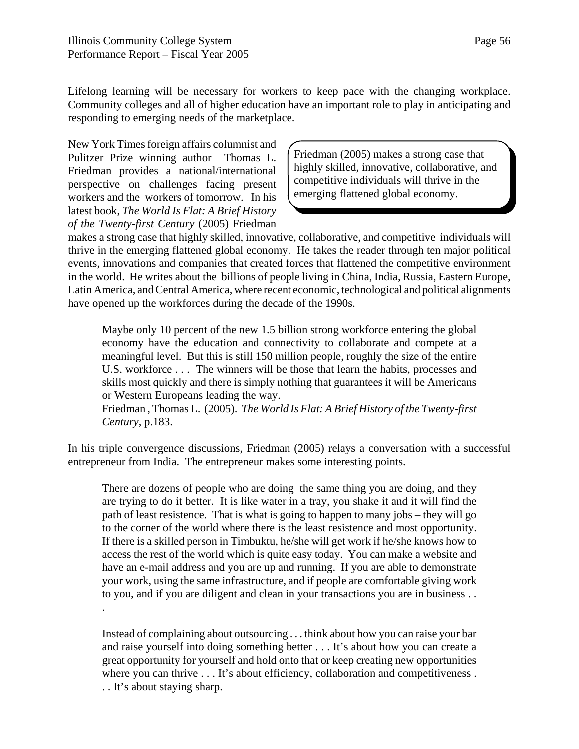Lifelong learning will be necessary for workers to keep pace with the changing workplace. Community colleges and all of higher education have an important role to play in anticipating and responding to emerging needs of the marketplace.

New York Times foreign affairs columnist and Pulitzer Prize winning author Thomas L. Friedman provides a national/international perspective on challenges facing present workers and the workers of tomorrow. In his latest book, *The World Is Flat: A Brief History of the Twenty-first Century* (2005) Friedman

.

Friedman (2005) makes a strong case that highly skilled, innovative, collaborative, and competitive individuals will thrive in the emerging flattened global economy.

makes a strong case that highly skilled, innovative, collaborative, and competitive individuals will thrive in the emerging flattened global economy. He takes the reader through ten major political events, innovations and companies that created forces that flattened the competitive environment in the world. He writes about the billions of people living in China, India, Russia, Eastern Europe, Latin America, and Central America, where recent economic, technological and political alignments have opened up the workforces during the decade of the 1990s.

Maybe only 10 percent of the new 1.5 billion strong workforce entering the global economy have the education and connectivity to collaborate and compete at a meaningful level. But this is still 150 million people, roughly the size of the entire U.S. workforce . . . The winners will be those that learn the habits, processes and skills most quickly and there is simply nothing that guarantees it will be Americans or Western Europeans leading the way.

Friedman , Thomas L. (2005). *The World Is Flat: A Brief History of the Twenty-first Century*, p.183.

In his triple convergence discussions, Friedman (2005) relays a conversation with a successful entrepreneur from India. The entrepreneur makes some interesting points.

There are dozens of people who are doing the same thing you are doing, and they are trying to do it better. It is like water in a tray, you shake it and it will find the path of least resistence. That is what is going to happen to many jobs – they will go to the corner of the world where there is the least resistence and most opportunity. If there is a skilled person in Timbuktu, he/she will get work if he/she knows how to access the rest of the world which is quite easy today. You can make a website and have an e-mail address and you are up and running. If you are able to demonstrate your work, using the same infrastructure, and if people are comfortable giving work to you, and if you are diligent and clean in your transactions you are in business . .

Instead of complaining about outsourcing . . . think about how you can raise your bar and raise yourself into doing something better . . . It's about how you can create a great opportunity for yourself and hold onto that or keep creating new opportunities where you can thrive . . . It's about efficiency, collaboration and competitiveness . . . It's about staying sharp.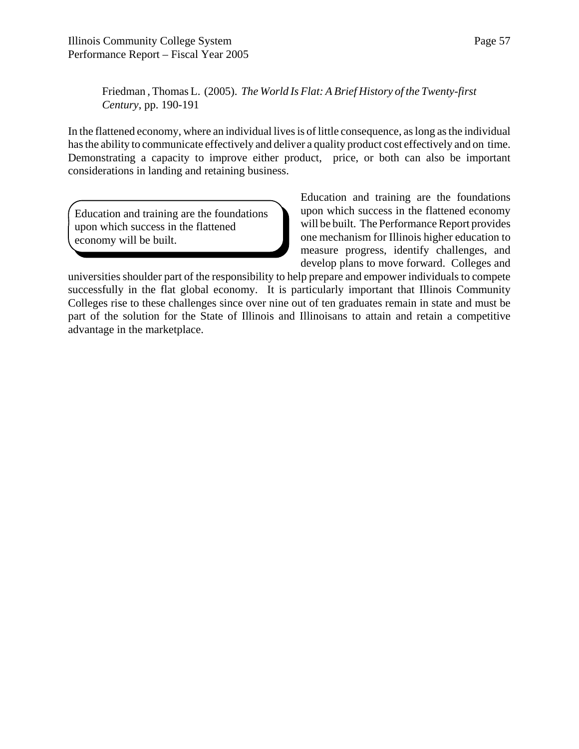Friedman , Thomas L. (2005). *The World Is Flat: A Brief History of the Twenty-first Century*, pp. 190-191

In the flattened economy, where an individual lives is of little consequence, as long as the individual has the ability to communicate effectively and deliver a quality product cost effectively and on time. Demonstrating a capacity to improve either product, price, or both can also be important considerations in landing and retaining business.

Education and training are the foundations upon which success in the flattened economy will be built.

Education and training are the foundations upon which success in the flattened economy will be built. The Performance Report provides one mechanism for Illinois higher education to measure progress, identify challenges, and develop plans to move forward. Colleges and

universities shoulder part of the responsibility to help prepare and empower individuals to compete successfully in the flat global economy. It is particularly important that Illinois Community Colleges rise to these challenges since over nine out of ten graduates remain in state and must be part of the solution for the State of Illinois and Illinoisans to attain and retain a competitive advantage in the marketplace.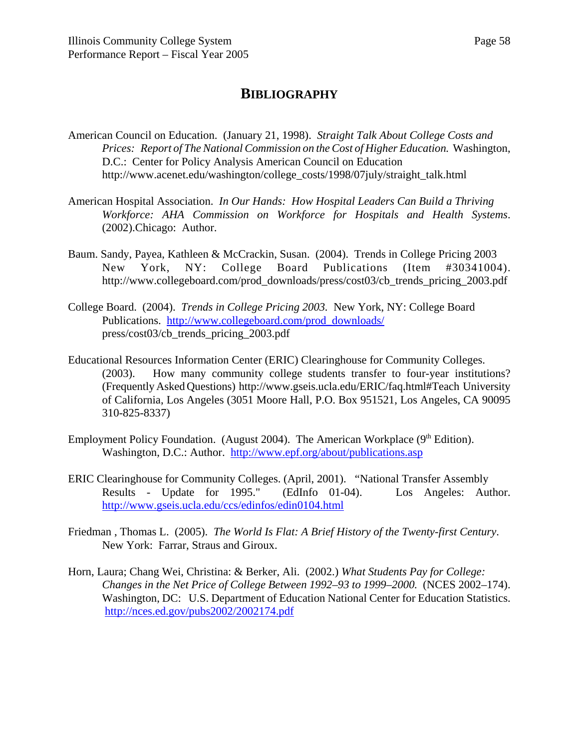### **BIBLIOGRAPHY**

- American Council on Education. (January 21, 1998). *Straight Talk About College Costs and Prices: Report of The National Commission on the Cost of Higher Education.* Washington, D.C.: Center for Policy Analysis American Council on Education http://www.acenet.edu/washington/college\_costs/1998/07july/straight\_talk.html
- American Hospital Association. *In Our Hands: How Hospital Leaders Can Build a Thriving Workforce: AHA Commission on Workforce for Hospitals and Health Systems*. (2002).Chicago: Author.
- Baum. Sandy, Payea, Kathleen & McCrackin, Susan. (2004). Trends in College Pricing 2003 New York, NY: College Board Publications (Item #30341004). http://www.collegeboard.com/prod\_downloads/press/cost03/cb\_trends\_pricing\_2003.pdf
- College Board. (2004). *Trends in College Pricing 2003.* New York, NY: College Board Publications. http://www.collegeboard.com/prod\_downloads/ press/cost03/cb\_trends\_pricing\_2003.pdf
- Educational Resources Information Center (ERIC) Clearinghouse for Community Colleges. (2003). How many community college students transfer to four-year institutions? (Frequently Asked Questions) http://www.gseis.ucla.edu/ERIC/faq.html#Teach University of California, Los Angeles (3051 Moore Hall, P.O. Box 951521, Los Angeles, CA 90095 310-825-8337)
- Employment Policy Foundation. (August 2004). The American Workplace  $(9<sup>th</sup> Edition)$ . Washington, D.C.: Author. http://www.epf.org/about/publications.asp
- ERIC Clearinghouse for Community Colleges. (April, 2001). "National Transfer Assembly Results - Update for 1995." (EdInfo 01-04). Los Angeles: Author. http://www.gseis.ucla.edu/ccs/edinfos/edin0104.html
- Friedman , Thomas L. (2005). *The World Is Flat: A Brief History of the Twenty-first Century*. New York: Farrar, Straus and Giroux.
- Horn, Laura; Chang Wei, Christina: & Berker, Ali. (2002.) *What Students Pay for College: Changes in the Net Price of College Between 1992–93 to 1999–2000.* (NCES 2002–174). Washington, DC: U.S. Department of Education National Center for Education Statistics. http://nces.ed.gov/pubs2002/2002174.pdf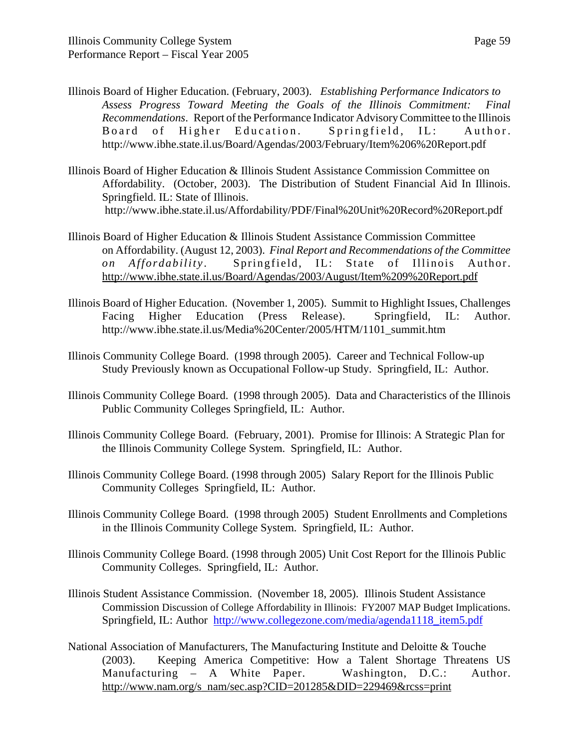- Illinois Board of Higher Education. (February, 2003). *Establishing Performance Indicators to Assess Progress Toward Meeting the Goals of the Illinois Commitment: Final Recommendations*. Report of the Performance Indicator Advisory Committee to the Illinois Board of Higher Education. Springfield, IL: Author. http://www.ibhe.state.il.us/Board/Agendas/2003/February/Item%206%20Report.pdf
- Illinois Board of Higher Education & Illinois Student Assistance Commission Committee on Affordability. (October, 2003). The Distribution of Student Financial Aid In Illinois. Springfield. IL: State of Illinois. http://www.ibhe.state.il.us/Affordability/PDF/Final%20Unit%20Record%20Report.pdf
- Illinois Board of Higher Education & Illinois Student Assistance Commission Committee on Affordability. (August 12, 2003). *Final Report and Recommendations of the Committee on Affordability* . Springfield, IL: State of Illinois Author. http://www.ibhe.state.il.us/Board/Agendas/2003/August/Item%209%20Report.pdf
- Illinois Board of Higher Education. (November 1, 2005). Summit to Highlight Issues, Challenges Facing Higher Education (Press Release). Springfield, IL: Author. http://www.ibhe.state.il.us/Media%20Center/2005/HTM/1101\_summit.htm
- Illinois Community College Board. (1998 through 2005). Career and Technical Follow-up Study Previously known as Occupational Follow-up Study. Springfield, IL: Author.
- Illinois Community College Board. (1998 through 2005). Data and Characteristics of the Illinois Public Community Colleges Springfield, IL: Author.
- Illinois Community College Board. (February, 2001). Promise for Illinois: A Strategic Plan for the Illinois Community College System. Springfield, IL: Author.
- Illinois Community College Board. (1998 through 2005) Salary Report for the Illinois Public Community Colleges Springfield, IL: Author.
- Illinois Community College Board. (1998 through 2005) Student Enrollments and Completions in the Illinois Community College System. Springfield, IL: Author.
- Illinois Community College Board. (1998 through 2005) Unit Cost Report for the Illinois Public Community Colleges. Springfield, IL: Author.
- Illinois Student Assistance Commission. (November 18, 2005). Illinois Student Assistance Commission Discussion of College Affordability in Illinois: FY2007 MAP Budget Implications. Springfield, IL: Author http://www.collegezone.com/media/agenda1118 item5.pdf
- National Association of Manufacturers, The Manufacturing Institute and Deloitte & Touche (2003). Keeping America Competitive: How a Talent Shortage Threatens US Manufacturing – A White Paper. Washington, D.C.: Author. http://www.nam.org/s\_nam/sec.asp?CID=201285&DID=229469&rcss=print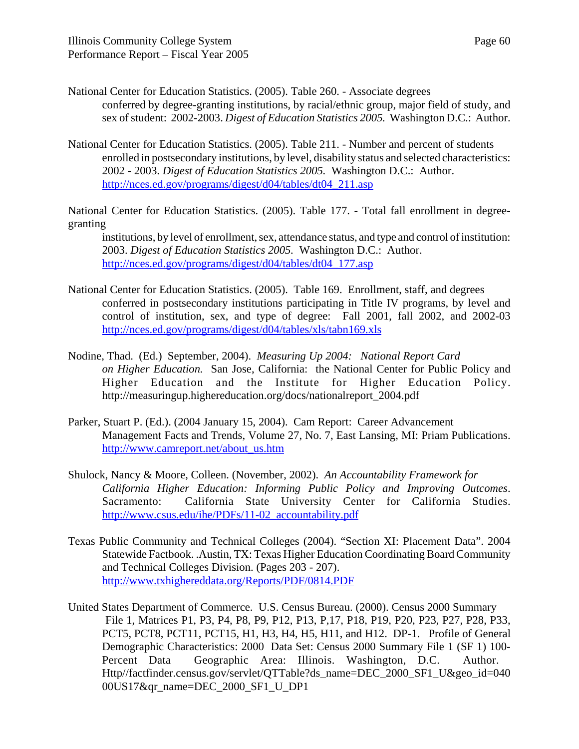National Center for Education Statistics. (2005). Table 260. - Associate degrees

- conferred by degree-granting institutions, by racial/ethnic group, major field of study, and sex of student: 2002-2003. *Digest of Education Statistics 2005.* Washington D.C.: Author.
- National Center for Education Statistics. (2005). Table 211. Number and percent of students enrolled in postsecondary institutions, by level, disability status and selected characteristics: 2002 - 2003. *Digest of Education Statistics 2005.* Washington D.C.: Author. http://nces.ed.gov/programs/digest/d04/tables/dt04\_211.asp

National Center for Education Statistics. (2005). Table 177. - Total fall enrollment in degreegranting

institutions, by level of enrollment, sex, attendance status, and type and control of institution: 2003. *Digest of Education Statistics 2005.* Washington D.C.: Author. http://nces.ed.gov/programs/digest/d04/tables/dt04\_177.asp

- National Center for Education Statistics. (2005). Table 169. Enrollment, staff, and degrees conferred in postsecondary institutions participating in Title IV programs, by level and control of institution, sex, and type of degree: Fall 2001, fall 2002, and 2002-03 http://nces.ed.gov/programs/digest/d04/tables/xls/tabn169.xls
- Nodine, Thad. (Ed.) September, 2004). *Measuring Up 2004: National Report Card on Higher Education.* San Jose, California: the National Center for Public Policy and Higher Education and the Institute for Higher Education Policy. http://measuringup.highereducation.org/docs/nationalreport\_2004.pdf
- Parker, Stuart P. (Ed.). (2004 January 15, 2004). Cam Report: Career Advancement Management Facts and Trends, Volume 27, No. 7, East Lansing, MI: Priam Publications. http://www.camreport.net/about\_us.htm
- Shulock, Nancy & Moore, Colleen. (November, 2002). *An Accountability Framework for California Higher Education: Informing Public Policy and Improving Outcomes*. Sacramento: California State University Center for California Studies. http://www.csus.edu/ihe/PDFs/11-02\_accountability.pdf
- Texas Public Community and Technical Colleges (2004). "Section XI: Placement Data". 2004 Statewide Factbook. .Austin, TX: Texas Higher Education Coordinating Board Community and Technical Colleges Division. (Pages 203 - 207). http://www.txhighereddata.org/Reports/PDF/0814.PDF
- United States Department of Commerce. U.S. Census Bureau. (2000). Census 2000 Summary File 1, Matrices P1, P3, P4, P8, P9, P12, P13, P,17, P18, P19, P20, P23, P27, P28, P33, PCT5, PCT8, PCT11, PCT15, H1, H3, H4, H5, H11, and H12. DP-1. Profile of General Demographic Characteristics: 2000 Data Set: Census 2000 Summary File 1 (SF 1) 100- Percent Data Geographic Area: Illinois. Washington, D.C. Author. Http//factfinder.census.gov/servlet/QTTable?ds\_name=DEC\_2000\_SF1\_U&geo\_id=040 00US17&qr\_name=DEC\_2000\_SF1\_U\_DP1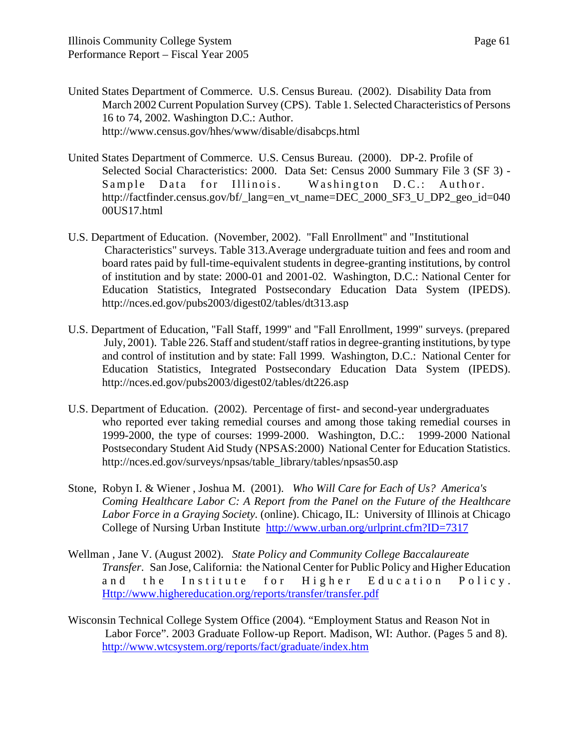- United States Department of Commerce. U.S. Census Bureau. (2002). Disability Data from March 2002 Current Population Survey (CPS). Table 1. Selected Characteristics of Persons 16 to 74, 2002. Washington D.C.: Author. http://www.census.gov/hhes/www/disable/disabcps.html
- United States Department of Commerce. U.S. Census Bureau. (2000). DP-2. Profile of Selected Social Characteristics: 2000. Data Set: Census 2000 Summary File 3 (SF 3) - Sample Data for Illinois. Washington D.C.: Author. http://factfinder.census.gov/bf/\_lang=en\_vt\_name=DEC\_2000\_SF3\_U\_DP2\_geo\_id=040 00US17.html
- U.S. Department of Education. (November, 2002). "Fall Enrollment" and "Institutional Characteristics" surveys. Table 313.Average undergraduate tuition and fees and room and board rates paid by full-time-equivalent students in degree-granting institutions, by control of institution and by state: 2000-01 and 2001-02. Washington, D.C.: National Center for Education Statistics, Integrated Postsecondary Education Data System (IPEDS). http://nces.ed.gov/pubs2003/digest02/tables/dt313.asp
- U.S. Department of Education, "Fall Staff, 1999" and "Fall Enrollment, 1999" surveys. (prepared July, 2001). Table 226. Staff and student/staff ratios in degree-granting institutions, by type and control of institution and by state: Fall 1999. Washington, D.C.: National Center for Education Statistics, Integrated Postsecondary Education Data System (IPEDS). http://nces.ed.gov/pubs2003/digest02/tables/dt226.asp
- U.S. Department of Education. (2002). Percentage of first- and second-year undergraduates who reported ever taking remedial courses and among those taking remedial courses in 1999-2000, the type of courses: 1999-2000. Washington, D.C.: 1999-2000 National Postsecondary Student Aid Study (NPSAS:2000) National Center for Education Statistics. http://nces.ed.gov/surveys/npsas/table\_library/tables/npsas50.asp
- Stone, Robyn I. & Wiener , Joshua M. (2001). *Who Will Care for Each of Us? America's Coming Healthcare Labor C: A Report from the Panel on the Future of the Healthcare Labor Force in a Graying Society.* (online). Chicago, IL: University of Illinois at Chicago College of Nursing Urban Institute http://www.urban.org/urlprint.cfm?ID=7317
- Wellman , Jane V. (August 2002). *State Policy and Community College Baccalaureate Transfer*. San Jose, California: the National Center for Public Policy and Higher Education and the Institute for Higher Education Policy. Http://www.highereducation.org/reports/transfer/transfer.pdf
- Wisconsin Technical College System Office (2004). "Employment Status and Reason Not in Labor Force". 2003 Graduate Follow-up Report. Madison, WI: Author. (Pages 5 and 8). http://www.wtcsystem.org/reports/fact/graduate/index.htm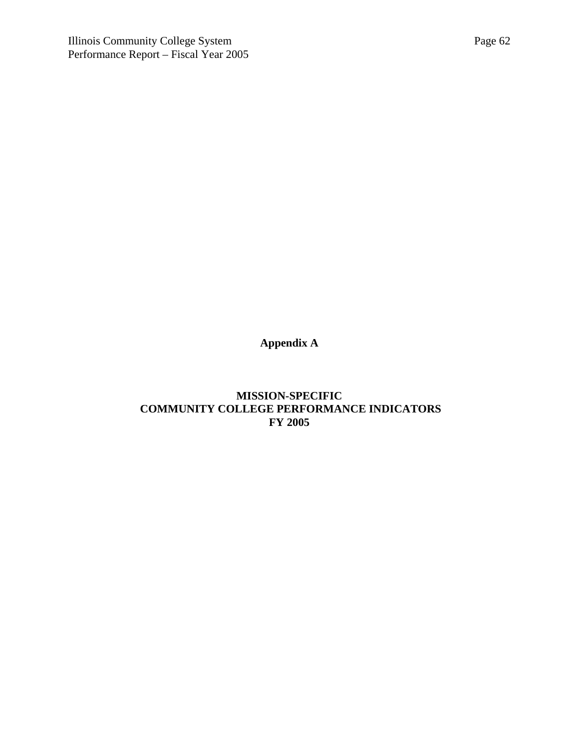**Appendix A**

**MISSION-SPECIFIC COMMUNITY COLLEGE PERFORMANCE INDICATORS FY 2005**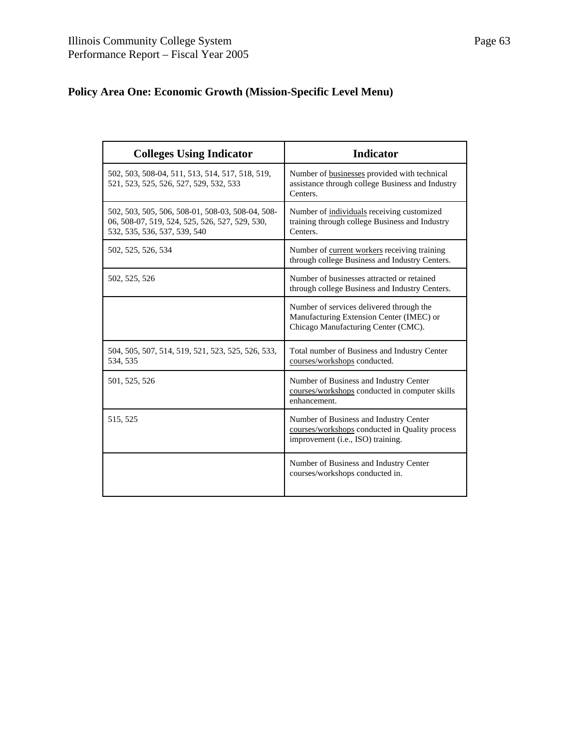## **Policy Area One: Economic Growth (Mission-Specific Level Menu)**

| <b>Colleges Using Indicator</b>                                                                                                    | <b>Indicator</b>                                                                                                              |
|------------------------------------------------------------------------------------------------------------------------------------|-------------------------------------------------------------------------------------------------------------------------------|
| 502, 503, 508-04, 511, 513, 514, 517, 518, 519,<br>521, 523, 525, 526, 527, 529, 532, 533                                          | Number of businesses provided with technical<br>assistance through college Business and Industry<br>Centers.                  |
| 502, 503, 505, 506, 508-01, 508-03, 508-04, 508-<br>06, 508-07, 519, 524, 525, 526, 527, 529, 530,<br>532, 535, 536, 537, 539, 540 | Number of individuals receiving customized<br>training through college Business and Industry<br>Centers.                      |
| 502, 525, 526, 534                                                                                                                 | Number of current workers receiving training<br>through college Business and Industry Centers.                                |
| 502, 525, 526                                                                                                                      | Number of businesses attracted or retained<br>through college Business and Industry Centers.                                  |
|                                                                                                                                    | Number of services delivered through the<br>Manufacturing Extension Center (IMEC) or<br>Chicago Manufacturing Center (CMC).   |
| 504, 505, 507, 514, 519, 521, 523, 525, 526, 533,<br>534, 535                                                                      | Total number of Business and Industry Center<br>courses/workshops conducted.                                                  |
| 501, 525, 526                                                                                                                      | Number of Business and Industry Center<br>courses/workshops conducted in computer skills<br>enhancement.                      |
| 515, 525                                                                                                                           | Number of Business and Industry Center<br>courses/workshops conducted in Quality process<br>improvement (i.e., ISO) training. |
|                                                                                                                                    | Number of Business and Industry Center<br>courses/workshops conducted in.                                                     |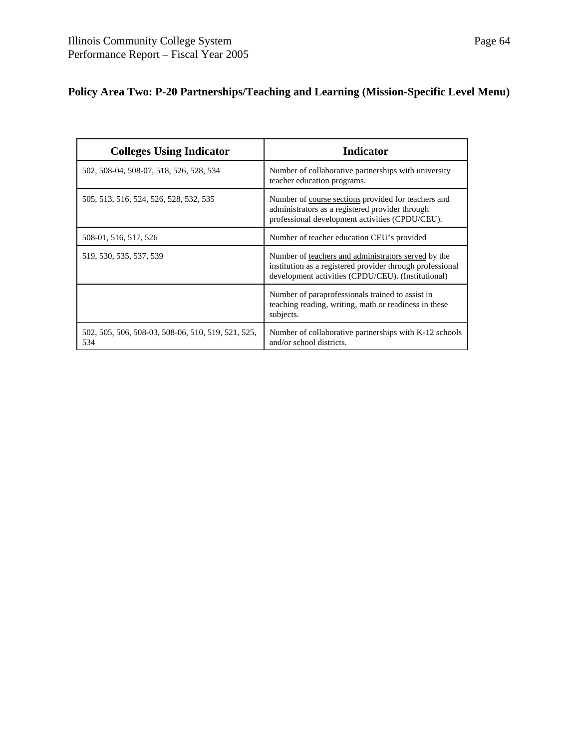## **Policy Area Two: P-20 Partnerships/Teaching and Learning (Mission-Specific Level Menu)**

| <b>Colleges Using Indicator</b>                           | Indicator                                                                                                                                                              |
|-----------------------------------------------------------|------------------------------------------------------------------------------------------------------------------------------------------------------------------------|
| 502, 508-04, 508-07, 518, 526, 528, 534                   | Number of collaborative partnerships with university<br>teacher education programs.                                                                                    |
| 505, 513, 516, 524, 526, 528, 532, 535                    | Number of course sections provided for teachers and<br>administrators as a registered provider through<br>professional development activities (CPDU/CEU).              |
| 508-01, 516, 517, 526                                     | Number of teacher education CEU's provided                                                                                                                             |
| 519, 530, 535, 537, 539                                   | Number of teachers and administrators served by the<br>institution as a registered provider through professional<br>development activities (CPDU/CEU). (Institutional) |
|                                                           | Number of paraprofessionals trained to assist in<br>teaching reading, writing, math or readiness in these<br>subjects.                                                 |
| 502, 505, 506, 508-03, 508-06, 510, 519, 521, 525,<br>534 | Number of collaborative partnerships with K-12 schools<br>and/or school districts.                                                                                     |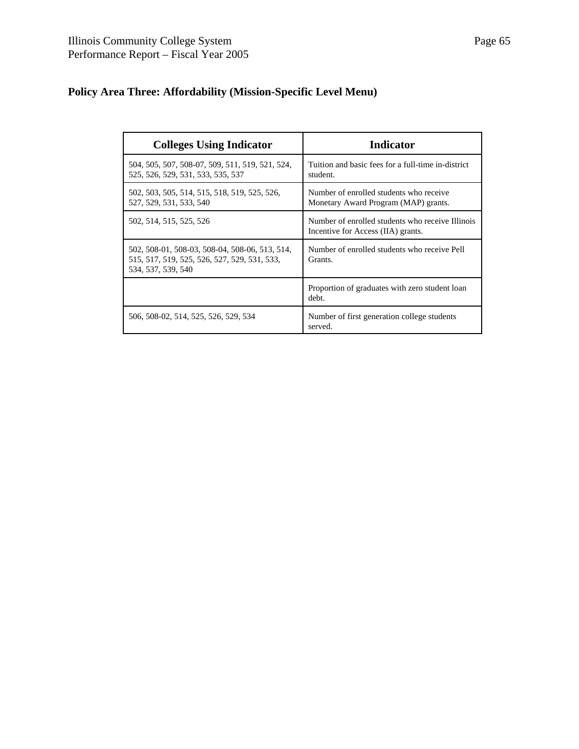## **Policy Area Three: Affordability (Mission-Specific Level Menu)**

| <b>Colleges Using Indicator</b>                                                                                      | <b>Indicator</b>                                                                       |
|----------------------------------------------------------------------------------------------------------------------|----------------------------------------------------------------------------------------|
| 504, 505, 507, 508-07, 509, 511, 519, 521, 524,<br>525, 526, 529, 531, 533, 535, 537                                 | Tuition and basic fees for a full-time in-district<br>student.                         |
| 502, 503, 505, 514, 515, 518, 519, 525, 526,<br>527, 529, 531, 533, 540                                              | Number of enrolled students who receive<br>Monetary Award Program (MAP) grants.        |
| 502, 514, 515, 525, 526                                                                                              | Number of enrolled students who receive Illinois<br>Incentive for Access (IIA) grants. |
| 502, 508-01, 508-03, 508-04, 508-06, 513, 514,<br>515, 517, 519, 525, 526, 527, 529, 531, 533,<br>534, 537, 539, 540 | Number of enrolled students who receive Pell<br>Grants.                                |
|                                                                                                                      | Proportion of graduates with zero student loan<br>debt.                                |
| 506, 508-02, 514, 525, 526, 529, 534                                                                                 | Number of first generation college students<br>served.                                 |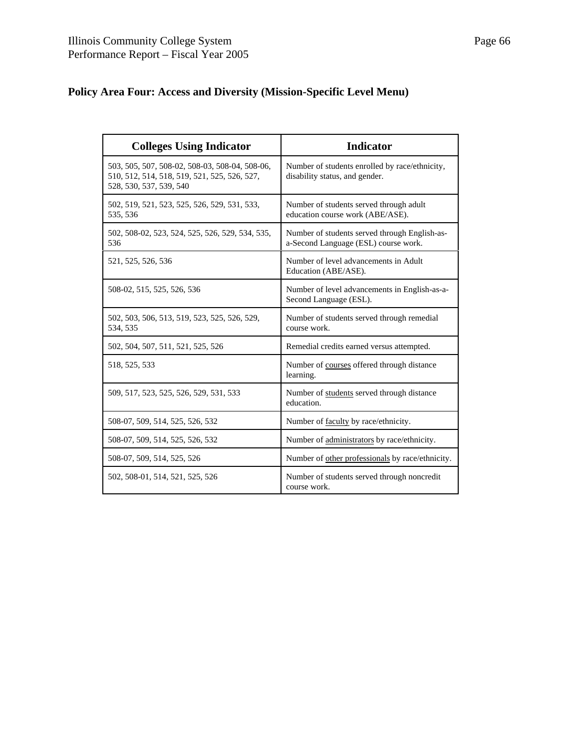| <b>Colleges Using Indicator</b>                                                                                           | <b>Indicator</b>                                                                      |
|---------------------------------------------------------------------------------------------------------------------------|---------------------------------------------------------------------------------------|
| 503, 505, 507, 508-02, 508-03, 508-04, 508-06,<br>510, 512, 514, 518, 519, 521, 525, 526, 527,<br>528, 530, 537, 539, 540 | Number of students enrolled by race/ethnicity,<br>disability status, and gender.      |
| 502, 519, 521, 523, 525, 526, 529, 531, 533,<br>535, 536                                                                  | Number of students served through adult<br>education course work (ABE/ASE).           |
| 502, 508-02, 523, 524, 525, 526, 529, 534, 535,<br>536                                                                    | Number of students served through English-as-<br>a-Second Language (ESL) course work. |
| 521, 525, 526, 536                                                                                                        | Number of level advancements in Adult<br>Education (ABE/ASE).                         |
| 508-02, 515, 525, 526, 536                                                                                                | Number of level advancements in English-as-a-<br>Second Language (ESL).               |
| 502, 503, 506, 513, 519, 523, 525, 526, 529,<br>534, 535                                                                  | Number of students served through remedial<br>course work.                            |
| 502, 504, 507, 511, 521, 525, 526                                                                                         | Remedial credits earned versus attempted.                                             |
| 518, 525, 533                                                                                                             | Number of courses offered through distance<br>learning.                               |
| 509, 517, 523, 525, 526, 529, 531, 533                                                                                    | Number of students served through distance<br>education.                              |
| 508-07, 509, 514, 525, 526, 532                                                                                           | Number of faculty by race/ethnicity.                                                  |
| 508-07, 509, 514, 525, 526, 532                                                                                           | Number of administrators by race/ethnicity.                                           |
| 508-07, 509, 514, 525, 526                                                                                                | Number of other professionals by race/ethnicity.                                      |
| 502, 508-01, 514, 521, 525, 526                                                                                           | Number of students served through noncredit<br>course work.                           |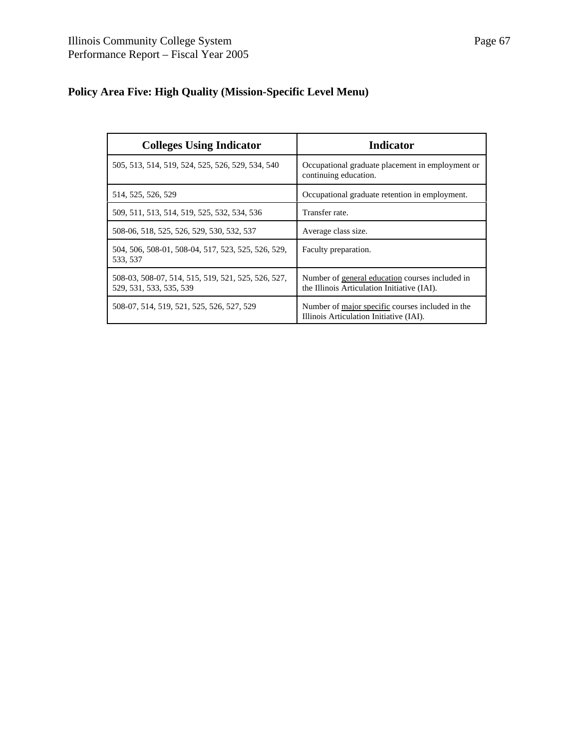## **Policy Area Five: High Quality (Mission-Specific Level Menu)**

| <b>Colleges Using Indicator</b>                                               | <b>Indicator</b>                                                                               |
|-------------------------------------------------------------------------------|------------------------------------------------------------------------------------------------|
| 505, 513, 514, 519, 524, 525, 526, 529, 534, 540                              | Occupational graduate placement in employment or<br>continuing education.                      |
| 514, 525, 526, 529                                                            | Occupational graduate retention in employment.                                                 |
| 509, 511, 513, 514, 519, 525, 532, 534, 536                                   | Transfer rate.                                                                                 |
| 508-06, 518, 525, 526, 529, 530, 532, 537                                     | Average class size.                                                                            |
| 504, 506, 508-01, 508-04, 517, 523, 525, 526, 529,<br>533, 537                | Faculty preparation.                                                                           |
| 508-03, 508-07, 514, 515, 519, 521, 525, 526, 527,<br>529, 531, 533, 535, 539 | Number of general education courses included in<br>the Illinois Articulation Initiative (IAI). |
| 508-07, 514, 519, 521, 525, 526, 527, 529                                     | Number of major specific courses included in the<br>Illinois Articulation Initiative (IAI).    |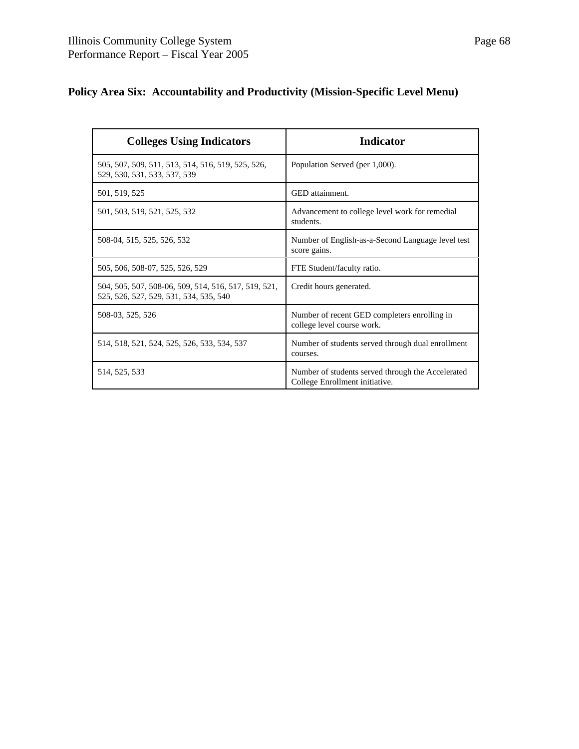## **Policy Area Six: Accountability and Productivity (Mission-Specific Level Menu)**

| <b>Colleges Using Indicators</b>                                                               | <b>Indicator</b>                                                                    |
|------------------------------------------------------------------------------------------------|-------------------------------------------------------------------------------------|
| 505, 507, 509, 511, 513, 514, 516, 519, 525, 526,<br>529, 530, 531, 533, 537, 539              | Population Served (per 1,000).                                                      |
| 501, 519, 525                                                                                  | GED attainment.                                                                     |
| 501, 503, 519, 521, 525, 532                                                                   | Advancement to college level work for remedial<br>students.                         |
| 508-04, 515, 525, 526, 532                                                                     | Number of English-as-a-Second Language level test<br>score gains.                   |
| 505, 506, 508-07, 525, 526, 529                                                                | FTE Student/faculty ratio.                                                          |
| 504, 505, 507, 508-06, 509, 514, 516, 517, 519, 521,<br>525, 526, 527, 529, 531, 534, 535, 540 | Credit hours generated.                                                             |
| 508-03, 525, 526                                                                               | Number of recent GED completers enrolling in<br>college level course work.          |
| 514, 518, 521, 524, 525, 526, 533, 534, 537                                                    | Number of students served through dual enrollment<br>courses.                       |
| 514, 525, 533                                                                                  | Number of students served through the Accelerated<br>College Enrollment initiative. |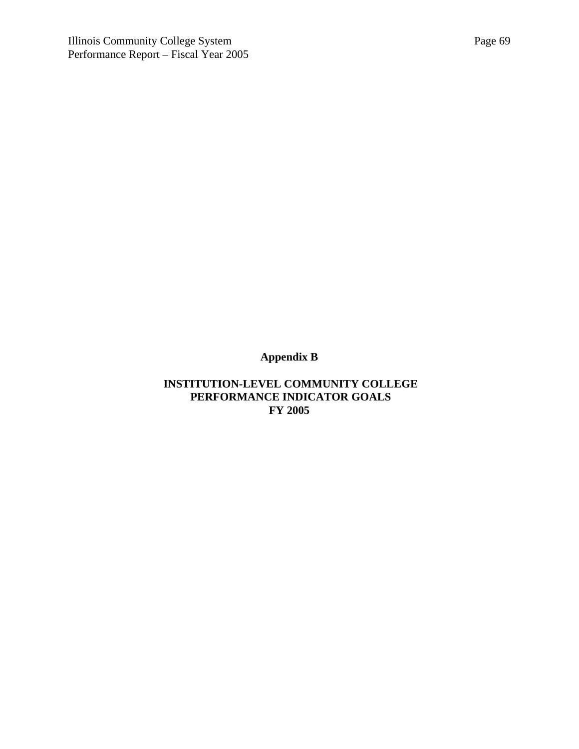**Appendix B**

 **INSTITUTION-LEVEL COMMUNITY COLLEGE PERFORMANCE INDICATOR GOALS FY 2005**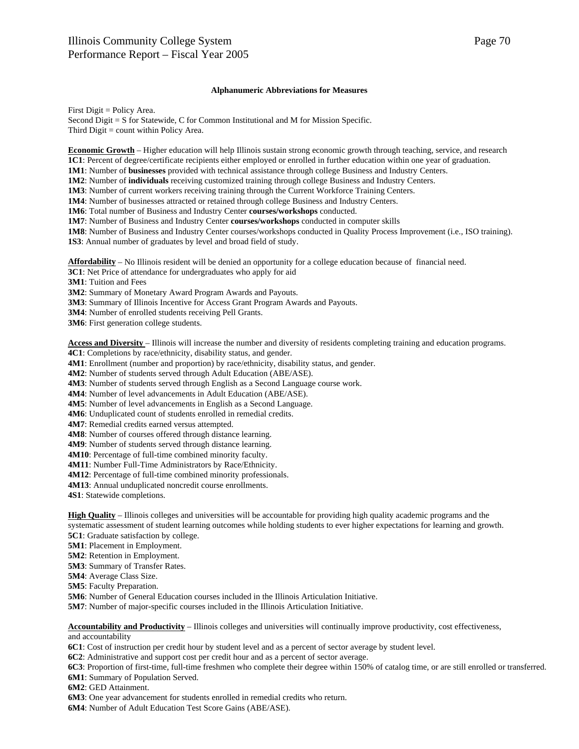#### **Alphanumeric Abbreviations for Measures**

First Digit = Policy Area. Second Digit = S for Statewide, C for Common Institutional and M for Mission Specific. Third Digit = count within Policy Area.

**Economic Growth** – Higher education will help Illinois sustain strong economic growth through teaching, service, and research **1C1**: Percent of degree/certificate recipients either employed or enrolled in further education within one year of graduation.

**1M1**: Number of **businesses** provided with technical assistance through college Business and Industry Centers.

**1M2**: Number of **individuals** receiving customized training through college Business and Industry Centers.

**1M3**: Number of current workers receiving training through the Current Workforce Training Centers.

**1M4**: Number of businesses attracted or retained through college Business and Industry Centers.

**1M6**: Total number of Business and Industry Center **courses/workshops** conducted.

**1M7**: Number of Business and Industry Center **courses/workshops** conducted in computer skills

**1M8**: Number of Business and Industry Center courses/workshops conducted in Quality Process Improvement (i.e., ISO training). **1S3**: Annual number of graduates by level and broad field of study.

**Affordability** – No Illinois resident will be denied an opportunity for a college education because of financial need.

**3C1**: Net Price of attendance for undergraduates who apply for aid

**3M1**: Tuition and Fees

**3M2**: Summary of Monetary Award Program Awards and Payouts.

**3M3**: Summary of Illinois Incentive for Access Grant Program Awards and Payouts.

**3M4**: Number of enrolled students receiving Pell Grants.

**3M6**: First generation college students.

**Access and Diversity** – Illinois will increase the number and diversity of residents completing training and education programs.

**4C1**: Completions by race/ethnicity, disability status, and gender.

**4M1**: Enrollment (number and proportion) by race/ethnicity, disability status, and gender.

**4M2**: Number of students served through Adult Education (ABE/ASE).

**4M3**: Number of students served through English as a Second Language course work.

**4M4**: Number of level advancements in Adult Education (ABE/ASE).

**4M5**: Number of level advancements in English as a Second Language.

**4M6**: Unduplicated count of students enrolled in remedial credits.

**4M7**: Remedial credits earned versus attempted.

**4M8**: Number of courses offered through distance learning.

**4M9**: Number of students served through distance learning.

**4M10**: Percentage of full-time combined minority faculty.

**4M11**: Number Full-Time Administrators by Race/Ethnicity.

**4M12**: Percentage of full-time combined minority professionals.

**4M13**: Annual unduplicated noncredit course enrollments.

**4S1**: Statewide completions.

**High Quality** – Illinois colleges and universities will be accountable for providing high quality academic programs and the systematic assessment of student learning outcomes while holding students to ever higher expectations for learning and growth.

**5C1**: Graduate satisfaction by college.

**5M1**: Placement in Employment.

**5M2**: Retention in Employment.

**5M3**: Summary of Transfer Rates.

**5M4**: Average Class Size.

**5M5**: Faculty Preparation.

**5M6**: Number of General Education courses included in the Illinois Articulation Initiative.

**5M7**: Number of major-specific courses included in the Illinois Articulation Initiative.

**Accountability and Productivity** – Illinois colleges and universities will continually improve productivity, cost effectiveness, and accountability

**6C1**: Cost of instruction per credit hour by student level and as a percent of sector average by student level.

**6C2**: Administrative and support cost per credit hour and as a percent of sector average.

**6C3**: Proportion of first-time, full-time freshmen who complete their degree within 150% of catalog time, or are still enrolled or transferred.

**6M1**: Summary of Population Served.

**6M2**: GED Attainment.

**6M3**: One year advancement for students enrolled in remedial credits who return.

**6M4**: Number of Adult Education Test Score Gains (ABE/ASE).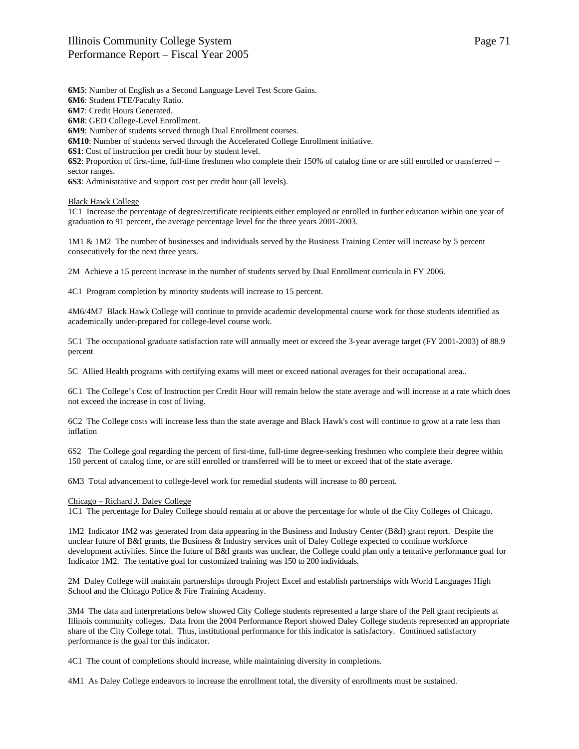**6M5**: Number of English as a Second Language Level Test Score Gains. **6M6**: Student FTE/Faculty Ratio. **6M7**: Credit Hours Generated. **6M8**: GED College-Level Enrollment. **6M9**: Number of students served through Dual Enrollment courses. **6M10**: Number of students served through the Accelerated College Enrollment initiative. **6S1**: Cost of instruction per credit hour by student level. **6S2**: Proportion of first-time, full-time freshmen who complete their 150% of catalog time or are still enrolled or transferred - sector ranges. **6S3**: Administrative and support cost per credit hour (all levels).

### Black Hawk College

1C1 Increase the percentage of degree/certificate recipients either employed or enrolled in further education within one year of graduation to 91 percent, the average percentage level for the three years 2001-2003.

1M1 & 1M2 The number of businesses and individuals served by the Business Training Center will increase by 5 percent consecutively for the next three years.

2M Achieve a 15 percent increase in the number of students served by Dual Enrollment curricula in FY 2006.

4C1 Program completion by minority students will increase to 15 percent.

4M6/4M7 Black Hawk College will continue to provide academic developmental course work for those students identified as academically under-prepared for college-level course work.

5C1 The occupational graduate satisfaction rate will annually meet or exceed the 3-year average target (FY 2001-2003) of 88.9 percent

5C Allied Health programs with certifying exams will meet or exceed national averages for their occupational area..

6C1 The College's Cost of Instruction per Credit Hour will remain below the state average and will increase at a rate which does not exceed the increase in cost of living.

6C2 The College costs will increase less than the state average and Black Hawk's cost will continue to grow at a rate less than inflation

6S2 The College goal regarding the percent of first-time, full-time degree-seeking freshmen who complete their degree within 150 percent of catalog time, or are still enrolled or transferred will be to meet or exceed that of the state average.

6M3 Total advancement to college-level work for remedial students will increase to 80 percent.

# Chicago – Richard J. Daley College

1C1 The percentage for Daley College should remain at or above the percentage for whole of the City Colleges of Chicago.

1M2 Indicator 1M2 was generated from data appearing in the Business and Industry Center (B&I) grant report. Despite the unclear future of B&I grants, the Business & Industry services unit of Daley College expected to continue workforce development activities. Since the future of B&I grants was unclear, the College could plan only a tentative performance goal for Indicator 1M2. The tentative goal for customized training was 150 to 200 individuals.

2M Daley College will maintain partnerships through Project Excel and establish partnerships with World Languages High School and the Chicago Police & Fire Training Academy.

3M4 The data and interpretations below showed City College students represented a large share of the Pell grant recipients at Illinois community colleges. Data from the 2004 Performance Report showed Daley College students represented an appropriate share of the City College total. Thus, institutional performance for this indicator is satisfactory. Continued satisfactory performance is the goal for this indicator.

4C1 The count of completions should increase, while maintaining diversity in completions.

4M1 As Daley College endeavors to increase the enrollment total, the diversity of enrollments must be sustained.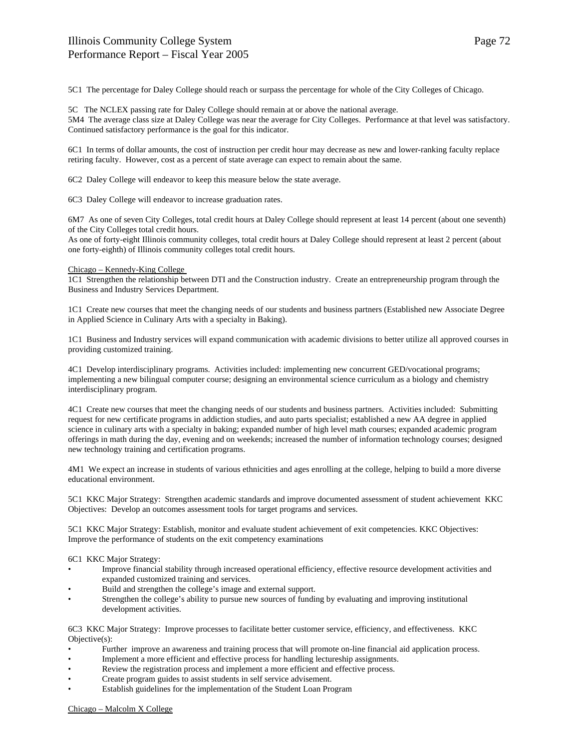5C1 The percentage for Daley College should reach or surpass the percentage for whole of the City Colleges of Chicago.

5C The NCLEX passing rate for Daley College should remain at or above the national average. 5M4 The average class size at Daley College was near the average for City Colleges. Performance at that level was satisfactory. Continued satisfactory performance is the goal for this indicator.

6C1 In terms of dollar amounts, the cost of instruction per credit hour may decrease as new and lower-ranking faculty replace retiring faculty. However, cost as a percent of state average can expect to remain about the same.

6C2 Daley College will endeavor to keep this measure below the state average.

6C3 Daley College will endeavor to increase graduation rates.

6M7 As one of seven City Colleges, total credit hours at Daley College should represent at least 14 percent (about one seventh) of the City Colleges total credit hours.

As one of forty-eight Illinois community colleges, total credit hours at Daley College should represent at least 2 percent (about one forty-eighth) of Illinois community colleges total credit hours.

# Chicago – Kennedy-King College

1C1 Strengthen the relationship between DTI and the Construction industry. Create an entrepreneurship program through the Business and Industry Services Department.

1C1 Create new courses that meet the changing needs of our students and business partners (Established new Associate Degree in Applied Science in Culinary Arts with a specialty in Baking).

1C1 Business and Industry services will expand communication with academic divisions to better utilize all approved courses in providing customized training.

4C1 Develop interdisciplinary programs. Activities included: implementing new concurrent GED/vocational programs; implementing a new bilingual computer course; designing an environmental science curriculum as a biology and chemistry interdisciplinary program.

4C1 Create new courses that meet the changing needs of our students and business partners. Activities included: Submitting request for new certificate programs in addiction studies, and auto parts specialist; established a new AA degree in applied science in culinary arts with a specialty in baking; expanded number of high level math courses; expanded academic program offerings in math during the day, evening and on weekends; increased the number of information technology courses; designed new technology training and certification programs.

4M1 We expect an increase in students of various ethnicities and ages enrolling at the college, helping to build a more diverse educational environment.

5C1 KKC Major Strategy: Strengthen academic standards and improve documented assessment of student achievement KKC Objectives: Develop an outcomes assessment tools for target programs and services.

5C1 KKC Major Strategy: Establish, monitor and evaluate student achievement of exit competencies. KKC Objectives: Improve the performance of students on the exit competency examinations

6C1 KKC Major Strategy:

- Improve financial stability through increased operational efficiency, effective resource development activities and expanded customized training and services.
- Build and strengthen the college's image and external support.
- Strengthen the college's ability to pursue new sources of funding by evaluating and improving institutional development activities.

6C3 KKC Major Strategy: Improve processes to facilitate better customer service, efficiency, and effectiveness. KKC Objective(s):

- Further improve an awareness and training process that will promote on-line financial aid application process.
- Implement a more efficient and effective process for handling lectureship assignments.
- Review the registration process and implement a more efficient and effective process.
- Create program guides to assist students in self service advisement.
- Establish guidelines for the implementation of the Student Loan Program

# Chicago – Malcolm X College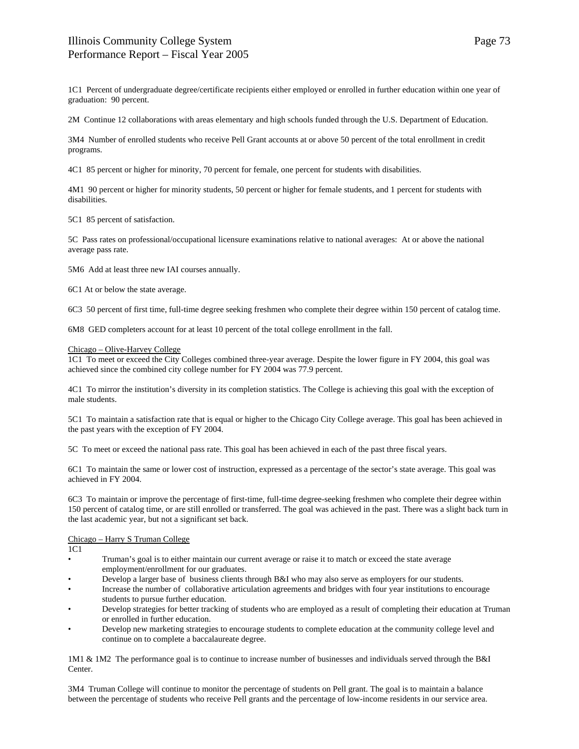1C1 Percent of undergraduate degree/certificate recipients either employed or enrolled in further education within one year of graduation: 90 percent.

2M Continue 12 collaborations with areas elementary and high schools funded through the U.S. Department of Education.

3M4 Number of enrolled students who receive Pell Grant accounts at or above 50 percent of the total enrollment in credit programs.

4C1 85 percent or higher for minority, 70 percent for female, one percent for students with disabilities.

4M1 90 percent or higher for minority students, 50 percent or higher for female students, and 1 percent for students with disabilities.

5C1 85 percent of satisfaction.

5C Pass rates on professional/occupational licensure examinations relative to national averages: At or above the national average pass rate.

5M6 Add at least three new IAI courses annually.

6C1 At or below the state average.

6C3 50 percent of first time, full-time degree seeking freshmen who complete their degree within 150 percent of catalog time.

6M8 GED completers account for at least 10 percent of the total college enrollment in the fall.

### Chicago – Olive-Harvey College

1C1 To meet or exceed the City Colleges combined three-year average. Despite the lower figure in FY 2004, this goal was achieved since the combined city college number for FY 2004 was 77.9 percent.

4C1 To mirror the institution's diversity in its completion statistics. The College is achieving this goal with the exception of male students.

5C1 To maintain a satisfaction rate that is equal or higher to the Chicago City College average. This goal has been achieved in the past years with the exception of FY 2004.

5C To meet or exceed the national pass rate. This goal has been achieved in each of the past three fiscal years.

6C1 To maintain the same or lower cost of instruction, expressed as a percentage of the sector's state average. This goal was achieved in FY 2004.

6C3 To maintain or improve the percentage of first-time, full-time degree-seeking freshmen who complete their degree within 150 percent of catalog time, or are still enrolled or transferred. The goal was achieved in the past. There was a slight back turn in the last academic year, but not a significant set back.

# Chicago – Harry S Truman College

1C1

- Truman's goal is to either maintain our current average or raise it to match or exceed the state average employment/enrollment for our graduates.
- Develop a larger base of business clients through B&I who may also serve as employers for our students.
- Increase the number of collaborative articulation agreements and bridges with four year institutions to encourage students to pursue further education.
- Develop strategies for better tracking of students who are employed as a result of completing their education at Truman or enrolled in further education.
- Develop new marketing strategies to encourage students to complete education at the community college level and continue on to complete a baccalaureate degree.

1M1 & 1M2 The performance goal is to continue to increase number of businesses and individuals served through the B&I Center.

3M4 Truman College will continue to monitor the percentage of students on Pell grant. The goal is to maintain a balance between the percentage of students who receive Pell grants and the percentage of low-income residents in our service area.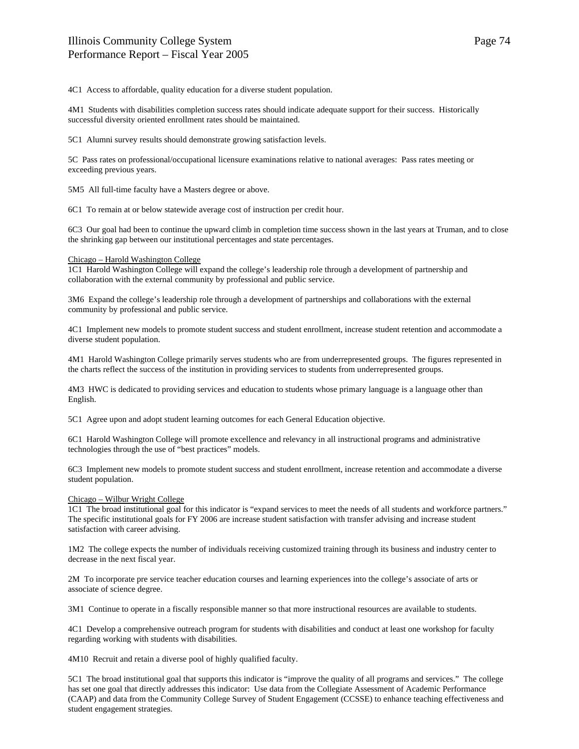4C1 Access to affordable, quality education for a diverse student population.

4M1 Students with disabilities completion success rates should indicate adequate support for their success. Historically successful diversity oriented enrollment rates should be maintained.

5C1 Alumni survey results should demonstrate growing satisfaction levels.

5C Pass rates on professional/occupational licensure examinations relative to national averages: Pass rates meeting or exceeding previous years.

5M5 All full-time faculty have a Masters degree or above.

6C1 To remain at or below statewide average cost of instruction per credit hour.

6C3 Our goal had been to continue the upward climb in completion time success shown in the last years at Truman, and to close the shrinking gap between our institutional percentages and state percentages.

## Chicago – Harold Washington College

1C1 Harold Washington College will expand the college's leadership role through a development of partnership and collaboration with the external community by professional and public service.

3M6 Expand the college's leadership role through a development of partnerships and collaborations with the external community by professional and public service.

4C1 Implement new models to promote student success and student enrollment, increase student retention and accommodate a diverse student population.

4M1 Harold Washington College primarily serves students who are from underrepresented groups. The figures represented in the charts reflect the success of the institution in providing services to students from underrepresented groups.

4M3 HWC is dedicated to providing services and education to students whose primary language is a language other than English.

5C1 Agree upon and adopt student learning outcomes for each General Education objective.

6C1 Harold Washington College will promote excellence and relevancy in all instructional programs and administrative technologies through the use of "best practices" models.

6C3 Implement new models to promote student success and student enrollment, increase retention and accommodate a diverse student population.

# Chicago – Wilbur Wright College

1C1 The broad institutional goal for this indicator is "expand services to meet the needs of all students and workforce partners." The specific institutional goals for FY 2006 are increase student satisfaction with transfer advising and increase student satisfaction with career advising.

1M2 The college expects the number of individuals receiving customized training through its business and industry center to decrease in the next fiscal year.

2M To incorporate pre service teacher education courses and learning experiences into the college's associate of arts or associate of science degree.

3M1 Continue to operate in a fiscally responsible manner so that more instructional resources are available to students.

4C1 Develop a comprehensive outreach program for students with disabilities and conduct at least one workshop for faculty regarding working with students with disabilities.

4M10 Recruit and retain a diverse pool of highly qualified faculty.

5C1 The broad institutional goal that supports this indicator is "improve the quality of all programs and services." The college has set one goal that directly addresses this indicator: Use data from the Collegiate Assessment of Academic Performance (CAAP) and data from the Community College Survey of Student Engagement (CCSSE) to enhance teaching effectiveness and student engagement strategies.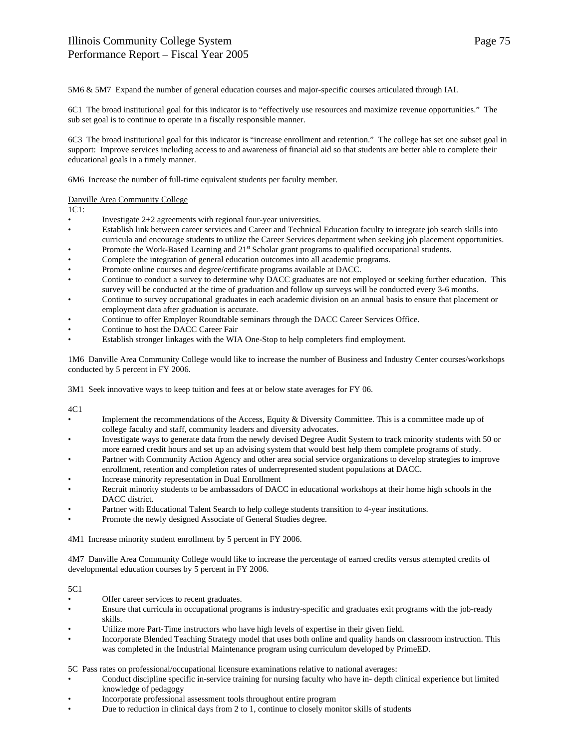5M6 & 5M7 Expand the number of general education courses and major-specific courses articulated through IAI.

6C1 The broad institutional goal for this indicator is to "effectively use resources and maximize revenue opportunities." The sub set goal is to continue to operate in a fiscally responsible manner.

6C3 The broad institutional goal for this indicator is "increase enrollment and retention." The college has set one subset goal in support: Improve services including access to and awareness of financial aid so that students are better able to complete their educational goals in a timely manner.

6M6 Increase the number of full-time equivalent students per faculty member.

# Danville Area Community College

1C1:

- Investigate  $2+2$  agreements with regional four-year universities.
- Establish link between career services and Career and Technical Education faculty to integrate job search skills into curricula and encourage students to utilize the Career Services department when seeking job placement opportunities.
- Promote the Work-Based Learning and 21<sup>st</sup> Scholar grant programs to qualified occupational students.
- Complete the integration of general education outcomes into all academic programs.
- Promote online courses and degree/certificate programs available at DACC.
- Continue to conduct a survey to determine why DACC graduates are not employed or seeking further education. This survey will be conducted at the time of graduation and follow up surveys will be conducted every 3-6 months.
- Continue to survey occupational graduates in each academic division on an annual basis to ensure that placement or employment data after graduation is accurate.
- Continue to offer Employer Roundtable seminars through the DACC Career Services Office.
- Continue to host the DACC Career Fair
- Establish stronger linkages with the WIA One-Stop to help completers find employment.

1M6 Danville Area Community College would like to increase the number of Business and Industry Center courses/workshops conducted by 5 percent in FY 2006.

3M1 Seek innovative ways to keep tuition and fees at or below state averages for FY 06.

4C1

- Implement the recommendations of the Access, Equity & Diversity Committee. This is a committee made up of college faculty and staff, community leaders and diversity advocates.
- Investigate ways to generate data from the newly devised Degree Audit System to track minority students with 50 or more earned credit hours and set up an advising system that would best help them complete programs of study.
- Partner with Community Action Agency and other area social service organizations to develop strategies to improve enrollment, retention and completion rates of underrepresented student populations at DACC.
- Increase minority representation in Dual Enrollment
- Recruit minority students to be ambassadors of DACC in educational workshops at their home high schools in the DACC district.
- Partner with Educational Talent Search to help college students transition to 4-year institutions.
- Promote the newly designed Associate of General Studies degree.

4M1 Increase minority student enrollment by 5 percent in FY 2006.

4M7 Danville Area Community College would like to increase the percentage of earned credits versus attempted credits of developmental education courses by 5 percent in FY 2006.

5C1

- Offer career services to recent graduates.
- Ensure that curricula in occupational programs is industry-specific and graduates exit programs with the job-ready skills.
- Utilize more Part-Time instructors who have high levels of expertise in their given field.
- Incorporate Blended Teaching Strategy model that uses both online and quality hands on classroom instruction. This was completed in the Industrial Maintenance program using curriculum developed by PrimeED.

5C Pass rates on professional/occupational licensure examinations relative to national averages:

- Conduct discipline specific in-service training for nursing faculty who have in- depth clinical experience but limited knowledge of pedagogy
- Incorporate professional assessment tools throughout entire program
- Due to reduction in clinical days from 2 to 1, continue to closely monitor skills of students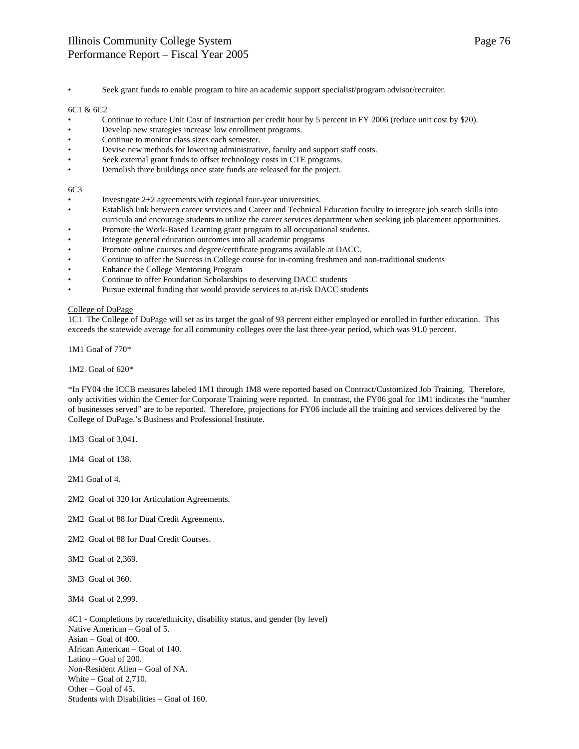• Seek grant funds to enable program to hire an academic support specialist/program advisor/recruiter.

# 6C1 & 6C2

- Continue to reduce Unit Cost of Instruction per credit hour by 5 percent in FY 2006 (reduce unit cost by \$20).
- Develop new strategies increase low enrollment programs.
- Continue to monitor class sizes each semester.
- Devise new methods for lowering administrative, faculty and support staff costs.
- Seek external grant funds to offset technology costs in CTE programs.
- Demolish three buildings once state funds are released for the project.

# 6C3

- Investigate 2+2 agreements with regional four-year universities.
- Establish link between career services and Career and Technical Education faculty to integrate job search skills into curricula and encourage students to utilize the career services department when seeking job placement opportunities.
- Promote the Work-Based Learning grant program to all occupational students.
- Integrate general education outcomes into all academic programs
- Promote online courses and degree/certificate programs available at DACC.
- Continue to offer the Success in College course for in-coming freshmen and non-traditional students
- Enhance the College Mentoring Program
- Continue to offer Foundation Scholarships to deserving DACC students
- Pursue external funding that would provide services to at-risk DACC students

# College of DuPage

1C1 The College of DuPage will set as its target the goal of 93 percent either employed or enrolled in further education. This exceeds the statewide average for all community colleges over the last three-year period, which was 91.0 percent.

1M1 Goal of 770\*

1M2 Goal of 620\*

\*In FY04 the ICCB measures labeled 1M1 through 1M8 were reported based on Contract/Customized Job Training. Therefore, only activities within the Center for Corporate Training were reported. In contrast, the FY06 goal for 1M1 indicates the "number of businesses served" are to be reported. Therefore, projections for FY06 include all the training and services delivered by the College of DuPage.'s Business and Professional Institute.

1M3 Goal of 3,041.

1M4 Goal of 138.

2M1 Goal of 4.

2M2 Goal of 320 for Articulation Agreements.

- 2M2 Goal of 88 for Dual Credit Agreements.
- 2M2 Goal of 88 for Dual Credit Courses.

3M2 Goal of 2,369.

3M3 Goal of 360.

3M4 Goal of 2,999.

4C1 - Completions by race/ethnicity, disability status, and gender (by level) Native American – Goal of 5. Asian – Goal of 400. African American – Goal of 140. Latino – Goal of 200. Non-Resident Alien – Goal of NA. White – Goal of 2,710. Other – Goal of 45. Students with Disabilities – Goal of 160.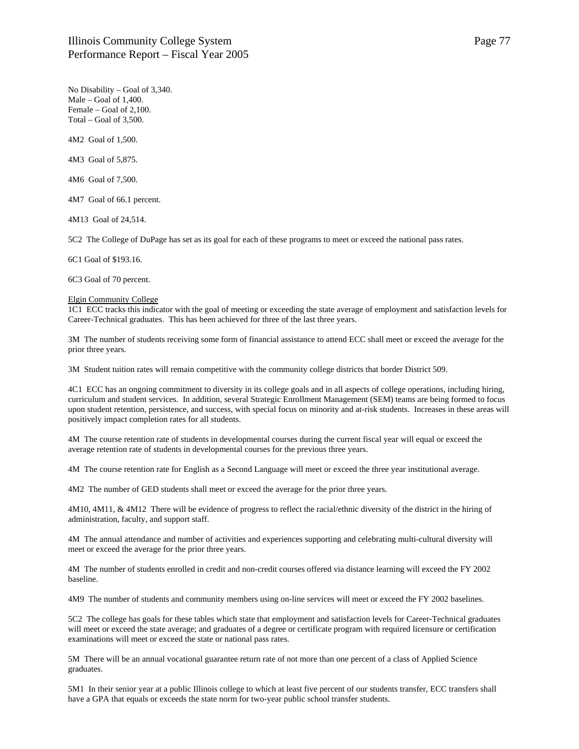No Disability – Goal of 3,340. Male – Goal of 1,400. Female – Goal of 2,100. Total – Goal of 3,500.

4M2 Goal of 1,500.

4M3 Goal of 5,875.

4M6 Goal of 7,500.

4M7 Goal of 66.1 percent.

4M13 Goal of 24,514.

5C2 The College of DuPage has set as its goal for each of these programs to meet or exceed the national pass rates.

6C1 Goal of \$193.16.

6C3 Goal of 70 percent.

#### Elgin Community College

1C1 ECC tracks this indicator with the goal of meeting or exceeding the state average of employment and satisfaction levels for Career-Technical graduates. This has been achieved for three of the last three years.

3M The number of students receiving some form of financial assistance to attend ECC shall meet or exceed the average for the prior three years.

3M Student tuition rates will remain competitive with the community college districts that border District 509.

4C1 ECC has an ongoing commitment to diversity in its college goals and in all aspects of college operations, including hiring, curriculum and student services. In addition, several Strategic Enrollment Management (SEM) teams are being formed to focus upon student retention, persistence, and success, with special focus on minority and at-risk students. Increases in these areas will positively impact completion rates for all students.

4M The course retention rate of students in developmental courses during the current fiscal year will equal or exceed the average retention rate of students in developmental courses for the previous three years.

4M The course retention rate for English as a Second Language will meet or exceed the three year institutional average.

4M2 The number of GED students shall meet or exceed the average for the prior three years.

4M10, 4M11, & 4M12 There will be evidence of progress to reflect the racial/ethnic diversity of the district in the hiring of administration, faculty, and support staff.

4M The annual attendance and number of activities and experiences supporting and celebrating multi-cultural diversity will meet or exceed the average for the prior three years.

4M The number of students enrolled in credit and non-credit courses offered via distance learning will exceed the FY 2002 baseline.

4M9 The number of students and community members using on-line services will meet or exceed the FY 2002 baselines.

5C2 The college has goals for these tables which state that employment and satisfaction levels for Career-Technical graduates will meet or exceed the state average; and graduates of a degree or certificate program with required licensure or certification examinations will meet or exceed the state or national pass rates.

5M There will be an annual vocational guarantee return rate of not more than one percent of a class of Applied Science graduates.

5M1 In their senior year at a public Illinois college to which at least five percent of our students transfer, ECC transfers shall have a GPA that equals or exceeds the state norm for two-year public school transfer students.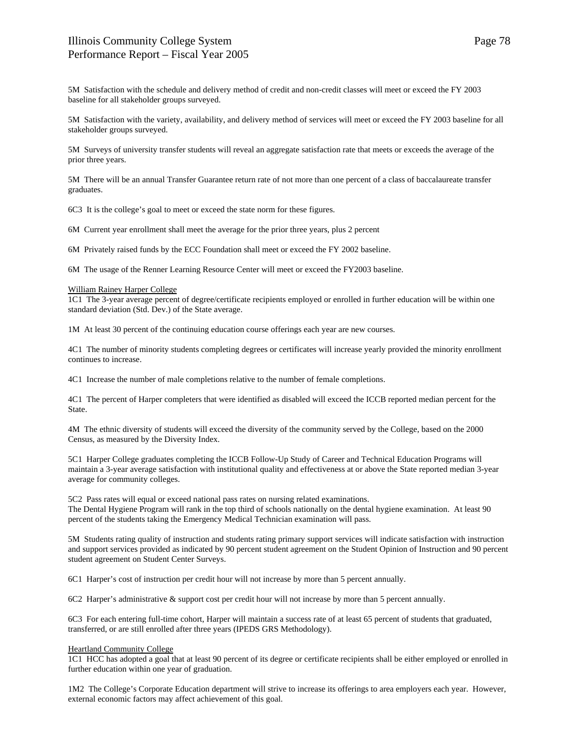# Illinois Community College System Performance Report – Fiscal Year 2005

5M Satisfaction with the schedule and delivery method of credit and non-credit classes will meet or exceed the FY 2003 baseline for all stakeholder groups surveyed.

5M Satisfaction with the variety, availability, and delivery method of services will meet or exceed the FY 2003 baseline for all stakeholder groups surveyed.

5M Surveys of university transfer students will reveal an aggregate satisfaction rate that meets or exceeds the average of the prior three years.

5M There will be an annual Transfer Guarantee return rate of not more than one percent of a class of baccalaureate transfer graduates.

6C3 It is the college's goal to meet or exceed the state norm for these figures.

6M Current year enrollment shall meet the average for the prior three years, plus 2 percent

6M Privately raised funds by the ECC Foundation shall meet or exceed the FY 2002 baseline.

6M The usage of the Renner Learning Resource Center will meet or exceed the FY2003 baseline.

#### William Rainey Harper College

1C1 The 3-year average percent of degree/certificate recipients employed or enrolled in further education will be within one standard deviation (Std. Dev.) of the State average.

1M At least 30 percent of the continuing education course offerings each year are new courses.

4C1 The number of minority students completing degrees or certificates will increase yearly provided the minority enrollment continues to increase.

4C1 Increase the number of male completions relative to the number of female completions.

4C1 The percent of Harper completers that were identified as disabled will exceed the ICCB reported median percent for the State.

4M The ethnic diversity of students will exceed the diversity of the community served by the College, based on the 2000 Census, as measured by the Diversity Index.

5C1 Harper College graduates completing the ICCB Follow-Up Study of Career and Technical Education Programs will maintain a 3-year average satisfaction with institutional quality and effectiveness at or above the State reported median 3-year average for community colleges.

5C2 Pass rates will equal or exceed national pass rates on nursing related examinations. The Dental Hygiene Program will rank in the top third of schools nationally on the dental hygiene examination. At least 90 percent of the students taking the Emergency Medical Technician examination will pass.

5M Students rating quality of instruction and students rating primary support services will indicate satisfaction with instruction and support services provided as indicated by 90 percent student agreement on the Student Opinion of Instruction and 90 percent student agreement on Student Center Surveys.

6C1 Harper's cost of instruction per credit hour will not increase by more than 5 percent annually.

6C2 Harper's administrative & support cost per credit hour will not increase by more than 5 percent annually.

6C3 For each entering full-time cohort, Harper will maintain a success rate of at least 65 percent of students that graduated, transferred, or are still enrolled after three years (IPEDS GRS Methodology).

# Heartland Community College

1C1 HCC has adopted a goal that at least 90 percent of its degree or certificate recipients shall be either employed or enrolled in further education within one year of graduation.

1M2 The College's Corporate Education department will strive to increase its offerings to area employers each year. However, external economic factors may affect achievement of this goal.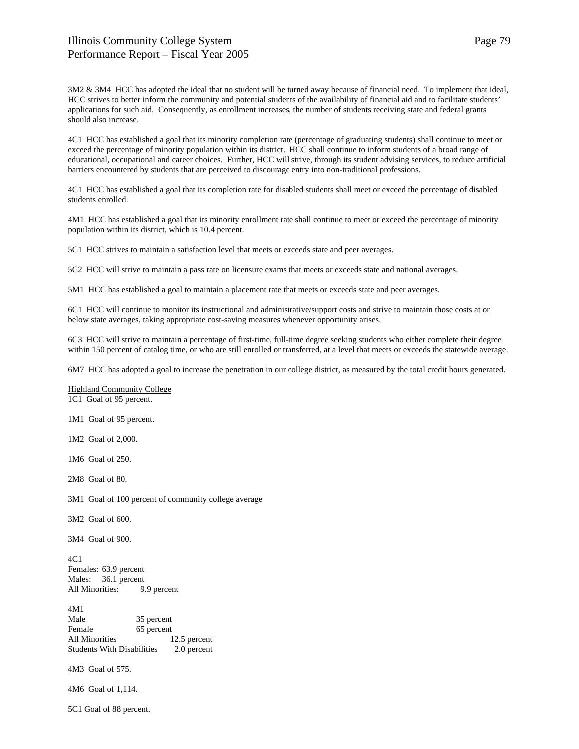3M2 & 3M4 HCC has adopted the ideal that no student will be turned away because of financial need. To implement that ideal, HCC strives to better inform the community and potential students of the availability of financial aid and to facilitate students' applications for such aid. Consequently, as enrollment increases, the number of students receiving state and federal grants should also increase.

4C1 HCC has established a goal that its minority completion rate (percentage of graduating students) shall continue to meet or exceed the percentage of minority population within its district. HCC shall continue to inform students of a broad range of educational, occupational and career choices. Further, HCC will strive, through its student advising services, to reduce artificial barriers encountered by students that are perceived to discourage entry into non-traditional professions.

4C1 HCC has established a goal that its completion rate for disabled students shall meet or exceed the percentage of disabled students enrolled.

4M1 HCC has established a goal that its minority enrollment rate shall continue to meet or exceed the percentage of minority population within its district, which is 10.4 percent.

5C1 HCC strives to maintain a satisfaction level that meets or exceeds state and peer averages.

5C2 HCC will strive to maintain a pass rate on licensure exams that meets or exceeds state and national averages.

5M1 HCC has established a goal to maintain a placement rate that meets or exceeds state and peer averages.

6C1 HCC will continue to monitor its instructional and administrative/support costs and strive to maintain those costs at or below state averages, taking appropriate cost-saving measures whenever opportunity arises.

6C3 HCC will strive to maintain a percentage of first-time, full-time degree seeking students who either complete their degree within 150 percent of catalog time, or who are still enrolled or transferred, at a level that meets or exceeds the statewide average.

6M7 HCC has adopted a goal to increase the penetration in our college district, as measured by the total credit hours generated.

Highland Community College 1C1 Goal of 95 percent.

1M1 Goal of 95 percent.

1M2 Goal of 2,000.

1M6 Goal of 250.

2M8 Goal of 80.

3M1 Goal of 100 percent of community college average

3M2 Goal of 600.

3M4 Goal of 900.

4C1 Females: 63.9 percent Males: 36.1 percent All Minorities: 9.9 percent

4M1 Male 35 percent Female 65 percent All Minorities 12.5 percent Students With Disabilities 2.0 percent

4M3 Goal of 575.

4M6 Goal of 1,114.

5C1 Goal of 88 percent.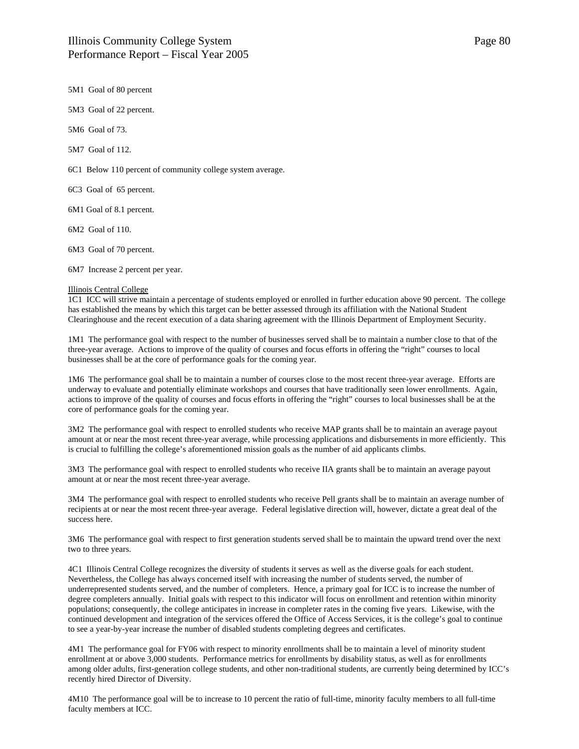Page 80

5M1 Goal of 80 percent

5M3 Goal of 22 percent.

5M6 Goal of 73.

5M7 Goal of 112.

6C1 Below 110 percent of community college system average.

6C3 Goal of 65 percent.

6M1 Goal of 8.1 percent.

6M2 Goal of 110.

6M3 Goal of 70 percent.

6M7 Increase 2 percent per year.

#### Illinois Central College

1C1 ICC will strive maintain a percentage of students employed or enrolled in further education above 90 percent. The college has established the means by which this target can be better assessed through its affiliation with the National Student Clearinghouse and the recent execution of a data sharing agreement with the Illinois Department of Employment Security.

1M1 The performance goal with respect to the number of businesses served shall be to maintain a number close to that of the three-year average. Actions to improve of the quality of courses and focus efforts in offering the "right" courses to local businesses shall be at the core of performance goals for the coming year.

1M6 The performance goal shall be to maintain a number of courses close to the most recent three-year average. Efforts are underway to evaluate and potentially eliminate workshops and courses that have traditionally seen lower enrollments. Again, actions to improve of the quality of courses and focus efforts in offering the "right" courses to local businesses shall be at the core of performance goals for the coming year.

3M2 The performance goal with respect to enrolled students who receive MAP grants shall be to maintain an average payout amount at or near the most recent three-year average, while processing applications and disbursements in more efficiently. This is crucial to fulfilling the college's aforementioned mission goals as the number of aid applicants climbs.

3M3 The performance goal with respect to enrolled students who receive IIA grants shall be to maintain an average payout amount at or near the most recent three-year average.

3M4 The performance goal with respect to enrolled students who receive Pell grants shall be to maintain an average number of recipients at or near the most recent three-year average. Federal legislative direction will, however, dictate a great deal of the success here.

3M6 The performance goal with respect to first generation students served shall be to maintain the upward trend over the next two to three years.

4C1 Illinois Central College recognizes the diversity of students it serves as well as the diverse goals for each student. Nevertheless, the College has always concerned itself with increasing the number of students served, the number of underrepresented students served, and the number of completers. Hence, a primary goal for ICC is to increase the number of degree completers annually. Initial goals with respect to this indicator will focus on enrollment and retention within minority populations; consequently, the college anticipates in increase in completer rates in the coming five years. Likewise, with the continued development and integration of the services offered the Office of Access Services, it is the college's goal to continue to see a year-by-year increase the number of disabled students completing degrees and certificates.

4M1 The performance goal for FY06 with respect to minority enrollments shall be to maintain a level of minority student enrollment at or above 3,000 students. Performance metrics for enrollments by disability status, as well as for enrollments among older adults, first-generation college students, and other non-traditional students, are currently being determined by ICC's recently hired Director of Diversity.

4M10 The performance goal will be to increase to 10 percent the ratio of full-time, minority faculty members to all full-time faculty members at ICC.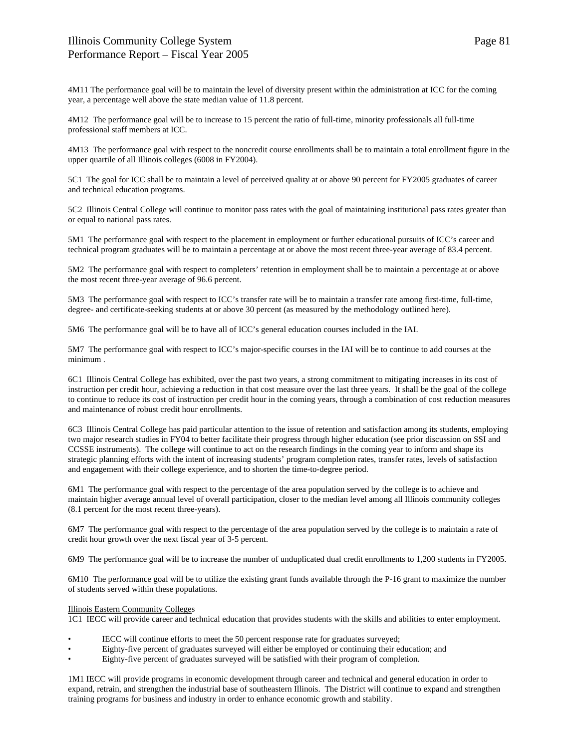4M11 The performance goal will be to maintain the level of diversity present within the administration at ICC for the coming year, a percentage well above the state median value of 11.8 percent.

4M12 The performance goal will be to increase to 15 percent the ratio of full-time, minority professionals all full-time professional staff members at ICC.

4M13 The performance goal with respect to the noncredit course enrollments shall be to maintain a total enrollment figure in the upper quartile of all Illinois colleges (6008 in FY2004).

5C1 The goal for ICC shall be to maintain a level of perceived quality at or above 90 percent for FY2005 graduates of career and technical education programs.

5C2 Illinois Central College will continue to monitor pass rates with the goal of maintaining institutional pass rates greater than or equal to national pass rates.

5M1 The performance goal with respect to the placement in employment or further educational pursuits of ICC's career and technical program graduates will be to maintain a percentage at or above the most recent three-year average of 83.4 percent.

5M2 The performance goal with respect to completers' retention in employment shall be to maintain a percentage at or above the most recent three-year average of 96.6 percent.

5M3 The performance goal with respect to ICC's transfer rate will be to maintain a transfer rate among first-time, full-time, degree- and certificate-seeking students at or above 30 percent (as measured by the methodology outlined here).

5M6 The performance goal will be to have all of ICC's general education courses included in the IAI.

5M7 The performance goal with respect to ICC's major-specific courses in the IAI will be to continue to add courses at the minimum .

6C1 Illinois Central College has exhibited, over the past two years, a strong commitment to mitigating increases in its cost of instruction per credit hour, achieving a reduction in that cost measure over the last three years. It shall be the goal of the college to continue to reduce its cost of instruction per credit hour in the coming years, through a combination of cost reduction measures and maintenance of robust credit hour enrollments.

6C3 Illinois Central College has paid particular attention to the issue of retention and satisfaction among its students, employing two major research studies in FY04 to better facilitate their progress through higher education (see prior discussion on SSI and CCSSE instruments). The college will continue to act on the research findings in the coming year to inform and shape its strategic planning efforts with the intent of increasing students' program completion rates, transfer rates, levels of satisfaction and engagement with their college experience, and to shorten the time-to-degree period.

6M1 The performance goal with respect to the percentage of the area population served by the college is to achieve and maintain higher average annual level of overall participation, closer to the median level among all Illinois community colleges (8.1 percent for the most recent three-years).

6M7 The performance goal with respect to the percentage of the area population served by the college is to maintain a rate of credit hour growth over the next fiscal year of 3-5 percent.

6M9 The performance goal will be to increase the number of unduplicated dual credit enrollments to 1,200 students in FY2005.

6M10 The performance goal will be to utilize the existing grant funds available through the P-16 grant to maximize the number of students served within these populations.

# Illinois Eastern Community Colleges

1C1 IECC will provide career and technical education that provides students with the skills and abilities to enter employment.

- IECC will continue efforts to meet the 50 percent response rate for graduates surveyed;
- Eighty-five percent of graduates surveyed will either be employed or continuing their education; and
- Eighty-five percent of graduates surveyed will be satisfied with their program of completion.

1M1 IECC will provide programs in economic development through career and technical and general education in order to expand, retrain, and strengthen the industrial base of southeastern Illinois. The District will continue to expand and strengthen training programs for business and industry in order to enhance economic growth and stability.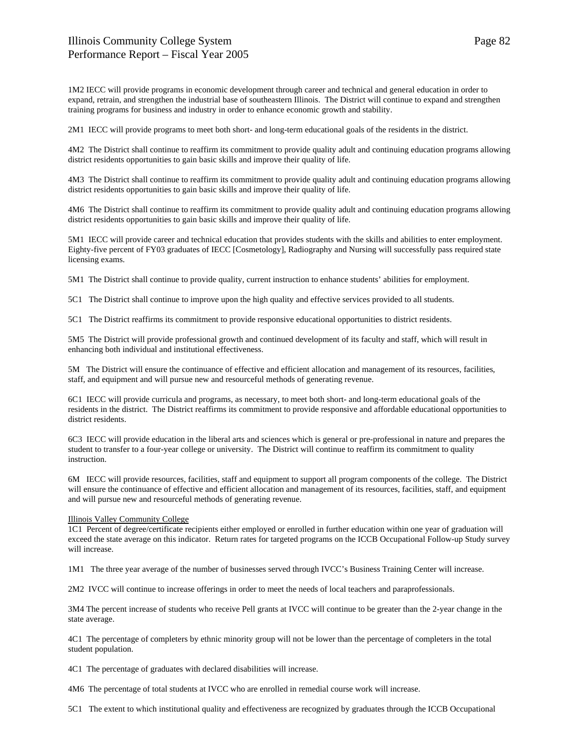# Illinois Community College System Performance Report – Fiscal Year 2005

1M2 IECC will provide programs in economic development through career and technical and general education in order to expand, retrain, and strengthen the industrial base of southeastern Illinois. The District will continue to expand and strengthen training programs for business and industry in order to enhance economic growth and stability.

2M1 IECC will provide programs to meet both short- and long-term educational goals of the residents in the district.

4M2 The District shall continue to reaffirm its commitment to provide quality adult and continuing education programs allowing district residents opportunities to gain basic skills and improve their quality of life.

4M3 The District shall continue to reaffirm its commitment to provide quality adult and continuing education programs allowing district residents opportunities to gain basic skills and improve their quality of life.

4M6 The District shall continue to reaffirm its commitment to provide quality adult and continuing education programs allowing district residents opportunities to gain basic skills and improve their quality of life.

5M1 IECC will provide career and technical education that provides students with the skills and abilities to enter employment. Eighty-five percent of FY03 graduates of IECC [Cosmetology], Radiography and Nursing will successfully pass required state licensing exams.

5M1 The District shall continue to provide quality, current instruction to enhance students' abilities for employment.

5C1 The District shall continue to improve upon the high quality and effective services provided to all students.

5C1 The District reaffirms its commitment to provide responsive educational opportunities to district residents.

5M5 The District will provide professional growth and continued development of its faculty and staff, which will result in enhancing both individual and institutional effectiveness.

5M The District will ensure the continuance of effective and efficient allocation and management of its resources, facilities, staff, and equipment and will pursue new and resourceful methods of generating revenue.

6C1 IECC will provide curricula and programs, as necessary, to meet both short- and long-term educational goals of the residents in the district. The District reaffirms its commitment to provide responsive and affordable educational opportunities to district residents.

6C3 IECC will provide education in the liberal arts and sciences which is general or pre-professional in nature and prepares the student to transfer to a four-year college or university. The District will continue to reaffirm its commitment to quality instruction.

6M IECC will provide resources, facilities, staff and equipment to support all program components of the college. The District will ensure the continuance of effective and efficient allocation and management of its resources, facilities, staff, and equipment and will pursue new and resourceful methods of generating revenue.

# Illinois Valley Community College

1C1 Percent of degree/certificate recipients either employed or enrolled in further education within one year of graduation will exceed the state average on this indicator. Return rates for targeted programs on the ICCB Occupational Follow-up Study survey will increase.

1M1 The three year average of the number of businesses served through IVCC's Business Training Center will increase.

2M2 IVCC will continue to increase offerings in order to meet the needs of local teachers and paraprofessionals.

3M4 The percent increase of students who receive Pell grants at IVCC will continue to be greater than the 2-year change in the state average.

4C1 The percentage of completers by ethnic minority group will not be lower than the percentage of completers in the total student population.

4C1 The percentage of graduates with declared disabilities will increase.

4M6 The percentage of total students at IVCC who are enrolled in remedial course work will increase.

5C1 The extent to which institutional quality and effectiveness are recognized by graduates through the ICCB Occupational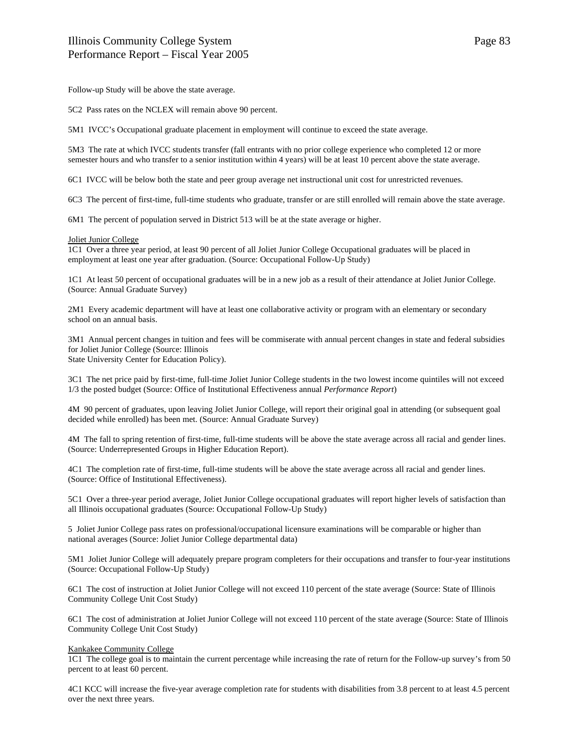Follow-up Study will be above the state average.

5C2 Pass rates on the NCLEX will remain above 90 percent.

5M1 IVCC's Occupational graduate placement in employment will continue to exceed the state average.

5M3 The rate at which IVCC students transfer (fall entrants with no prior college experience who completed 12 or more semester hours and who transfer to a senior institution within 4 years) will be at least 10 percent above the state average.

6C1 IVCC will be below both the state and peer group average net instructional unit cost for unrestricted revenues.

6C3 The percent of first-time, full-time students who graduate, transfer or are still enrolled will remain above the state average.

6M1 The percent of population served in District 513 will be at the state average or higher.

## Joliet Junior College

1C1 Over a three year period, at least 90 percent of all Joliet Junior College Occupational graduates will be placed in employment at least one year after graduation. (Source: Occupational Follow-Up Study)

1C1 At least 50 percent of occupational graduates will be in a new job as a result of their attendance at Joliet Junior College. (Source: Annual Graduate Survey)

2M1 Every academic department will have at least one collaborative activity or program with an elementary or secondary school on an annual basis.

3M1 Annual percent changes in tuition and fees will be commiserate with annual percent changes in state and federal subsidies for Joliet Junior College (Source: Illinois State University Center for Education Policy).

3C1 The net price paid by first-time, full-time Joliet Junior College students in the two lowest income quintiles will not exceed 1/3 the posted budget (Source: Office of Institutional Effectiveness annual *Performance Report*)

4M 90 percent of graduates, upon leaving Joliet Junior College, will report their original goal in attending (or subsequent goal decided while enrolled) has been met. (Source: Annual Graduate Survey)

4M The fall to spring retention of first-time, full-time students will be above the state average across all racial and gender lines. (Source: Underrepresented Groups in Higher Education Report).

4C1 The completion rate of first-time, full-time students will be above the state average across all racial and gender lines. (Source: Office of Institutional Effectiveness).

5C1 Over a three-year period average, Joliet Junior College occupational graduates will report higher levels of satisfaction than all Illinois occupational graduates (Source: Occupational Follow-Up Study)

5 Joliet Junior College pass rates on professional/occupational licensure examinations will be comparable or higher than national averages (Source: Joliet Junior College departmental data)

5M1 Joliet Junior College will adequately prepare program completers for their occupations and transfer to four-year institutions (Source: Occupational Follow-Up Study)

6C1 The cost of instruction at Joliet Junior College will not exceed 110 percent of the state average (Source: State of Illinois Community College Unit Cost Study)

6C1 The cost of administration at Joliet Junior College will not exceed 110 percent of the state average (Source: State of Illinois Community College Unit Cost Study)

# Kankakee Community College

1C1 The college goal is to maintain the current percentage while increasing the rate of return for the Follow-up survey's from 50 percent to at least 60 percent.

4C1 KCC will increase the five-year average completion rate for students with disabilities from 3.8 percent to at least 4.5 percent over the next three years.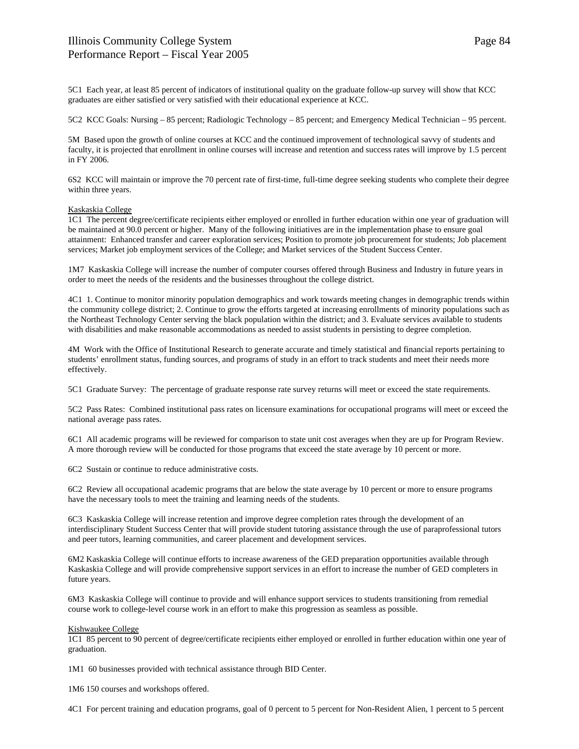5C1 Each year, at least 85 percent of indicators of institutional quality on the graduate follow-up survey will show that KCC graduates are either satisfied or very satisfied with their educational experience at KCC.

5C2 KCC Goals: Nursing – 85 percent; Radiologic Technology – 85 percent; and Emergency Medical Technician – 95 percent.

5M Based upon the growth of online courses at KCC and the continued improvement of technological savvy of students and faculty, it is projected that enrollment in online courses will increase and retention and success rates will improve by 1.5 percent in FY 2006.

6S2 KCC will maintain or improve the 70 percent rate of first-time, full-time degree seeking students who complete their degree within three years.

# Kaskaskia College

1C1 The percent degree/certificate recipients either employed or enrolled in further education within one year of graduation will be maintained at 90.0 percent or higher. Many of the following initiatives are in the implementation phase to ensure goal attainment: Enhanced transfer and career exploration services; Position to promote job procurement for students; Job placement services; Market job employment services of the College; and Market services of the Student Success Center.

1M7 Kaskaskia College will increase the number of computer courses offered through Business and Industry in future years in order to meet the needs of the residents and the businesses throughout the college district.

4C1 1. Continue to monitor minority population demographics and work towards meeting changes in demographic trends within the community college district; 2. Continue to grow the efforts targeted at increasing enrollments of minority populations such as the Northeast Technology Center serving the black population within the district; and 3. Evaluate services available to students with disabilities and make reasonable accommodations as needed to assist students in persisting to degree completion.

4M Work with the Office of Institutional Research to generate accurate and timely statistical and financial reports pertaining to students' enrollment status, funding sources, and programs of study in an effort to track students and meet their needs more effectively.

5C1 Graduate Survey: The percentage of graduate response rate survey returns will meet or exceed the state requirements.

5C2 Pass Rates: Combined institutional pass rates on licensure examinations for occupational programs will meet or exceed the national average pass rates.

6C1 All academic programs will be reviewed for comparison to state unit cost averages when they are up for Program Review. A more thorough review will be conducted for those programs that exceed the state average by 10 percent or more.

6C2 Sustain or continue to reduce administrative costs.

6C2 Review all occupational academic programs that are below the state average by 10 percent or more to ensure programs have the necessary tools to meet the training and learning needs of the students.

6C3 Kaskaskia College will increase retention and improve degree completion rates through the development of an interdisciplinary Student Success Center that will provide student tutoring assistance through the use of paraprofessional tutors and peer tutors, learning communities, and career placement and development services.

6M2 Kaskaskia College will continue efforts to increase awareness of the GED preparation opportunities available through Kaskaskia College and will provide comprehensive support services in an effort to increase the number of GED completers in future years.

6M3 Kaskaskia College will continue to provide and will enhance support services to students transitioning from remedial course work to college-level course work in an effort to make this progression as seamless as possible.

## Kishwaukee College

1C1 85 percent to 90 percent of degree/certificate recipients either employed or enrolled in further education within one year of graduation.

1M1 60 businesses provided with technical assistance through BID Center.

1M6 150 courses and workshops offered.

4C1 For percent training and education programs, goal of 0 percent to 5 percent for Non-Resident Alien, 1 percent to 5 percent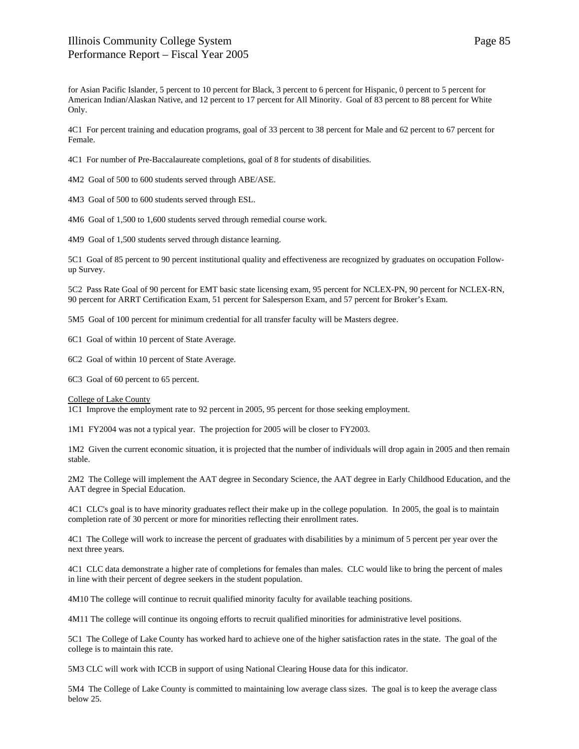for Asian Pacific Islander, 5 percent to 10 percent for Black, 3 percent to 6 percent for Hispanic, 0 percent to 5 percent for American Indian/Alaskan Native, and 12 percent to 17 percent for All Minority. Goal of 83 percent to 88 percent for White Only.

4C1 For percent training and education programs, goal of 33 percent to 38 percent for Male and 62 percent to 67 percent for Female.

4C1 For number of Pre-Baccalaureate completions, goal of 8 for students of disabilities.

4M2 Goal of 500 to 600 students served through ABE/ASE.

4M3 Goal of 500 to 600 students served through ESL.

4M6 Goal of 1,500 to 1,600 students served through remedial course work.

4M9 Goal of 1,500 students served through distance learning.

5C1 Goal of 85 percent to 90 percent institutional quality and effectiveness are recognized by graduates on occupation Followup Survey.

5C2 Pass Rate Goal of 90 percent for EMT basic state licensing exam, 95 percent for NCLEX-PN, 90 percent for NCLEX-RN, 90 percent for ARRT Certification Exam, 51 percent for Salesperson Exam, and 57 percent for Broker's Exam.

5M5 Goal of 100 percent for minimum credential for all transfer faculty will be Masters degree.

6C1 Goal of within 10 percent of State Average.

6C2 Goal of within 10 percent of State Average.

6C3 Goal of 60 percent to 65 percent.

College of Lake County

1C1 Improve the employment rate to 92 percent in 2005, 95 percent for those seeking employment.

1M1 FY2004 was not a typical year. The projection for 2005 will be closer to FY2003.

1M2 Given the current economic situation, it is projected that the number of individuals will drop again in 2005 and then remain stable.

2M2 The College will implement the AAT degree in Secondary Science, the AAT degree in Early Childhood Education, and the AAT degree in Special Education.

4C1 CLC's goal is to have minority graduates reflect their make up in the college population. In 2005, the goal is to maintain completion rate of 30 percent or more for minorities reflecting their enrollment rates.

4C1 The College will work to increase the percent of graduates with disabilities by a minimum of 5 percent per year over the next three years.

4C1 CLC data demonstrate a higher rate of completions for females than males. CLC would like to bring the percent of males in line with their percent of degree seekers in the student population.

4M10 The college will continue to recruit qualified minority faculty for available teaching positions.

4M11 The college will continue its ongoing efforts to recruit qualified minorities for administrative level positions.

5C1 The College of Lake County has worked hard to achieve one of the higher satisfaction rates in the state. The goal of the college is to maintain this rate.

5M3 CLC will work with ICCB in support of using National Clearing House data for this indicator.

5M4 The College of Lake County is committed to maintaining low average class sizes. The goal is to keep the average class below 25.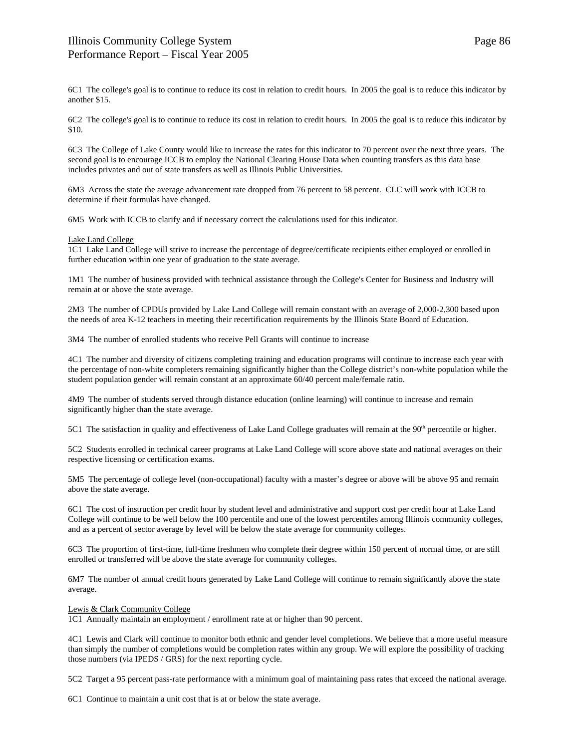6C1 The college's goal is to continue to reduce its cost in relation to credit hours. In 2005 the goal is to reduce this indicator by another \$15.

6C2 The college's goal is to continue to reduce its cost in relation to credit hours. In 2005 the goal is to reduce this indicator by \$10.

6C3 The College of Lake County would like to increase the rates for this indicator to 70 percent over the next three years. The second goal is to encourage ICCB to employ the National Clearing House Data when counting transfers as this data base includes privates and out of state transfers as well as Illinois Public Universities.

6M3 Across the state the average advancement rate dropped from 76 percent to 58 percent. CLC will work with ICCB to determine if their formulas have changed.

6M5 Work with ICCB to clarify and if necessary correct the calculations used for this indicator.

## Lake Land College

1C1 Lake Land College will strive to increase the percentage of degree/certificate recipients either employed or enrolled in further education within one year of graduation to the state average.

1M1 The number of business provided with technical assistance through the College's Center for Business and Industry will remain at or above the state average.

2M3 The number of CPDUs provided by Lake Land College will remain constant with an average of 2,000-2,300 based upon the needs of area K-12 teachers in meeting their recertification requirements by the Illinois State Board of Education.

3M4 The number of enrolled students who receive Pell Grants will continue to increase

4C1 The number and diversity of citizens completing training and education programs will continue to increase each year with the percentage of non-white completers remaining significantly higher than the College district's non-white population while the student population gender will remain constant at an approximate 60/40 percent male/female ratio.

4M9 The number of students served through distance education (online learning) will continue to increase and remain significantly higher than the state average.

5C1 The satisfaction in quality and effectiveness of Lake Land College graduates will remain at the  $90<sup>th</sup>$  percentile or higher.

5C2 Students enrolled in technical career programs at Lake Land College will score above state and national averages on their respective licensing or certification exams.

5M5 The percentage of college level (non-occupational) faculty with a master's degree or above will be above 95 and remain above the state average.

6C1 The cost of instruction per credit hour by student level and administrative and support cost per credit hour at Lake Land College will continue to be well below the 100 percentile and one of the lowest percentiles among Illinois community colleges, and as a percent of sector average by level will be below the state average for community colleges.

6C3 The proportion of first-time, full-time freshmen who complete their degree within 150 percent of normal time, or are still enrolled or transferred will be above the state average for community colleges.

6M7 The number of annual credit hours generated by Lake Land College will continue to remain significantly above the state average.

# Lewis & Clark Community College

1C1 Annually maintain an employment / enrollment rate at or higher than 90 percent.

4C1 Lewis and Clark will continue to monitor both ethnic and gender level completions. We believe that a more useful measure than simply the number of completions would be completion rates within any group. We will explore the possibility of tracking those numbers (via IPEDS / GRS) for the next reporting cycle.

5C2 Target a 95 percent pass-rate performance with a minimum goal of maintaining pass rates that exceed the national average.

6C1 Continue to maintain a unit cost that is at or below the state average.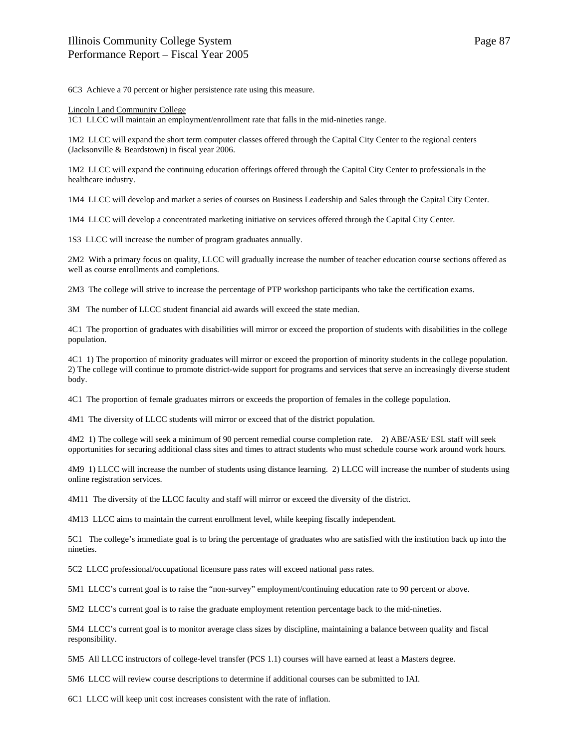6C3 Achieve a 70 percent or higher persistence rate using this measure.

## Lincoln Land Community College

1C1 LLCC will maintain an employment/enrollment rate that falls in the mid-nineties range.

1M2 LLCC will expand the short term computer classes offered through the Capital City Center to the regional centers (Jacksonville & Beardstown) in fiscal year 2006.

1M2 LLCC will expand the continuing education offerings offered through the Capital City Center to professionals in the healthcare industry.

1M4 LLCC will develop and market a series of courses on Business Leadership and Sales through the Capital City Center.

1M4 LLCC will develop a concentrated marketing initiative on services offered through the Capital City Center.

1S3 LLCC will increase the number of program graduates annually.

2M2 With a primary focus on quality, LLCC will gradually increase the number of teacher education course sections offered as well as course enrollments and completions.

2M3 The college will strive to increase the percentage of PTP workshop participants who take the certification exams.

3M The number of LLCC student financial aid awards will exceed the state median.

4C1 The proportion of graduates with disabilities will mirror or exceed the proportion of students with disabilities in the college population.

4C1 1) The proportion of minority graduates will mirror or exceed the proportion of minority students in the college population. 2) The college will continue to promote district-wide support for programs and services that serve an increasingly diverse student body.

4C1 The proportion of female graduates mirrors or exceeds the proportion of females in the college population.

4M1 The diversity of LLCC students will mirror or exceed that of the district population.

4M2 1) The college will seek a minimum of 90 percent remedial course completion rate. 2) ABE/ASE/ ESL staff will seek opportunities for securing additional class sites and times to attract students who must schedule course work around work hours.

4M9 1) LLCC will increase the number of students using distance learning. 2) LLCC will increase the number of students using online registration services.

4M11 The diversity of the LLCC faculty and staff will mirror or exceed the diversity of the district.

4M13 LLCC aims to maintain the current enrollment level, while keeping fiscally independent.

5C1 The college's immediate goal is to bring the percentage of graduates who are satisfied with the institution back up into the nineties.

5C2 LLCC professional/occupational licensure pass rates will exceed national pass rates.

5M1 LLCC's current goal is to raise the "non-survey" employment/continuing education rate to 90 percent or above.

5M2 LLCC's current goal is to raise the graduate employment retention percentage back to the mid-nineties.

5M4 LLCC's current goal is to monitor average class sizes by discipline, maintaining a balance between quality and fiscal responsibility.

5M5 All LLCC instructors of college-level transfer (PCS 1.1) courses will have earned at least a Masters degree.

5M6 LLCC will review course descriptions to determine if additional courses can be submitted to IAI.

6C1 LLCC will keep unit cost increases consistent with the rate of inflation.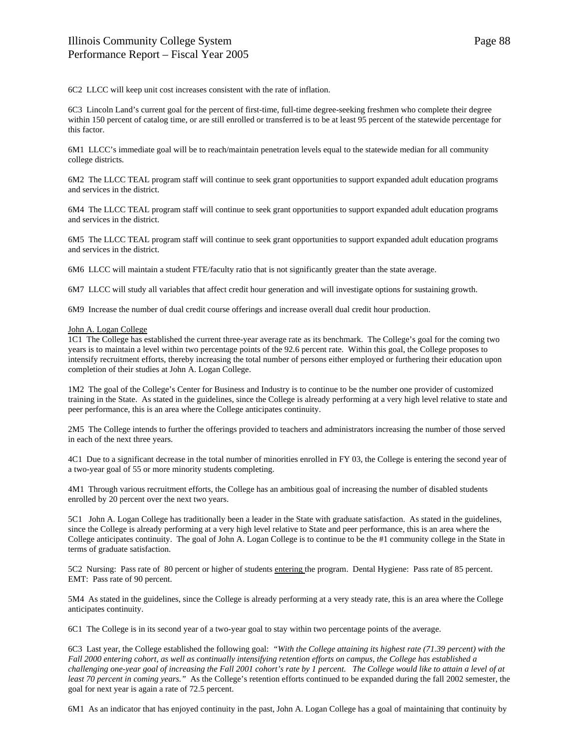6C2 LLCC will keep unit cost increases consistent with the rate of inflation.

6C3 Lincoln Land's current goal for the percent of first-time, full-time degree-seeking freshmen who complete their degree within 150 percent of catalog time, or are still enrolled or transferred is to be at least 95 percent of the statewide percentage for this factor.

6M1 LLCC's immediate goal will be to reach/maintain penetration levels equal to the statewide median for all community college districts.

6M2 The LLCC TEAL program staff will continue to seek grant opportunities to support expanded adult education programs and services in the district.

6M4 The LLCC TEAL program staff will continue to seek grant opportunities to support expanded adult education programs and services in the district.

6M5 The LLCC TEAL program staff will continue to seek grant opportunities to support expanded adult education programs and services in the district.

6M6 LLCC will maintain a student FTE/faculty ratio that is not significantly greater than the state average.

6M7 LLCC will study all variables that affect credit hour generation and will investigate options for sustaining growth.

6M9 Increase the number of dual credit course offerings and increase overall dual credit hour production.

### John A. Logan College

1C1 The College has established the current three-year average rate as its benchmark. The College's goal for the coming two years is to maintain a level within two percentage points of the 92.6 percent rate. Within this goal, the College proposes to intensify recruitment efforts, thereby increasing the total number of persons either employed or furthering their education upon completion of their studies at John A. Logan College.

1M2 The goal of the College's Center for Business and Industry is to continue to be the number one provider of customized training in the State. As stated in the guidelines, since the College is already performing at a very high level relative to state and peer performance, this is an area where the College anticipates continuity.

2M5 The College intends to further the offerings provided to teachers and administrators increasing the number of those served in each of the next three years.

4C1 Due to a significant decrease in the total number of minorities enrolled in FY 03, the College is entering the second year of a two-year goal of 55 or more minority students completing.

4M1 Through various recruitment efforts, the College has an ambitious goal of increasing the number of disabled students enrolled by 20 percent over the next two years.

5C1 John A. Logan College has traditionally been a leader in the State with graduate satisfaction. As stated in the guidelines, since the College is already performing at a very high level relative to State and peer performance, this is an area where the College anticipates continuity. The goal of John A. Logan College is to continue to be the #1 community college in the State in terms of graduate satisfaction.

5C2 Nursing: Pass rate of 80 percent or higher of students entering the program. Dental Hygiene: Pass rate of 85 percent. EMT: Pass rate of 90 percent.

5M4 As stated in the guidelines, since the College is already performing at a very steady rate, this is an area where the College anticipates continuity.

6C1 The College is in its second year of a two-year goal to stay within two percentage points of the average.

6C3 Last year, the College established the following goal: *"With the College attaining its highest rate (71.39 percent) with the Fall 2000 entering cohort, as well as continually intensifying retention efforts on campus, the College has established a challenging one-year goal of increasing the Fall 2001 cohort's rate by 1 percent. The College would like to attain a level of at least 70 percent in coming years."* As the College's retention efforts continued to be expanded during the fall 2002 semester, the goal for next year is again a rate of 72.5 percent.

6M1 As an indicator that has enjoyed continuity in the past, John A. Logan College has a goal of maintaining that continuity by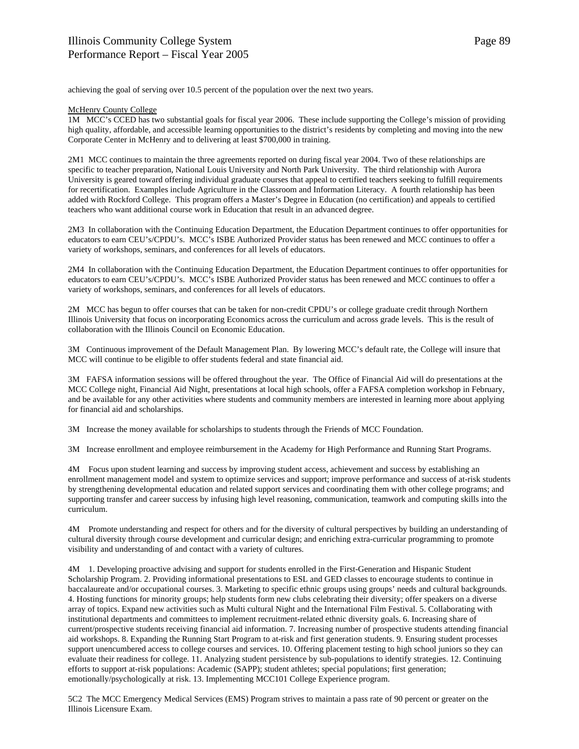achieving the goal of serving over 10.5 percent of the population over the next two years.

# McHenry County College

1M MCC's CCED has two substantial goals for fiscal year 2006. These include supporting the College's mission of providing high quality, affordable, and accessible learning opportunities to the district's residents by completing and moving into the new Corporate Center in McHenry and to delivering at least \$700,000 in training.

2M1 MCC continues to maintain the three agreements reported on during fiscal year 2004. Two of these relationships are specific to teacher preparation, National Louis University and North Park University. The third relationship with Aurora University is geared toward offering individual graduate courses that appeal to certified teachers seeking to fulfill requirements for recertification. Examples include Agriculture in the Classroom and Information Literacy. A fourth relationship has been added with Rockford College. This program offers a Master's Degree in Education (no certification) and appeals to certified teachers who want additional course work in Education that result in an advanced degree.

2M3 In collaboration with the Continuing Education Department, the Education Department continues to offer opportunities for educators to earn CEU's/CPDU's. MCC's ISBE Authorized Provider status has been renewed and MCC continues to offer a variety of workshops, seminars, and conferences for all levels of educators.

2M4 In collaboration with the Continuing Education Department, the Education Department continues to offer opportunities for educators to earn CEU's/CPDU's. MCC's ISBE Authorized Provider status has been renewed and MCC continues to offer a variety of workshops, seminars, and conferences for all levels of educators.

2M MCC has begun to offer courses that can be taken for non-credit CPDU's or college graduate credit through Northern Illinois University that focus on incorporating Economics across the curriculum and across grade levels. This is the result of collaboration with the Illinois Council on Economic Education.

3M Continuous improvement of the Default Management Plan. By lowering MCC's default rate, the College will insure that MCC will continue to be eligible to offer students federal and state financial aid.

3M FAFSA information sessions will be offered throughout the year. The Office of Financial Aid will do presentations at the MCC College night, Financial Aid Night, presentations at local high schools, offer a FAFSA completion workshop in February, and be available for any other activities where students and community members are interested in learning more about applying for financial aid and scholarships.

3M Increase the money available for scholarships to students through the Friends of MCC Foundation.

3M Increase enrollment and employee reimbursement in the Academy for High Performance and Running Start Programs.

4M Focus upon student learning and success by improving student access, achievement and success by establishing an enrollment management model and system to optimize services and support; improve performance and success of at-risk students by strengthening developmental education and related support services and coordinating them with other college programs; and supporting transfer and career success by infusing high level reasoning, communication, teamwork and computing skills into the curriculum.

4M Promote understanding and respect for others and for the diversity of cultural perspectives by building an understanding of cultural diversity through course development and curricular design; and enriching extra-curricular programming to promote visibility and understanding of and contact with a variety of cultures.

4M 1. Developing proactive advising and support for students enrolled in the First-Generation and Hispanic Student Scholarship Program. 2. Providing informational presentations to ESL and GED classes to encourage students to continue in baccalaureate and/or occupational courses. 3. Marketing to specific ethnic groups using groups' needs and cultural backgrounds. 4. Hosting functions for minority groups; help students form new clubs celebrating their diversity; offer speakers on a diverse array of topics. Expand new activities such as Multi cultural Night and the International Film Festival. 5. Collaborating with institutional departments and committees to implement recruitment-related ethnic diversity goals. 6. Increasing share of current/prospective students receiving financial aid information. 7. Increasing number of prospective students attending financial aid workshops. 8. Expanding the Running Start Program to at-risk and first generation students. 9. Ensuring student processes support unencumbered access to college courses and services. 10. Offering placement testing to high school juniors so they can evaluate their readiness for college. 11. Analyzing student persistence by sub-populations to identify strategies. 12. Continuing efforts to support at-risk populations: Academic (SAPP); student athletes; special populations; first generation; emotionally/psychologically at risk. 13. Implementing MCC101 College Experience program.

5C2 The MCC Emergency Medical Services (EMS) Program strives to maintain a pass rate of 90 percent or greater on the Illinois Licensure Exam.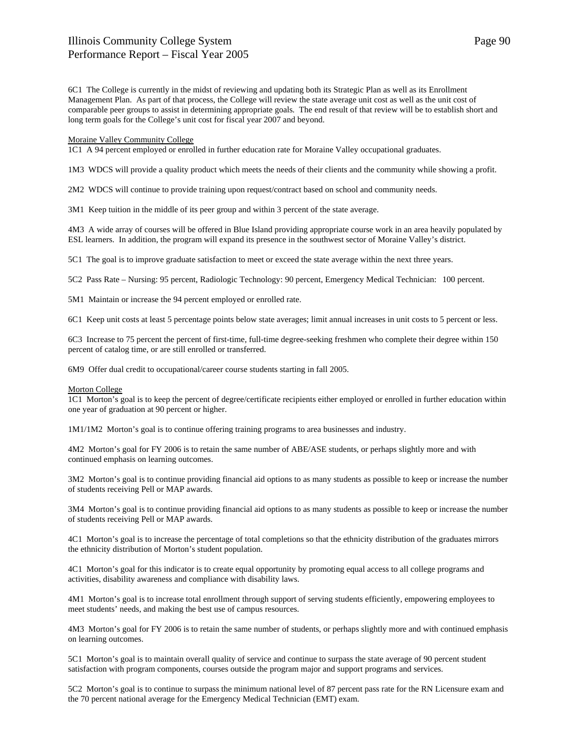6C1 The College is currently in the midst of reviewing and updating both its Strategic Plan as well as its Enrollment Management Plan. As part of that process, the College will review the state average unit cost as well as the unit cost of comparable peer groups to assist in determining appropriate goals. The end result of that review will be to establish short and long term goals for the College's unit cost for fiscal year 2007 and beyond.

## Moraine Valley Community College

1C1 A 94 percent employed or enrolled in further education rate for Moraine Valley occupational graduates.

1M3 WDCS will provide a quality product which meets the needs of their clients and the community while showing a profit.

2M2 WDCS will continue to provide training upon request/contract based on school and community needs.

3M1 Keep tuition in the middle of its peer group and within 3 percent of the state average.

4M3 A wide array of courses will be offered in Blue Island providing appropriate course work in an area heavily populated by ESL learners. In addition, the program will expand its presence in the southwest sector of Moraine Valley's district.

5C1 The goal is to improve graduate satisfaction to meet or exceed the state average within the next three years.

5C2 Pass Rate – Nursing: 95 percent, Radiologic Technology: 90 percent, Emergency Medical Technician: 100 percent.

5M1 Maintain or increase the 94 percent employed or enrolled rate.

6C1 Keep unit costs at least 5 percentage points below state averages; limit annual increases in unit costs to 5 percent or less.

6C3 Increase to 75 percent the percent of first-time, full-time degree-seeking freshmen who complete their degree within 150 percent of catalog time, or are still enrolled or transferred.

6M9 Offer dual credit to occupational/career course students starting in fall 2005.

### Morton College

1C1 Morton's goal is to keep the percent of degree/certificate recipients either employed or enrolled in further education within one year of graduation at 90 percent or higher.

1M1/1M2 Morton's goal is to continue offering training programs to area businesses and industry.

4M2 Morton's goal for FY 2006 is to retain the same number of ABE/ASE students, or perhaps slightly more and with continued emphasis on learning outcomes.

3M2 Morton's goal is to continue providing financial aid options to as many students as possible to keep or increase the number of students receiving Pell or MAP awards.

3M4 Morton's goal is to continue providing financial aid options to as many students as possible to keep or increase the number of students receiving Pell or MAP awards.

4C1 Morton's goal is to increase the percentage of total completions so that the ethnicity distribution of the graduates mirrors the ethnicity distribution of Morton's student population.

4C1 Morton's goal for this indicator is to create equal opportunity by promoting equal access to all college programs and activities, disability awareness and compliance with disability laws.

4M1 Morton's goal is to increase total enrollment through support of serving students efficiently, empowering employees to meet students' needs, and making the best use of campus resources.

4M3 Morton's goal for FY 2006 is to retain the same number of students, or perhaps slightly more and with continued emphasis on learning outcomes.

5C1 Morton's goal is to maintain overall quality of service and continue to surpass the state average of 90 percent student satisfaction with program components, courses outside the program major and support programs and services.

5C2 Morton's goal is to continue to surpass the minimum national level of 87 percent pass rate for the RN Licensure exam and the 70 percent national average for the Emergency Medical Technician (EMT) exam.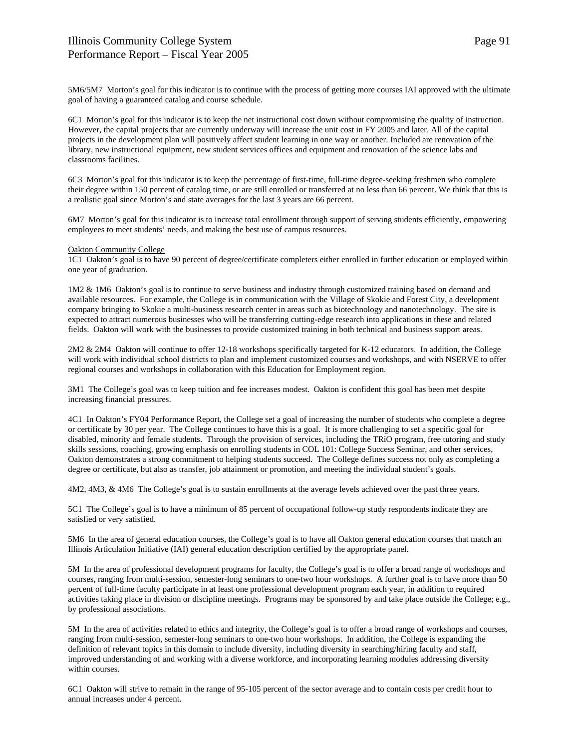5M6/5M7 Morton's goal for this indicator is to continue with the process of getting more courses IAI approved with the ultimate goal of having a guaranteed catalog and course schedule.

6C1 Morton's goal for this indicator is to keep the net instructional cost down without compromising the quality of instruction. However, the capital projects that are currently underway will increase the unit cost in FY 2005 and later. All of the capital projects in the development plan will positively affect student learning in one way or another. Included are renovation of the library, new instructional equipment, new student services offices and equipment and renovation of the science labs and classrooms facilities.

6C3 Morton's goal for this indicator is to keep the percentage of first-time, full-time degree-seeking freshmen who complete their degree within 150 percent of catalog time, or are still enrolled or transferred at no less than 66 percent. We think that this is a realistic goal since Morton's and state averages for the last 3 years are 66 percent.

6M7 Morton's goal for this indicator is to increase total enrollment through support of serving students efficiently, empowering employees to meet students' needs, and making the best use of campus resources.

## Oakton Community College

1C1 Oakton's goal is to have 90 percent of degree/certificate completers either enrolled in further education or employed within one year of graduation.

1M2 & 1M6 Oakton's goal is to continue to serve business and industry through customized training based on demand and available resources. For example, the College is in communication with the Village of Skokie and Forest City, a development company bringing to Skokie a multi-business research center in areas such as biotechnology and nanotechnology. The site is expected to attract numerous businesses who will be transferring cutting-edge research into applications in these and related fields. Oakton will work with the businesses to provide customized training in both technical and business support areas.

2M2 & 2M4 Oakton will continue to offer 12-18 workshops specifically targeted for K-12 educators. In addition, the College will work with individual school districts to plan and implement customized courses and workshops, and with NSERVE to offer regional courses and workshops in collaboration with this Education for Employment region.

3M1 The College's goal was to keep tuition and fee increases modest. Oakton is confident this goal has been met despite increasing financial pressures.

4C1 In Oakton's FY04 Performance Report, the College set a goal of increasing the number of students who complete a degree or certificate by 30 per year. The College continues to have this is a goal. It is more challenging to set a specific goal for disabled, minority and female students. Through the provision of services, including the TRiO program, free tutoring and study skills sessions, coaching, growing emphasis on enrolling students in COL 101: College Success Seminar, and other services, Oakton demonstrates a strong commitment to helping students succeed. The College defines success not only as completing a degree or certificate, but also as transfer, job attainment or promotion, and meeting the individual student's goals.

4M2, 4M3, & 4M6 The College's goal is to sustain enrollments at the average levels achieved over the past three years.

5C1 The College's goal is to have a minimum of 85 percent of occupational follow-up study respondents indicate they are satisfied or very satisfied.

5M6 In the area of general education courses, the College's goal is to have all Oakton general education courses that match an Illinois Articulation Initiative (IAI) general education description certified by the appropriate panel.

5M In the area of professional development programs for faculty, the College's goal is to offer a broad range of workshops and courses, ranging from multi-session, semester-long seminars to one-two hour workshops. A further goal is to have more than 50 percent of full-time faculty participate in at least one professional development program each year, in addition to required activities taking place in division or discipline meetings. Programs may be sponsored by and take place outside the College; e.g., by professional associations.

5M In the area of activities related to ethics and integrity, the College's goal is to offer a broad range of workshops and courses, ranging from multi-session, semester-long seminars to one-two hour workshops. In addition, the College is expanding the definition of relevant topics in this domain to include diversity, including diversity in searching/hiring faculty and staff, improved understanding of and working with a diverse workforce, and incorporating learning modules addressing diversity within courses.

6C1 Oakton will strive to remain in the range of 95-105 percent of the sector average and to contain costs per credit hour to annual increases under 4 percent.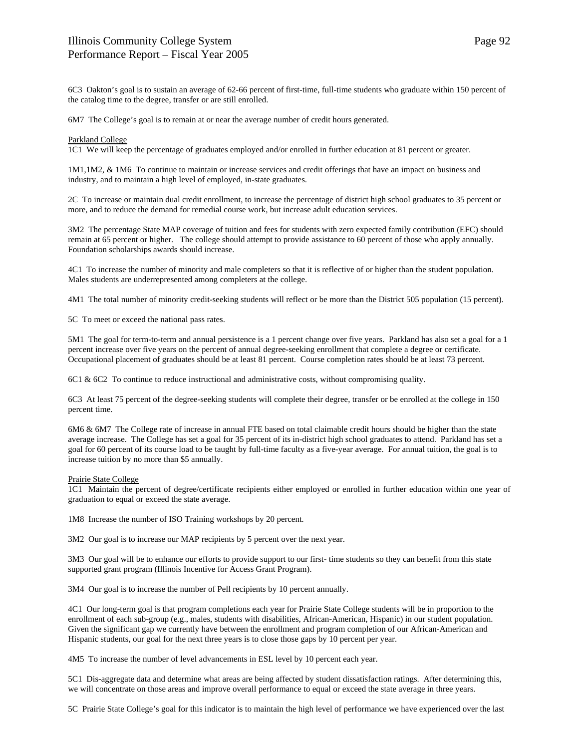6C3 Oakton's goal is to sustain an average of 62-66 percent of first-time, full-time students who graduate within 150 percent of the catalog time to the degree, transfer or are still enrolled.

6M7 The College's goal is to remain at or near the average number of credit hours generated.

## Parkland College

1C1 We will keep the percentage of graduates employed and/or enrolled in further education at 81 percent or greater.

1M1,1M2, & 1M6 To continue to maintain or increase services and credit offerings that have an impact on business and industry, and to maintain a high level of employed, in-state graduates.

2C To increase or maintain dual credit enrollment, to increase the percentage of district high school graduates to 35 percent or more, and to reduce the demand for remedial course work, but increase adult education services.

3M2 The percentage State MAP coverage of tuition and fees for students with zero expected family contribution (EFC) should remain at 65 percent or higher. The college should attempt to provide assistance to 60 percent of those who apply annually. Foundation scholarships awards should increase.

4C1 To increase the number of minority and male completers so that it is reflective of or higher than the student population. Males students are underrepresented among completers at the college.

4M1 The total number of minority credit-seeking students will reflect or be more than the District 505 population (15 percent).

5C To meet or exceed the national pass rates.

5M1 The goal for term-to-term and annual persistence is a 1 percent change over five years. Parkland has also set a goal for a 1 percent increase over five years on the percent of annual degree-seeking enrollment that complete a degree or certificate. Occupational placement of graduates should be at least 81 percent. Course completion rates should be at least 73 percent.

6C1 & 6C2 To continue to reduce instructional and administrative costs, without compromising quality.

6C3 At least 75 percent of the degree-seeking students will complete their degree, transfer or be enrolled at the college in 150 percent time.

6M6 & 6M7 The College rate of increase in annual FTE based on total claimable credit hours should be higher than the state average increase. The College has set a goal for 35 percent of its in-district high school graduates to attend. Parkland has set a goal for 60 percent of its course load to be taught by full-time faculty as a five-year average. For annual tuition, the goal is to increase tuition by no more than \$5 annually.

### Prairie State College

1C1 Maintain the percent of degree/certificate recipients either employed or enrolled in further education within one year of graduation to equal or exceed the state average.

1M8 Increase the number of ISO Training workshops by 20 percent*.*

3M2 Our goal is to increase our MAP recipients by 5 percent over the next year.

3M3 Our goal will be to enhance our efforts to provide support to our first- time students so they can benefit from this state supported grant program (Illinois Incentive for Access Grant Program).

3M4 Our goal is to increase the number of Pell recipients by 10 percent annually.

4C1 Our long-term goal is that program completions each year for Prairie State College students will be in proportion to the enrollment of each sub-group (e.g., males, students with disabilities, African-American, Hispanic) in our student population. Given the significant gap we currently have between the enrollment and program completion of our African-American and Hispanic students, our goal for the next three years is to close those gaps by 10 percent per year.

4M5 To increase the number of level advancements in ESL level by 10 percent each year.

5C1 Dis-aggregate data and determine what areas are being affected by student dissatisfaction ratings. After determining this, we will concentrate on those areas and improve overall performance to equal or exceed the state average in three years.

5C Prairie State College's goal for this indicator is to maintain the high level of performance we have experienced over the last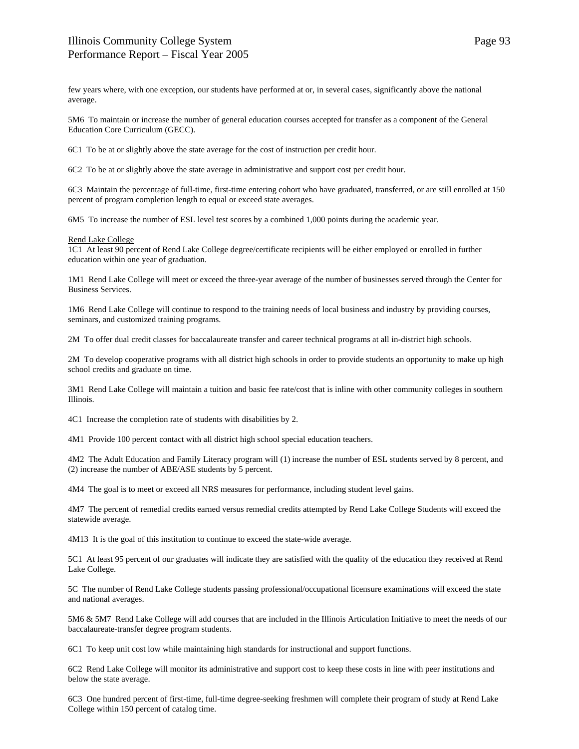few years where, with one exception, our students have performed at or, in several cases, significantly above the national average.

5M6 To maintain or increase the number of general education courses accepted for transfer as a component of the General Education Core Curriculum (GECC).

6C1 To be at or slightly above the state average for the cost of instruction per credit hour.

6C2 To be at or slightly above the state average in administrative and support cost per credit hour.

6C3 Maintain the percentage of full-time, first-time entering cohort who have graduated, transferred, or are still enrolled at 150 percent of program completion length to equal or exceed state averages.

6M5 To increase the number of ESL level test scores by a combined 1,000 points during the academic year.

#### Rend Lake College

1C1 At least 90 percent of Rend Lake College degree/certificate recipients will be either employed or enrolled in further education within one year of graduation.

1M1 Rend Lake College will meet or exceed the three-year average of the number of businesses served through the Center for Business Services.

1M6 Rend Lake College will continue to respond to the training needs of local business and industry by providing courses, seminars, and customized training programs.

2M To offer dual credit classes for baccalaureate transfer and career technical programs at all in-district high schools.

2M To develop cooperative programs with all district high schools in order to provide students an opportunity to make up high school credits and graduate on time.

3M1 Rend Lake College will maintain a tuition and basic fee rate/cost that is inline with other community colleges in southern Illinois.

4C1 Increase the completion rate of students with disabilities by 2.

4M1 Provide 100 percent contact with all district high school special education teachers.

4M2 The Adult Education and Family Literacy program will (1) increase the number of ESL students served by 8 percent, and (2) increase the number of ABE/ASE students by 5 percent.

4M4 The goal is to meet or exceed all NRS measures for performance, including student level gains.

4M7 The percent of remedial credits earned versus remedial credits attempted by Rend Lake College Students will exceed the statewide average.

4M13 It is the goal of this institution to continue to exceed the state-wide average.

5C1 At least 95 percent of our graduates will indicate they are satisfied with the quality of the education they received at Rend Lake College.

5C The number of Rend Lake College students passing professional/occupational licensure examinations will exceed the state and national averages.

5M6 & 5M7 Rend Lake College will add courses that are included in the Illinois Articulation Initiative to meet the needs of our baccalaureate-transfer degree program students.

6C1 To keep unit cost low while maintaining high standards for instructional and support functions.

6C2 Rend Lake College will monitor its administrative and support cost to keep these costs in line with peer institutions and below the state average.

6C3 One hundred percent of first-time, full-time degree-seeking freshmen will complete their program of study at Rend Lake College within 150 percent of catalog time.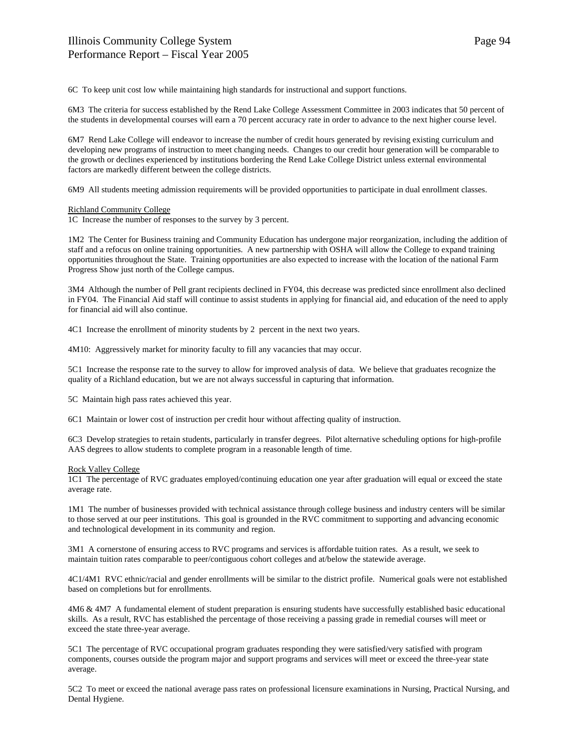6C To keep unit cost low while maintaining high standards for instructional and support functions.

6M3 The criteria for success established by the Rend Lake College Assessment Committee in 2003 indicates that 50 percent of the students in developmental courses will earn a 70 percent accuracy rate in order to advance to the next higher course level.

6M7 Rend Lake College will endeavor to increase the number of credit hours generated by revising existing curriculum and developing new programs of instruction to meet changing needs. Changes to our credit hour generation will be comparable to the growth or declines experienced by institutions bordering the Rend Lake College District unless external environmental factors are markedly different between the college districts.

6M9 All students meeting admission requirements will be provided opportunities to participate in dual enrollment classes.

#### Richland Community College

1C Increase the number of responses to the survey by 3 percent.

1M2 The Center for Business training and Community Education has undergone major reorganization, including the addition of staff and a refocus on online training opportunities. A new partnership with OSHA will allow the College to expand training opportunities throughout the State. Training opportunities are also expected to increase with the location of the national Farm Progress Show just north of the College campus.

3M4 Although the number of Pell grant recipients declined in FY04, this decrease was predicted since enrollment also declined in FY04. The Financial Aid staff will continue to assist students in applying for financial aid, and education of the need to apply for financial aid will also continue.

4C1 Increase the enrollment of minority students by 2 percent in the next two years.

4M10: Aggressively market for minority faculty to fill any vacancies that may occur.

5C1 Increase the response rate to the survey to allow for improved analysis of data. We believe that graduates recognize the quality of a Richland education, but we are not always successful in capturing that information.

5C Maintain high pass rates achieved this year.

6C1 Maintain or lower cost of instruction per credit hour without affecting quality of instruction.

6C3 Develop strategies to retain students, particularly in transfer degrees. Pilot alternative scheduling options for high-profile AAS degrees to allow students to complete program in a reasonable length of time.

#### Rock Valley College

1C1 The percentage of RVC graduates employed/continuing education one year after graduation will equal or exceed the state average rate.

1M1 The number of businesses provided with technical assistance through college business and industry centers will be similar to those served at our peer institutions. This goal is grounded in the RVC commitment to supporting and advancing economic and technological development in its community and region.

3M1 A cornerstone of ensuring access to RVC programs and services is affordable tuition rates. As a result, we seek to maintain tuition rates comparable to peer/contiguous cohort colleges and at/below the statewide average.

4C1/4M1 RVC ethnic/racial and gender enrollments will be similar to the district profile. Numerical goals were not established based on completions but for enrollments.

4M6 & 4M7 A fundamental element of student preparation is ensuring students have successfully established basic educational skills. As a result, RVC has established the percentage of those receiving a passing grade in remedial courses will meet or exceed the state three-year average.

5C1 The percentage of RVC occupational program graduates responding they were satisfied/very satisfied with program components, courses outside the program major and support programs and services will meet or exceed the three-year state average.

5C2 To meet or exceed the national average pass rates on professional licensure examinations in Nursing, Practical Nursing, and Dental Hygiene.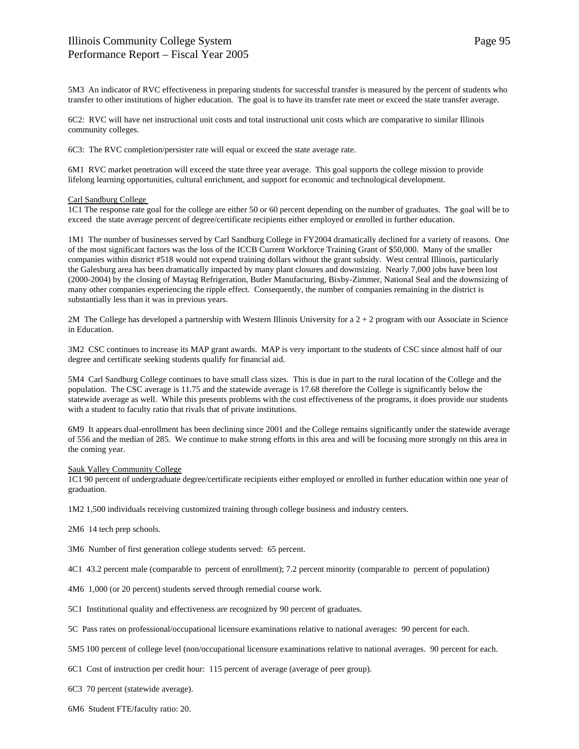5M3 An indicator of RVC effectiveness in preparing students for successful transfer is measured by the percent of students who transfer to other institutions of higher education. The goal is to have its transfer rate meet or exceed the state transfer average.

6C2: RVC will have net instructional unit costs and total instructional unit costs which are comparative to similar Illinois community colleges.

6C3: The RVC completion/persister rate will equal or exceed the state average rate.

6M1 RVC market penetration will exceed the state three year average. This goal supports the college mission to provide lifelong learning opportunities, cultural enrichment, and support for economic and technological development.

## Carl Sandburg College

1C1 The response rate goal for the college are either 50 or 60 percent depending on the number of graduates. The goal will be to exceed the state average percent of degree/certificate recipients either employed or enrolled in further education.

1M1 The number of businesses served by Carl Sandburg College in FY2004 dramatically declined for a variety of reasons. One of the most significant factors was the loss of the ICCB Current Workforce Training Grant of \$50,000. Many of the smaller companies within district #518 would not expend training dollars without the grant subsidy. West central Illinois, particularly the Galesburg area has been dramatically impacted by many plant closures and downsizing. Nearly 7,000 jobs have been lost (2000-2004) by the closing of Maytag Refrigeration, Butler Manufacturing, Bixby-Zimmer, National Seal and the downsizing of many other companies experiencing the ripple effect. Consequently, the number of companies remaining in the district is substantially less than it was in previous years.

2M The College has developed a partnership with Western Illinois University for a 2 + 2 program with our Associate in Science in Education.

3M2 CSC continues to increase its MAP grant awards. MAP is very important to the students of CSC since almost half of our degree and certificate seeking students qualify for financial aid.

5M4 Carl Sandburg College continues to have small class sizes. This is due in part to the rural location of the College and the population. The CSC average is 11.75 and the statewide average is 17.68 therefore the College is significantly below the statewide average as well. While this presents problems with the cost effectiveness of the programs, it does provide our students with a student to faculty ratio that rivals that of private institutions.

6M9 It appears dual-enrollment has been declining since 2001 and the College remains significantly under the statewide average of 556 and the median of 285. We continue to make strong efforts in this area and will be focusing more strongly on this area in the coming year.

Sauk Valley Community College

1C1 90 percent of undergraduate degree/certificate recipients either employed or enrolled in further education within one year of graduation.

1M2 1,500 individuals receiving customized training through college business and industry centers.

2M6 14 tech prep schools.

3M6 Number of first generation college students served: 65 percent.

4C1 43.2 percent male (comparable to percent of enrollment); 7.2 percent minority (comparable to percent of population)

4M6 1,000 (or 20 percent) students served through remedial course work.

5C1 Institutional quality and effectiveness are recognized by 90 percent of graduates.

5C Pass rates on professional/occupational licensure examinations relative to national averages: 90 percent for each.

5M5 100 percent of college level (non/occupational licensure examinations relative to national averages. 90 percent for each.

6C1 Cost of instruction per credit hour: 115 percent of average (average of peer group).

6C3 70 percent (statewide average).

6M6 Student FTE/faculty ratio: 20.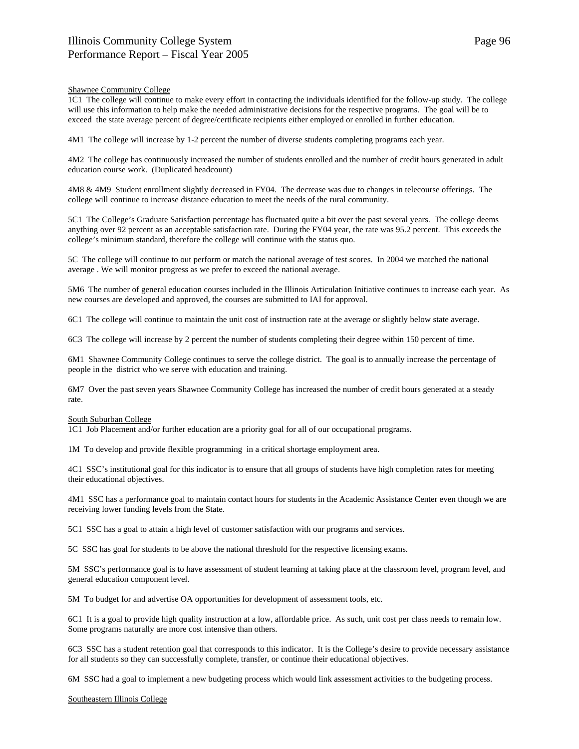## Shawnee Community College

1C1 The college will continue to make every effort in contacting the individuals identified for the follow-up study. The college will use this information to help make the needed administrative decisions for the respective programs. The goal will be to exceed the state average percent of degree/certificate recipients either employed or enrolled in further education.

4M1 The college will increase by 1-2 percent the number of diverse students completing programs each year.

4M2 The college has continuously increased the number of students enrolled and the number of credit hours generated in adult education course work. (Duplicated headcount)

4M8 & 4M9 Student enrollment slightly decreased in FY04. The decrease was due to changes in telecourse offerings. The college will continue to increase distance education to meet the needs of the rural community.

5C1 The College's Graduate Satisfaction percentage has fluctuated quite a bit over the past several years. The college deems anything over 92 percent as an acceptable satisfaction rate. During the FY04 year, the rate was 95.2 percent. This exceeds the college's minimum standard, therefore the college will continue with the status quo.

5C The college will continue to out perform or match the national average of test scores. In 2004 we matched the national average . We will monitor progress as we prefer to exceed the national average.

5M6 The number of general education courses included in the Illinois Articulation Initiative continues to increase each year. As new courses are developed and approved, the courses are submitted to IAI for approval.

6C1 The college will continue to maintain the unit cost of instruction rate at the average or slightly below state average.

6C3 The college will increase by 2 percent the number of students completing their degree within 150 percent of time.

6M1 Shawnee Community College continues to serve the college district. The goal is to annually increase the percentage of people in the district who we serve with education and training.

6M7 Over the past seven years Shawnee Community College has increased the number of credit hours generated at a steady rate.

#### South Suburban College

1C1 Job Placement and/or further education are a priority goal for all of our occupational programs.

1M To develop and provide flexible programming in a critical shortage employment area.

4C1 SSC's institutional goal for this indicator is to ensure that all groups of students have high completion rates for meeting their educational objectives.

4M1 SSC has a performance goal to maintain contact hours for students in the Academic Assistance Center even though we are receiving lower funding levels from the State.

5C1 SSC has a goal to attain a high level of customer satisfaction with our programs and services.

5C SSC has goal for students to be above the national threshold for the respective licensing exams.

5M SSC's performance goal is to have assessment of student learning at taking place at the classroom level, program level, and general education component level.

5M To budget for and advertise OA opportunities for development of assessment tools, etc.

6C1 It is a goal to provide high quality instruction at a low, affordable price. As such, unit cost per class needs to remain low. Some programs naturally are more cost intensive than others.

6C3 SSC has a student retention goal that corresponds to this indicator. It is the College's desire to provide necessary assistance for all students so they can successfully complete, transfer, or continue their educational objectives.

6M SSC had a goal to implement a new budgeting process which would link assessment activities to the budgeting process.

Southeastern Illinois College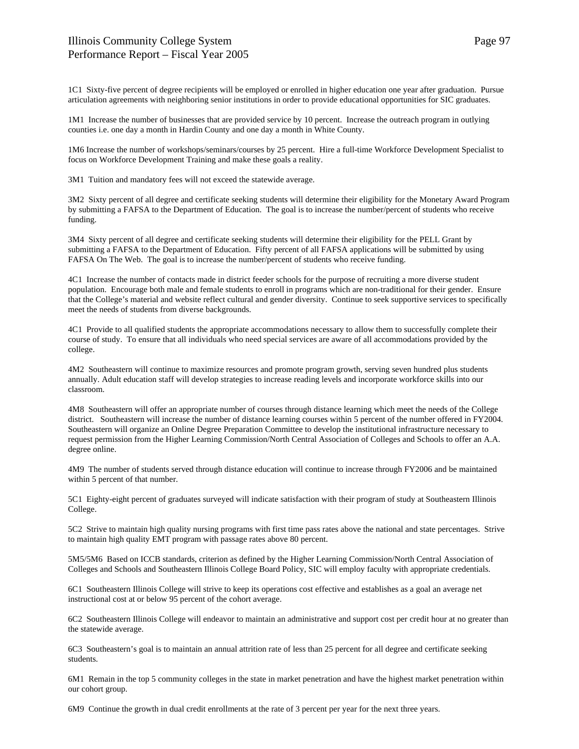# Illinois Community College System Performance Report – Fiscal Year 2005

1C1 Sixty-five percent of degree recipients will be employed or enrolled in higher education one year after graduation. Pursue articulation agreements with neighboring senior institutions in order to provide educational opportunities for SIC graduates.

1M1 Increase the number of businesses that are provided service by 10 percent. Increase the outreach program in outlying counties i.e. one day a month in Hardin County and one day a month in White County.

1M6 Increase the number of workshops/seminars/courses by 25 percent. Hire a full-time Workforce Development Specialist to focus on Workforce Development Training and make these goals a reality.

3M1 Tuition and mandatory fees will not exceed the statewide average.

3M2 Sixty percent of all degree and certificate seeking students will determine their eligibility for the Monetary Award Program by submitting a FAFSA to the Department of Education. The goal is to increase the number/percent of students who receive funding.

3M4 Sixty percent of all degree and certificate seeking students will determine their eligibility for the PELL Grant by submitting a FAFSA to the Department of Education. Fifty percent of all FAFSA applications will be submitted by using FAFSA On The Web. The goal is to increase the number/percent of students who receive funding.

4C1 Increase the number of contacts made in district feeder schools for the purpose of recruiting a more diverse student population. Encourage both male and female students to enroll in programs which are non-traditional for their gender. Ensure that the College's material and website reflect cultural and gender diversity. Continue to seek supportive services to specifically meet the needs of students from diverse backgrounds.

4C1 Provide to all qualified students the appropriate accommodations necessary to allow them to successfully complete their course of study. To ensure that all individuals who need special services are aware of all accommodations provided by the college.

4M2 Southeastern will continue to maximize resources and promote program growth, serving seven hundred plus students annually. Adult education staff will develop strategies to increase reading levels and incorporate workforce skills into our classroom.

4M8 Southeastern will offer an appropriate number of courses through distance learning which meet the needs of the College district. Southeastern will increase the number of distance learning courses within 5 percent of the number offered in FY2004. Southeastern will organize an Online Degree Preparation Committee to develop the institutional infrastructure necessary to request permission from the Higher Learning Commission/North Central Association of Colleges and Schools to offer an A.A. degree online.

4M9 The number of students served through distance education will continue to increase through FY2006 and be maintained within 5 percent of that number.

5C1 Eighty-eight percent of graduates surveyed will indicate satisfaction with their program of study at Southeastern Illinois College.

5C2 Strive to maintain high quality nursing programs with first time pass rates above the national and state percentages. Strive to maintain high quality EMT program with passage rates above 80 percent.

5M5/5M6 Based on ICCB standards, criterion as defined by the Higher Learning Commission/North Central Association of Colleges and Schools and Southeastern Illinois College Board Policy, SIC will employ faculty with appropriate credentials.

6C1 Southeastern Illinois College will strive to keep its operations cost effective and establishes as a goal an average net instructional cost at or below 95 percent of the cohort average.

6C2 Southeastern Illinois College will endeavor to maintain an administrative and support cost per credit hour at no greater than the statewide average.

6C3 Southeastern's goal is to maintain an annual attrition rate of less than 25 percent for all degree and certificate seeking students.

6M1 Remain in the top 5 community colleges in the state in market penetration and have the highest market penetration within our cohort group.

6M9 Continue the growth in dual credit enrollments at the rate of 3 percent per year for the next three years.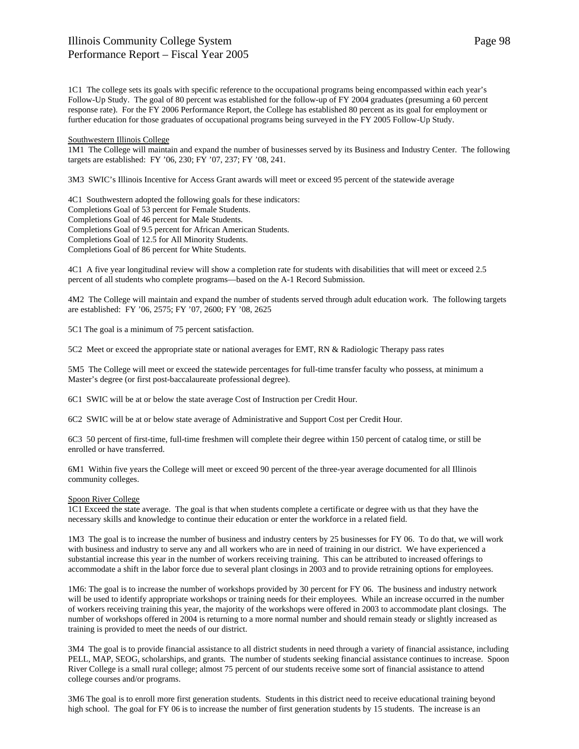1C1 The college sets its goals with specific reference to the occupational programs being encompassed within each year's Follow-Up Study. The goal of 80 percent was established for the follow-up of FY 2004 graduates (presuming a 60 percent response rate). For the FY 2006 Performance Report, the College has established 80 percent as its goal for employment or further education for those graduates of occupational programs being surveyed in the FY 2005 Follow-Up Study.

# Southwestern Illinois College

1M1 The College will maintain and expand the number of businesses served by its Business and Industry Center. The following targets are established: FY '06, 230; FY '07, 237; FY '08, 241.

3M3 SWIC's Illinois Incentive for Access Grant awards will meet or exceed 95 percent of the statewide average

4C1 Southwestern adopted the following goals for these indicators: Completions Goal of 53 percent for Female Students. Completions Goal of 46 percent for Male Students. Completions Goal of 9.5 percent for African American Students. Completions Goal of 12.5 for All Minority Students. Completions Goal of 86 percent for White Students.

4C1 A five year longitudinal review will show a completion rate for students with disabilities that will meet or exceed 2.5 percent of all students who complete programs—based on the A-1 Record Submission.

4M2 The College will maintain and expand the number of students served through adult education work. The following targets are established: FY '06, 2575; FY '07, 2600; FY '08, 2625

5C1 The goal is a minimum of 75 percent satisfaction.

5C2 Meet or exceed the appropriate state or national averages for EMT, RN & Radiologic Therapy pass rates

5M5 The College will meet or exceed the statewide percentages for full-time transfer faculty who possess, at minimum a Master's degree (or first post-baccalaureate professional degree).

6C1 SWIC will be at or below the state average Cost of Instruction per Credit Hour.

6C2 SWIC will be at or below state average of Administrative and Support Cost per Credit Hour*.*

6C3 50 percent of first-time, full-time freshmen will complete their degree within 150 percent of catalog time, or still be enrolled or have transferred.

6M1 Within five years the College will meet or exceed 90 percent of the three-year average documented for all Illinois community colleges.

### Spoon River College

1C1 Exceed the state average. The goal is that when students complete a certificate or degree with us that they have the necessary skills and knowledge to continue their education or enter the workforce in a related field.

1M3 The goal is to increase the number of business and industry centers by 25 businesses for FY 06. To do that, we will work with business and industry to serve any and all workers who are in need of training in our district. We have experienced a substantial increase this year in the number of workers receiving training. This can be attributed to increased offerings to accommodate a shift in the labor force due to several plant closings in 2003 and to provide retraining options for employees.

1M6: The goal is to increase the number of workshops provided by 30 percent for FY 06. The business and industry network will be used to identify appropriate workshops or training needs for their employees. While an increase occurred in the number of workers receiving training this year, the majority of the workshops were offered in 2003 to accommodate plant closings. The number of workshops offered in 2004 is returning to a more normal number and should remain steady or slightly increased as training is provided to meet the needs of our district.

3M4 The goal is to provide financial assistance to all district students in need through a variety of financial assistance, including PELL, MAP, SEOG, scholarships, and grants. The number of students seeking financial assistance continues to increase. Spoon River College is a small rural college; almost 75 percent of our students receive some sort of financial assistance to attend college courses and/or programs.

3M6 The goal is to enroll more first generation students. Students in this district need to receive educational training beyond high school. The goal for FY 06 is to increase the number of first generation students by 15 students. The increase is an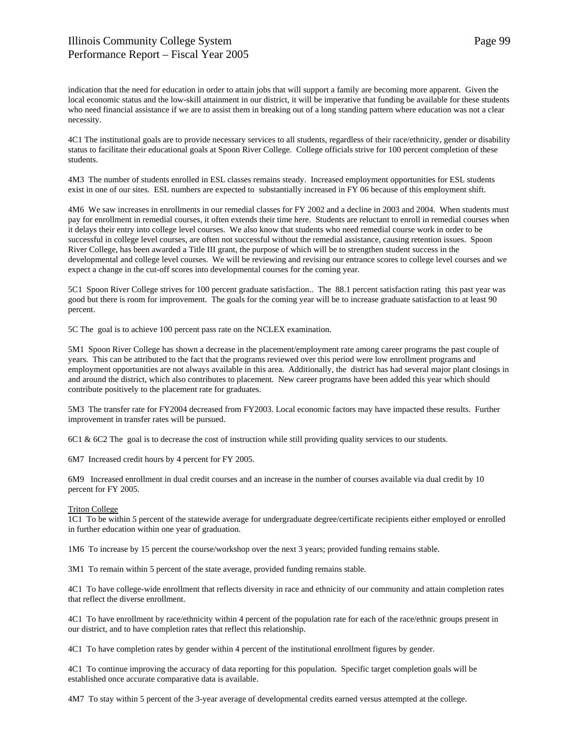indication that the need for education in order to attain jobs that will support a family are becoming more apparent. Given the local economic status and the low-skill attainment in our district, it will be imperative that funding be available for these students who need financial assistance if we are to assist them in breaking out of a long standing pattern where education was not a clear necessity.

4C1 The institutional goals are to provide necessary services to all students, regardless of their race/ethnicity, gender or disability status to facilitate their educational goals at Spoon River College. College officials strive for 100 percent completion of these students.

4M3 The number of students enrolled in ESL classes remains steady. Increased employment opportunities for ESL students exist in one of our sites. ESL numbers are expected to substantially increased in FY 06 because of this employment shift.

4M6 We saw increases in enrollments in our remedial classes for FY 2002 and a decline in 2003 and 2004. When students must pay for enrollment in remedial courses, it often extends their time here. Students are reluctant to enroll in remedial courses when it delays their entry into college level courses. We also know that students who need remedial course work in order to be successful in college level courses, are often not successful without the remedial assistance, causing retention issues. Spoon River College, has been awarded a Title III grant, the purpose of which will be to strengthen student success in the developmental and college level courses. We will be reviewing and revising our entrance scores to college level courses and we expect a change in the cut-off scores into developmental courses for the coming year.

5C1 Spoon River College strives for 100 percent graduate satisfaction.. The 88.1 percent satisfaction rating this past year was good but there is room for improvement. The goals for the coming year will be to increase graduate satisfaction to at least 90 percent.

5C The goal is to achieve 100 percent pass rate on the NCLEX examination.

5M1 Spoon River College has shown a decrease in the placement/employment rate among career programs the past couple of years. This can be attributed to the fact that the programs reviewed over this period were low enrollment programs and employment opportunities are not always available in this area. Additionally, the district has had several major plant closings in and around the district, which also contributes to placement. New career programs have been added this year which should contribute positively to the placement rate for graduates.

5M3 The transfer rate for FY2004 decreased from FY2003. Local economic factors may have impacted these results. Further improvement in transfer rates will be pursued.

6C1 & 6C2 The goal is to decrease the cost of instruction while still providing quality services to our students.

6M7 Increased credit hours by 4 percent for FY 2005.

6M9 Increased enrollment in dual credit courses and an increase in the number of courses available via dual credit by 10 percent for FY 2005.

### Triton College

1C1 To be within 5 percent of the statewide average for undergraduate degree/certificate recipients either employed or enrolled in further education within one year of graduation.

1M6 To increase by 15 percent the course/workshop over the next 3 years; provided funding remains stable.

3M1 To remain within 5 percent of the state average, provided funding remains stable.

4C1 To have college-wide enrollment that reflects diversity in race and ethnicity of our community and attain completion rates that reflect the diverse enrollment.

4C1 To have enrollment by race/ethnicity within 4 percent of the population rate for each of the race/ethnic groups present in our district, and to have completion rates that reflect this relationship.

4C1 To have completion rates by gender within 4 percent of the institutional enrollment figures by gender.

4C1 To continue improving the accuracy of data reporting for this population. Specific target completion goals will be established once accurate comparative data is available.

4M7 To stay within 5 percent of the 3-year average of developmental credits earned versus attempted at the college.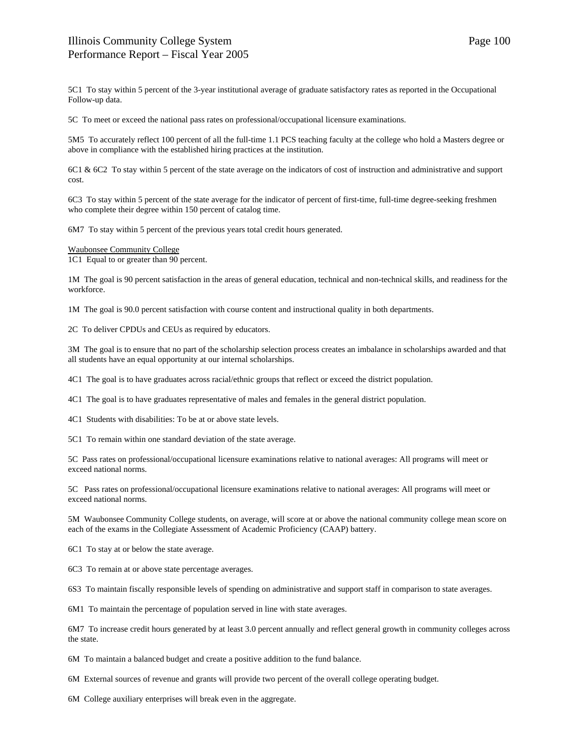5C1 To stay within 5 percent of the 3-year institutional average of graduate satisfactory rates as reported in the Occupational Follow-up data.

5C To meet or exceed the national pass rates on professional/occupational licensure examinations.

5M5 To accurately reflect 100 percent of all the full-time 1.1 PCS teaching faculty at the college who hold a Masters degree or above in compliance with the established hiring practices at the institution.

6C1 & 6C2 To stay within 5 percent of the state average on the indicators of cost of instruction and administrative and support cost.

6C3 To stay within 5 percent of the state average for the indicator of percent of first-time, full-time degree-seeking freshmen who complete their degree within 150 percent of catalog time.

6M7 To stay within 5 percent of the previous years total credit hours generated.

Waubonsee Community College

1C1 Equal to or greater than 90 percent.

1M The goal is 90 percent satisfaction in the areas of general education, technical and non-technical skills, and readiness for the workforce.

1M The goal is 90.0 percent satisfaction with course content and instructional quality in both departments.

2C To deliver CPDUs and CEUs as required by educators.

3M The goal is to ensure that no part of the scholarship selection process creates an imbalance in scholarships awarded and that all students have an equal opportunity at our internal scholarships.

4C1 The goal is to have graduates across racial/ethnic groups that reflect or exceed the district population.

4C1 The goal is to have graduates representative of males and females in the general district population.

4C1 Students with disabilities: To be at or above state levels.

5C1 To remain within one standard deviation of the state average.

5C Pass rates on professional/occupational licensure examinations relative to national averages: All programs will meet or exceed national norms.

5C Pass rates on professional/occupational licensure examinations relative to national averages: All programs will meet or exceed national norms.

5M Waubonsee Community College students, on average, will score at or above the national community college mean score on each of the exams in the Collegiate Assessment of Academic Proficiency (CAAP) battery.

6C1 To stay at or below the state average.

6C3 To remain at or above state percentage averages.

6S3 To maintain fiscally responsible levels of spending on administrative and support staff in comparison to state averages.

6M1 To maintain the percentage of population served in line with state averages.

6M7 To increase credit hours generated by at least 3.0 percent annually and reflect general growth in community colleges across the state.

6M To maintain a balanced budget and create a positive addition to the fund balance.

6M External sources of revenue and grants will provide two percent of the overall college operating budget.

6M College auxiliary enterprises will break even in the aggregate.